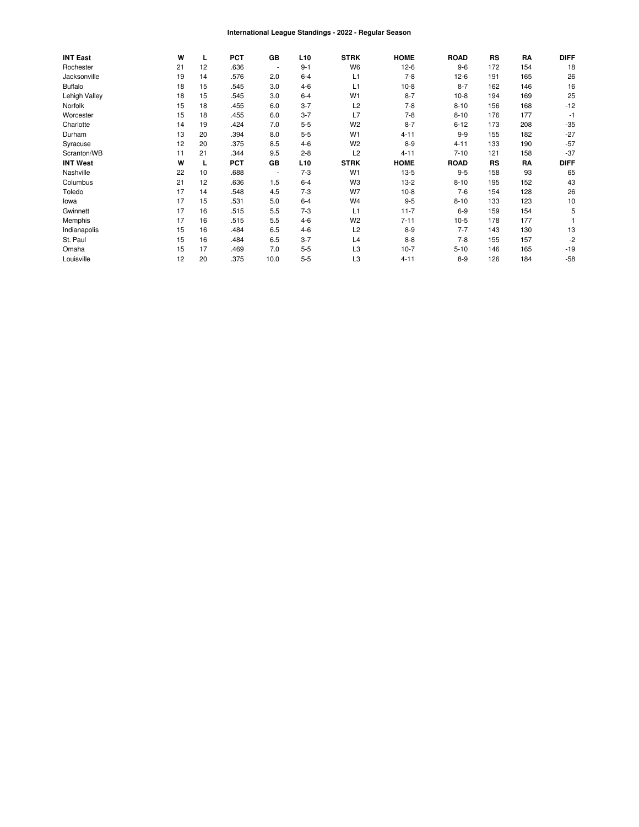#### International League Standings - 2022 - Regular Season

| <b>INT East</b> | W  | L  | <b>PCT</b> | GB                       | L <sub>10</sub> | <b>STRK</b>    | <b>HOME</b> | <b>ROAD</b> | RS        | RA  | <b>DIFF</b> |
|-----------------|----|----|------------|--------------------------|-----------------|----------------|-------------|-------------|-----------|-----|-------------|
| Rochester       | 21 | 12 | .636       | $\blacksquare$           | $9 - 1$         | W <sub>6</sub> | $12-6$      | $9-6$       | 172       | 154 | 18          |
| Jacksonville    | 19 | 14 | .576       | 2.0                      | $6 - 4$         | L1             | $7 - 8$     | $12-6$      | 191       | 165 | 26          |
| <b>Buffalo</b>  | 18 | 15 | .545       | 3.0                      | $4 - 6$         | L1             | $10-8$      | $8 - 7$     | 162       | 146 | 16          |
| Lehigh Valley   | 18 | 15 | .545       | 3.0                      | $6 - 4$         | W <sub>1</sub> | $8 - 7$     | $10-8$      | 194       | 169 | 25          |
| Norfolk         | 15 | 18 | .455       | 6.0                      | $3 - 7$         | L2             | $7 - 8$     | $8 - 10$    | 156       | 168 | $-12$       |
| Worcester       | 15 | 18 | .455       | 6.0                      | $3 - 7$         | L7             | $7 - 8$     | $8 - 10$    | 176       | 177 | $-1$        |
| Charlotte       | 14 | 19 | .424       | 7.0                      | $5-5$           | W <sub>2</sub> | $8 - 7$     | $6 - 12$    | 173       | 208 | $-35$       |
| Durham          | 13 | 20 | .394       | 8.0                      | $5 - 5$         | W <sub>1</sub> | $4 - 11$    | $9 - 9$     | 155       | 182 | $-27$       |
| Syracuse        | 12 | 20 | .375       | 8.5                      | $4 - 6$         | W <sub>2</sub> | $8-9$       | $4 - 11$    | 133       | 190 | $-57$       |
| Scranton/WB     | 11 | 21 | .344       | 9.5                      | $2 - 8$         | L2             | $4 - 11$    | $7 - 10$    | 121       | 158 | $-37$       |
| <b>INT West</b> | W  | L  | <b>PCT</b> | GB                       | L <sub>10</sub> | <b>STRK</b>    | <b>HOME</b> | <b>ROAD</b> | <b>RS</b> | RA  | <b>DIFF</b> |
| Nashville       | 22 | 10 | .688       | $\overline{\phantom{a}}$ | $7 - 3$         | W <sub>1</sub> | $13-5$      | $9 - 5$     | 158       | 93  | 65          |
| Columbus        | 21 | 12 | .636       | 1.5                      | $6 - 4$         | W <sub>3</sub> | $13-2$      | $8 - 10$    | 195       | 152 | 43          |
| Toledo          | 17 | 14 | .548       | 4.5                      | $7 - 3$         | W7             | $10-8$      | $7-6$       | 154       | 128 | 26          |
| lowa            | 17 | 15 | .531       | 5.0                      | $6 - 4$         | W <sub>4</sub> | $9 - 5$     | $8 - 10$    | 133       | 123 | 10          |
| Gwinnett        | 17 | 16 | .515       | 5.5                      | $7 - 3$         | L1             | $11 - 7$    | $6-9$       | 159       | 154 | 5           |
| Memphis         | 17 | 16 | .515       | 5.5                      | $4-6$           | W <sub>2</sub> | $7 - 11$    | $10-5$      | 178       | 177 |             |
| Indianapolis    | 15 | 16 | .484       | 6.5                      | $4 - 6$         | L2             | $8 - 9$     | $7 - 7$     | 143       | 130 | 13          |
| St. Paul        | 15 | 16 | .484       | 6.5                      | $3 - 7$         | L4             | $8 - 8$     | $7 - 8$     | 155       | 157 | $-2$        |
| Omaha           | 15 | 17 | .469       | 7.0                      | $5 - 5$         | L3             | $10-7$      | $5 - 10$    | 146       | 165 | $-19$       |
| Louisville      | 12 | 20 | .375       | 10.0                     | $5-5$           | L <sub>3</sub> | $4 - 11$    | $8 - 9$     | 126       | 184 | $-58$       |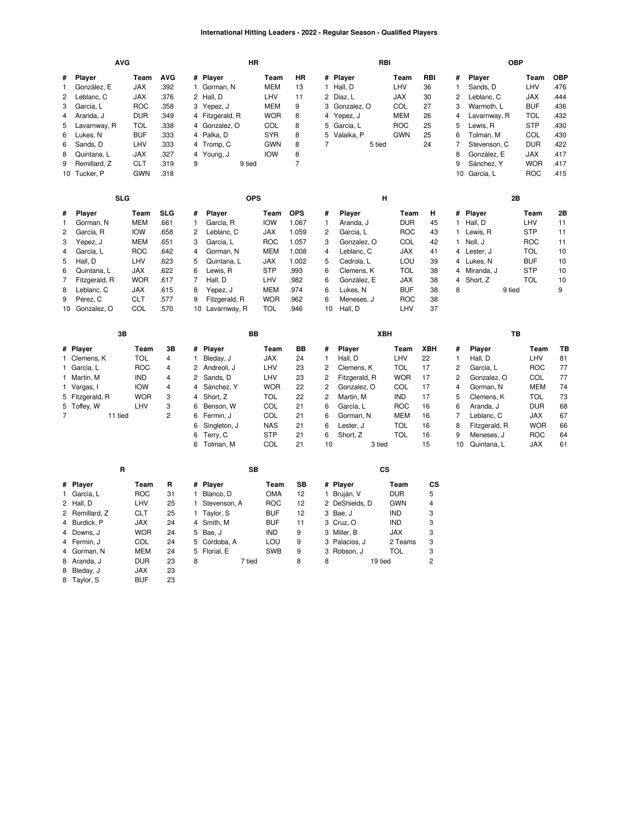### **International Hitting Leaders - 2022 - Regular Season - Qualified Players**

|                | <b>AVG</b>      |                    |                |              | <b>HR</b>             |                   |                |                | <b>RBI</b>         |            |                |                |                           | <b>OBP</b>        |            |
|----------------|-----------------|--------------------|----------------|--------------|-----------------------|-------------------|----------------|----------------|--------------------|------------|----------------|----------------|---------------------------|-------------------|------------|
| #              | Player          | <b>AVG</b><br>Team |                |              | Player                | Team              | <b>HR</b>      |                | # Player           | Team       | RBI            | #              | Player                    | Team              | <b>OBP</b> |
| 1              | González, E     | <b>JAX</b>         | .392           | 1            | Gorman, N             | <b>MEM</b>        | 13             |                | 1 Hall, D          | LHV        | 36             | $\mathbf{1}$   | Sands, D                  | LHV               | .476       |
| $\overline{c}$ | Leblanc, C      | <b>JAX</b>         | .376           |              | 2 Hall, D             | LHV               | 11             |                | 2 Díaz, L          | JAX        | 30             | 2              | Leblanc, C                | <b>JAX</b>        | .444       |
| 3              | García, L       | <b>ROC</b>         | .358           | 3            | Yepez, J              | <b>MEM</b>        | 9              |                | 3 Gonzalez, O      | COL        | 27             | 3              | Warmoth, L                | <b>BUF</b>        | .436       |
| 4              | Aranda, J       | <b>DUR</b>         | .349           |              | 4 Fitzgerald, R       | <b>WOR</b>        | 8              |                | 4 Yepez, J         | <b>MEM</b> | 26             | $\overline{4}$ | Lavarnway, R              | <b>TOL</b>        | .432       |
| 5              | Lavarnway, R    | TOL                | .338           | 4            | Gonzalez, O           | COL               | 8              | 5              | García, L          | <b>ROC</b> | 25             | 5              | Lewis, R                  | <b>STP</b>        | .430       |
| 6              | Lukes, N        | <b>BUF</b>         | .333           |              | 4 Palka, D            | <b>SYR</b>        | 8              | 5              | Valaika, P         | <b>GWN</b> | 25             | 6              | Tolman, M                 | COL               | .430       |
| 6              | Sands, D        | LHV                | .333           | 4            | Tromp, C              | <b>GWN</b>        | 8              | $\overline{7}$ | 5 tied             |            | 24             | $\overline{7}$ | Stevenson, C              | <b>DUR</b>        | .422       |
| 8              | Quintana, L     | <b>JAX</b>         | .327           | 4            | Young, J              | <b>IOW</b>        | 8              |                |                    |            |                | 8              | González, E               | <b>JAX</b>        | 417        |
| 9              | Remillard, Z    | <b>CLT</b>         | .319           | 9            | 9 tied                |                   | $\overline{7}$ |                |                    |            |                | 9              | Sánchez, Y                | <b>WOR</b>        | .417       |
|                | 10 Tucker, P    | <b>GWN</b>         | .318           |              |                       |                   |                |                |                    |            |                |                | 10 García, L              | <b>ROC</b>        | .415       |
|                |                 |                    |                |              |                       |                   |                |                |                    |            |                |                |                           |                   |            |
|                | <b>SLG</b>      |                    |                |              | <b>OPS</b>            |                   |                |                | н                  |            |                |                |                           | 2B                |            |
| #              | Player          | Team               | SLG            | #            | Player                | Team              | <b>OPS</b>     | #              | Player             | Team       | н              | #              | Player                    | Team              | 2Β         |
| 1              | Gorman, N       | <b>MEM</b>         | .661           | 1            | García, R             | <b>IOW</b>        | 1.067          | 1              | Aranda, J          | <b>DUR</b> | 45             | 1              | Hall, D                   | LHV               | 11         |
| $\overline{c}$ | García, R       | <b>IOW</b>         | .658           | 2            | Leblanc, C            | <b>JAX</b>        | 1.059          | 2              | García, L          | <b>ROC</b> | 43             | $\mathbf{1}$   | Lewis, R                  | <b>STP</b>        | 11         |
| 3              | Yepez, J        | <b>MEM</b>         | .651           | 3            | García, L             | <b>ROC</b>        | 1.057          | 3              | Gonzalez, O        | COL        | 42             | $\mathbf{1}$   | Noll, J                   | <b>ROC</b>        | 11         |
| $\overline{4}$ | García, L       | <b>ROC</b>         | .642           | 4            | Gorman, N             | <b>MEM</b>        | 1.008          | 4              | Leblanc, C         | <b>JAX</b> | 41             | 4              | Lester, J                 | <b>TOL</b>        | 10         |
| 5              | Hall, D         | LHV                | .623           | 5            | Quintana, L           | <b>JAX</b>        | 1.002          | 5              | Cedrola, L         | LOU        | 39             |                | 4 Lukes, N                | <b>BUF</b>        | 10         |
| 6              | Quintana, L     | <b>JAX</b>         | .622           | 6            | Lewis, R              | <b>STP</b>        | .993           | 6              | Clemens, K         | TOL        | 38             | 4              | Miranda, J                | <b>STP</b>        | 10         |
| $\overline{7}$ | Fitzgerald, R   | <b>WOR</b>         | .617           | 7            | Hall, D               | LHV               | .982           | 6              | González, E        | <b>JAX</b> | 38             | 4              | Short, Z                  | <b>TOL</b>        | 10         |
| 8              | Leblanc, C      | JAX                | .615           | 8            | Yepez, J              | <b>MEM</b>        | .974           | 6              | Lukes, N           | <b>BUF</b> | 38             | 8              | 9 tied                    |                   | 9          |
| 9              | Pérez, C        | <b>CLT</b>         | .577           | 9            | Fitzgerald, R         | <b>WOR</b>        | .962           | 6              | Meneses, J         | <b>ROC</b> | 38             |                |                           |                   |            |
|                | 10 Gonzalez, O  | COL                | .570           |              | 10 Lavarnway, R       | <b>TOL</b>        | .946           | 10             | Hall, D            | LHV        | 37             |                |                           |                   |            |
|                |                 |                    |                |              |                       |                   |                |                |                    |            |                |                |                           |                   |            |
|                |                 |                    |                |              |                       |                   |                |                |                    |            |                |                |                           |                   |            |
|                | 3B              |                    |                |              | BB                    |                   |                |                | <b>XBH</b>         |            |                |                |                           | TB                |            |
|                | # Player        | Team               | 3B             | #            | <b>Player</b>         | Team              | BB             | #              | Player             | Team       | <b>XBH</b>     | #              | Player                    | Team              | TB         |
|                | 1 Clemens, K    | <b>TOL</b>         | 4              | 1            | Bleday, J             | <b>JAX</b>        | 24             | 1              | Hall, D            | LHV        | 22             | $\mathbf{1}$   | Hall, D                   | LHV               | 81         |
|                | 1 García, L     | <b>ROC</b>         | 4              | 2            | Andreoli, J           | LHV               | 23             | 2              | Clemens, K         | <b>TOL</b> | 17             | $\overline{c}$ | García, L                 | <b>ROC</b>        | 77         |
|                | 1 Martin, M     | <b>IND</b>         | $\overline{4}$ | 2            | Sands, D              | LHV               | 23             | $\overline{c}$ | Fitzgerald, R      | <b>WOR</b> | 17             | $\overline{2}$ | Gonzalez, O               | COL               | 77         |
|                | 1 Vargas, I     | <b>IOW</b>         | 4              | 4            | Sánchez, Y            | <b>WOR</b>        | 22             | $\overline{c}$ | Gonzalez, O        | <b>COL</b> | 17             | 4              | Gorman, N                 | <b>MEM</b>        | 74         |
|                | 5 Fitzgerald, R | <b>WOR</b>         | 3              | 4            | Short, Z              | <b>TOL</b>        | 22             | $\overline{c}$ | Martin, M          | IND        | 17             | 5              | Clemens, K                | <b>TOL</b>        | 73         |
|                | 5 Toffey, W     | LHV                | 3              | 6            | Benson, W             | COL               | 21             | 6              | García, L          | <b>ROC</b> | 16             | 6              | Aranda, J                 | <b>DUR</b>        | 68         |
| $\overline{7}$ | 11 tied         |                    | $\overline{c}$ | 6            | Fermin, J             | COL               | 21             | 6              | Gorman, N          | <b>MEM</b> | 16             | 7              | Leblanc, C                | JAX               | 67         |
|                |                 |                    |                | 6            | Singleton, J          | <b>NAS</b>        | 21             | 6              | Lester, J          | <b>TOL</b> | 16             | 8              | Fitzgerald, R             | <b>WOR</b>        | 66         |
|                |                 |                    |                | 6<br>6       | Terry, C<br>Tolman, M | <b>STP</b><br>COL | 21<br>21       | 6<br>10        | Short, Z<br>3 tied | TOL        | 16<br>15       | 9<br>10        | Meneses, J<br>Quintana, L | <b>ROC</b><br>JAX | 64<br>61   |
|                |                 |                    |                |              |                       |                   |                |                |                    |            |                |                |                           |                   |            |
|                | R               |                    |                |              | <b>SB</b>             |                   |                |                | CS                 |            |                |                |                           |                   |            |
| #              | Player          | Team               | R              | #            | Player                | Team              | <b>SB</b>      |                | # Player           | Team       | CS             |                |                           |                   |            |
| $\mathbf{1}$   | García, L       | <b>ROC</b>         | 31             | 1            | Blanco, D             | <b>OMA</b>        | 12             |                | 1 Bruján, V        | <b>DUR</b> | 5              |                |                           |                   |            |
| 2              | Hall, D         | LHV                | 25             | 1            | Stevenson, A          | <b>ROC</b>        | 12             |                | 2 DeShields, D     | <b>GWN</b> | 4              |                |                           |                   |            |
| $\overline{2}$ | Remillard, Z    | <b>CLT</b>         | 25             | $\mathbf{1}$ | Taylor, S             | <b>BUF</b>        | 12             |                | 3 Bae, J           | <b>IND</b> | 3              |                |                           |                   |            |
| $\overline{4}$ | Burdick, P      | <b>JAX</b>         | 24             |              | 4 Smith, M            | <b>BUF</b>        | 11             |                | 3 Cruz, O          | <b>IND</b> | 3              |                |                           |                   |            |
| 4              | Downs, J        | <b>WOR</b>         | 24             | 5            | Bae, J                | <b>IND</b>        | 9              |                | 3 Miller, B        | <b>JAX</b> | 3              |                |                           |                   |            |
| 4              | Fermin, J       | <b>COL</b>         | 24             | 5            | Córdoba, A            | LOU               | 9              |                | 3 Palacios, J      | 2 Teams    | 3              |                |                           |                   |            |
| 4              | Gorman, N       | <b>MEM</b>         | 24             | 5            | Florial, E            | <b>SWB</b>        | 9              | 3              | Robson, J          | TOL        | 3              |                |                           |                   |            |
|                | 8 Aranda, J     | <b>DUR</b>         | 23<br>23       | 8            | 7 tied                |                   | 8              | 8              | 19 tied            |            | $\overline{2}$ |                |                           |                   |            |

 $\frac{3}{2}$  Jibaay,  $\frac{3}{2}$   $\frac{3}{2}$  BUF 23

**[BUF](https://research.mlb.com/teams/422/stats#timeframe=2022)**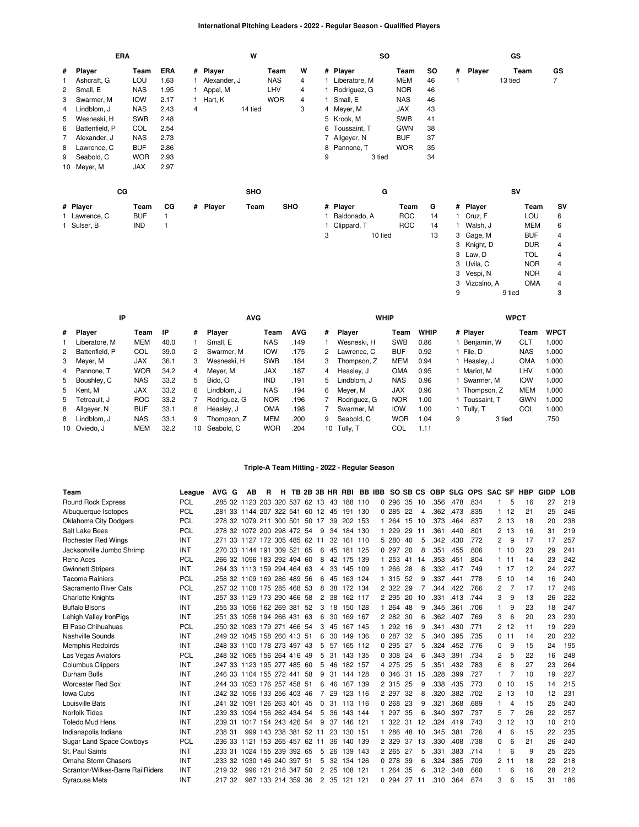# **International Pitching Leaders - 2022 - Regular Season - Qualified Players**

|   |                | ERA |            |      |   |              | W          |            |   |              |                 | <b>SO</b> |            |    |   |             | GS      |            |           |
|---|----------------|-----|------------|------|---|--------------|------------|------------|---|--------------|-----------------|-----------|------------|----|---|-------------|---------|------------|-----------|
| # | Player         |     | Team       | ERA  |   | # Player     |            | Team       | W |              | # Player        |           | Team       | SO | # | Player      | Team    |            | GS        |
| 1 | Ashcraft, G    |     | LOU        | 1.63 |   | Alexander, J |            | <b>NAS</b> | 4 |              | 1 Liberatore, M |           | <b>MEM</b> | 46 |   |             | 13 tied |            | 7         |
| 2 | Small, E       |     | <b>NAS</b> | 1.95 |   | Appel, M     |            | LHV        | 4 |              | Rodriguez, G    |           | <b>NOR</b> | 46 |   |             |         |            |           |
| 3 | Swarmer, M     |     | <b>IOW</b> | 2.17 |   | Hart, K      |            | <b>WOR</b> | 4 | $\mathbf{1}$ | Small, E        |           | <b>NAS</b> | 46 |   |             |         |            |           |
| 4 | Lindblom, J    |     | <b>NAS</b> | 2.43 | 4 |              | 14 tied    |            | 3 |              | 4 Meyer, M      |           | <b>JAX</b> | 43 |   |             |         |            |           |
| 5 | Wesneski, H    |     | <b>SWB</b> | 2.48 |   |              |            |            |   |              | 5 Krook, M      |           | <b>SWB</b> | 41 |   |             |         |            |           |
| 6 | Battenfield, P |     | COL        | 2.54 |   |              |            |            |   |              | 6 Toussaint, T  |           | <b>GWN</b> | 38 |   |             |         |            |           |
| 7 | Alexander, J   |     | <b>NAS</b> | 2.73 |   |              |            |            |   |              | 7 Allgeyer, N   |           | <b>BUF</b> | 37 |   |             |         |            |           |
| 8 | Lawrence, C    |     | <b>BUF</b> | 2.86 |   |              |            |            |   | 8            | Pannone, T      |           | <b>WOR</b> | 35 |   |             |         |            |           |
| 9 | Seabold, C     |     | <b>WOR</b> | 2.93 |   |              |            |            |   | 9            |                 | 3 tied    |            | 34 |   |             |         |            |           |
|   | 10 Meyer, M    |     | <b>JAX</b> | 2.97 |   |              |            |            |   |              |                 |           |            |    |   |             |         |            |           |
|   |                | cc  |            |      |   |              | <b>SHO</b> |            |   |              |                 | G         |            |    |   |             | SV      |            |           |
|   | # Player       |     | Team       | СG   |   | # Player     | Team       | <b>SHO</b> |   |              | # Player        |           | Team       | G  |   | # Player    |         | Team       | <b>SV</b> |
|   | 1 Lawrence, C  |     | <b>BUF</b> | 1    |   |              |            |            |   |              | Baldonado, A    |           | <b>ROC</b> | 14 |   | Cruz, F     |         | LOU        | 6         |
|   | 1 Sulser, B    |     | <b>IND</b> | 1    |   |              |            |            |   | 1.           | Clippard, T     |           | <b>ROC</b> | 14 |   | Walsh, J    |         | <b>MEM</b> | 6         |
|   |                |     |            |      |   |              |            |            |   | 3            |                 | 10 tied   |            | 13 |   | 3 Gage, M   |         | <b>BUF</b> | 4         |
|   |                |     |            |      |   |              |            |            |   |              |                 |           |            |    |   | 3 Knight, D |         | <b>DUR</b> | 4         |
|   |                |     |            |      |   |              |            |            |   |              |                 |           |            |    |   | 3 Law, D    |         | <b>TOL</b> | 4         |
|   |                |     |            |      |   |              |            |            |   |              |                 |           |            |    |   | 3 Uvila, C  |         | <b>NOR</b> | 4         |

| IP               |            |      |    | <b>AVG</b>    |            |            |    | <b>WHIP</b>   |            |             |   |              | <b>WPCT</b> |             |
|------------------|------------|------|----|---------------|------------|------------|----|---------------|------------|-------------|---|--------------|-------------|-------------|
| # Player         | Team       | IP   | #  | <b>Plaver</b> | Team       | <b>AVG</b> | #  | <b>Plaver</b> | Team       | <b>WHIP</b> |   | # Player     | Team        | <b>WPCT</b> |
| Liberatore, M    | <b>MEM</b> | 40.0 |    | Small, E      | <b>NAS</b> | .149       |    | Wesneski, H   | <b>SWB</b> | 0.86        |   | Beniamin, W  | <b>CLT</b>  | 000.1       |
| 2 Battenfield, P | COL        | 39.0 | 2  | Swarmer, M    | IOW        | .175       | 2  | Lawrence, C   | <b>BUF</b> | 0.92        |   | File, D      | <b>NAS</b>  | 1.000       |
| 3 Meyer, M       | <b>JAX</b> | 36.1 | 3  | Wesneski, H   | <b>SWB</b> | .184       | 3  | Thompson, Z   | <b>MEM</b> | 0.94        |   | Heaslev, J   | <b>OMA</b>  | 000.1       |
| 4 Pannone. T     | <b>WOR</b> | 34.2 | 4  | Mever, M      | <b>JAX</b> | .187       | 4  | Heasley, J    | <b>OMA</b> | 0.95        |   | Mariot. M    | LHV         | 1.000       |
| 5 Boushley, C    | <b>NAS</b> | 33.2 | 5  | Bido. O       | <b>IND</b> | .191       | 5. | Lindblom, J   | <b>NAS</b> | 0.96        |   | Swarmer. M   | <b>IOW</b>  | 1.000       |
| 5 Kent, M        | <b>JAX</b> | 33.2 | 6  | Lindblom. J   | <b>NAS</b> | .194       | 6. | Mever, M      | <b>JAX</b> | 0.96        |   | Thompson, Z  | <b>MEM</b>  | 000.1       |
| 5 Tetreault. J   | <b>ROC</b> | 33.2 |    | Rodriguez, G  | <b>NOR</b> | .196       |    | Rodriauez. G  | <b>NOR</b> | 1.00        |   | Toussaint. T | GWN         | 1.000       |
| 8 Allgeyer, N    | <b>BUF</b> | 33.1 | 8  | Heasley, J    | <b>OMA</b> | .198       |    | Swarmer, M    | <b>IOW</b> | 1.00        |   | Tully, T     | COL         | 1.000       |
| 8 Lindblom, J    | <b>NAS</b> | 33.1 | 9  | Thompson. Z   | <b>MEM</b> | .200       | 9  | Seabold, C    | <b>WOR</b> | 1.04        | 9 | 3 tied       |             | .750        |
| 10 Oviedo, J     | <b>MEM</b> | 32.2 | 10 | Seabold, C    | <b>WOR</b> | .204       | 10 | Tully. T      | COL        | 1.11        |   |              |             |             |

3 [Vespi,](https://research.mlb.com/players/663989/stats#orgId=117) N [NOR](https://research.mlb.com/teams/568/stats#timeframe=2022) 4 3 [Vizcaíno,](https://research.mlb.com/players/527055/stats#orgId=117) A [OMA](https://research.mlb.com/teams/541/stats#timeframe=2022) 4 9 9 tied 3

# **Triple-A Team Hitting - 2022 - Regular Season**

| Team                             | League     | AVG G                         | AВ                  | R |                    |       |                |    |            |  |          |     |    |      |      | H TB 2B 3B HR RBI BB IBB SO SB CS OBP SLG OPS SAC SF HBP |          |          |    | <b>GIDP</b> | <b>LOB</b> |
|----------------------------------|------------|-------------------------------|---------------------|---|--------------------|-------|----------------|----|------------|--|----------|-----|----|------|------|----------------------------------------------------------|----------|----------|----|-------------|------------|
| <b>Round Rock Express</b>        | <b>PCL</b> | .285 32                       | 1123 203 320 537    |   |                    | 62 13 |                | 43 | 188 110    |  | 0.296    | 35  | 10 | .356 | .478 | .834                                                     |          | 5        | 16 | 27          | 219        |
| Albuquerque Isotopes             | <b>PCL</b> | 281 33 1144 207 322 541 60 12 |                     |   |                    |       |                | 45 | 191 130    |  | 0.285    | -22 | 4  | .362 | .473 | .835                                                     |          | 112      | 21 | 25          | 246        |
| <b>Oklahoma City Dodgers</b>     | <b>PCL</b> | 278 32 1079 211 300 501 50 17 |                     |   |                    |       |                | 39 | 202 153    |  | 1 264    | 15  | 10 | .373 | .464 | .837                                                     | 2        | 13       | 18 | 20          | 238        |
| Salt Lake Bees                   | <b>PCL</b> | .278 32 1072 200 298 472 54   |                     |   |                    |       | 9              | 34 | 184 130    |  | 1 229    | 29  | 11 | .361 | .440 | .801                                                     | 2        | 13       | 16 | 31          | 219        |
| <b>Rochester Red Wings</b>       | INT        | 271 33 1127 172 305 485 62 11 |                     |   |                    |       |                |    | 32 161 110 |  | 5 280    | 40  | 5  | .342 | .430 | .772                                                     | 2        | 9        | 17 | 17          | 257        |
| Jacksonville Jumbo Shrimp        | INT        | .270 33 1144 191 309 521 65   |                     |   |                    |       | 6              | 45 | 181 125    |  | 0.297    | 20  | 8  | .351 | .455 | .806                                                     |          | $1 \t10$ | 23 | 29          | 241        |
| Reno Aces                        | <b>PCL</b> | .266 32 1096 183 292 494 60   |                     |   |                    |       | 8              |    | 42 175 139 |  | 1 253    | 41  | 14 | .353 | .451 | .804                                                     |          | $1 \t11$ | 14 | 23          | 242        |
| <b>Gwinnett Stripers</b>         | INT        | .264 33 1113 159 294 464 63   |                     |   |                    |       | 4              | 33 | 145 109    |  | 1 266    | 28  | 8  | .332 | .417 | .749                                                     |          | 1 17     | 12 | 24          | 227        |
| <b>Tacoma Rainiers</b>           | PCL        | .258 32 1109 169 286 489 56   |                     |   |                    |       | 6              | 45 | 163 124    |  | 1 315    | -52 | 9  | .337 | .441 | .778                                                     | 5        | 10       | 14 | 16          | 240        |
| Sacramento River Cats            | <b>PCL</b> | .257 32 1108 175 285 468 53   |                     |   |                    |       | 8              | 38 | 172 134    |  | 2 3 2 2  | 29  | 7  | .344 | .422 | .766                                                     | 2        | 7        | 17 | 17          | 246        |
| <b>Charlotte Knights</b>         | INT        | .257 33 1129 173 290 466 58   |                     |   |                    |       | 2              | 38 | 162 117    |  | 2 2 9 5  | 20  | 10 | .331 | .413 | .744                                                     | 3        | 9        | 13 | 26          | 222        |
| <b>Buffalo Bisons</b>            | <b>INT</b> | .255 33 1056 162 269 381 52   |                     |   |                    |       | 3              | 18 | 150 128    |  | 1 264    | 48  | 9  | .345 | .361 | .706                                                     | 1        | 9        | 23 | 18          | 247        |
| Lehigh Valley IronPigs           | <b>INT</b> | .251 33 1058 194 266 431 63   |                     |   |                    |       | 6              | 30 | 169 167    |  | 2 2 8 2  | 30  | 6  | .362 | .407 | .769                                                     | 3        | 6        | 20 | 23          | 230        |
| El Paso Chihuahuas               | <b>PCL</b> | .250 32 1083 179 271 466 54   |                     |   |                    |       | 3              | 45 | 167 145    |  | 1 292 16 |     | 9  | .341 | .430 | .771                                                     | 2        | 12       | 11 | 19          | 229        |
| Nashville Sounds                 | <b>INT</b> | .249 32 1045 158 260 413 51   |                     |   |                    |       | 6              | 30 | 149 136    |  | 0.287    | -32 | 5  | .340 | .395 | .735                                                     | $\Omega$ | 11       | 14 | 20          | 232        |
| <b>Memphis Redbirds</b>          | <b>INT</b> | 248 33 1100 178 273 497 43    |                     |   |                    |       | 5              | 57 | 165 112    |  | 0.295    | 27  | 5  | .324 | .452 | .776                                                     | 0        | 9        | 15 | 24          | 195        |
| Las Vegas Aviators               | <b>PCL</b> | .248 32 1065 156 264 416 49   |                     |   |                    |       | 5              |    | 31 143 135 |  | 0 308    | 24  | 6  | .343 | .391 | .734                                                     | 2        | 5        | 22 | 16          | 248        |
| <b>Columbus Clippers</b>         | INT        | 247 33 1123 195 277 485 60    |                     |   |                    |       | 5              | 46 | 182 157    |  | 4 275    | 25  | 5  | .351 | .432 | .783                                                     | 6        | 8        | 27 | 23          | 264        |
| Durham Bulls                     | INT        | .246 33 1104 155 272 441 58   |                     |   |                    |       | 9              |    | 31 144 128 |  | 0 346    | 31  | 15 | .328 | .399 | .727                                                     | 1        |          | 10 | 19          | 227        |
| <b>Worcester Red Sox</b>         | <b>INT</b> | .244 33 1053 176 257 458 51   |                     |   |                    |       | 6              | 46 | 167 139    |  | 2 3 1 5  | 25  | 9  | .338 | .435 | .773                                                     | 0        | 10       | 15 | 14          | 215        |
| Iowa Cubs                        | <b>INT</b> | .242 32 1056 133 256 403 46   |                     |   |                    |       | $\overline{7}$ | 29 | 123 116    |  | 2 2 9 7  | -32 | 8  | .320 | .382 | .702                                                     | 2        | 13       | 10 | 12          | 231        |
| Louisville Bats                  | INT        | 241 32 1091 126 263 401 45    |                     |   |                    |       | 0              |    | 31 113 116 |  | 0.268    | 23  | 9  | .321 | .368 | .689                                                     |          | 4        | 15 | 25          | 240        |
| <b>Norfolk Tides</b>             | INT        | .239 33 1094 156 262 434 54   |                     |   |                    |       | 5              | 36 | 143 144    |  | 1 297    | 35  | 6  | .340 | .397 | .737                                                     | 5        |          | 26 | 22          | 257        |
| Toledo Mud Hens                  | <b>INT</b> | .239 31                       | 1017 154 243 426 54 |   |                    |       | 9              |    | 37 146 121 |  | 1 322    | 31  | 12 | .324 | .419 | .743                                                     | 3        | 12       | 13 | 10          | 210        |
| Indianapolis Indians             | INT        | .238 31                       |                     |   | 999 143 238 381    | 52    | 11             | 23 | 130 151    |  | 1 286    | 48  | 10 | .345 | .381 | .726                                                     | 4        | 6        | 15 | 22          | 235        |
| Sugar Land Space Cowboys         | PCL        | .236 33                       | 1121 153 265 457 62 |   |                    |       | 11             | 36 | 140 139    |  | 2 3 2 9  | 37  | 13 | .330 | .408 | .738                                                     | 0        | 6        | 21 | 26          | 240        |
| St. Paul Saints                  | <b>INT</b> | .233 31                       | 1024 155 239 392 65 |   |                    |       | 5              | 26 | 139 143    |  | 2 2 6 5  | 27  | 5  | .331 | .383 | .714                                                     | 1        | 6        | 9  | 25          | 225        |
| Omaha Storm Chasers              | INT        | .233 32                       | 1030 146 240 397 51 |   |                    |       | 5              | 32 | 134 126    |  | 0.278    | 39  | 6  | .324 | .385 | .709                                                     | 2        | 11       | 18 | 22          | 218        |
| Scranton/Wilkes-Barre RailRiders | INT        | .219 32                       |                     |   | 996 121 218 347 50 |       | 2              | 25 | 108 121    |  | 1 264    | 35  | 6  | .312 | .348 | .660                                                     |          | 6        | 16 | 28          | 212        |
| <b>Syracuse Mets</b>             | INT        | 217 32                        |                     |   | 987 133 214 359    | 36    | $\overline{2}$ | 35 | 121 121    |  | 0.294    | 27  | 11 | .310 | .364 | .674                                                     | 3        | 6        | 15 | 31          | 186        |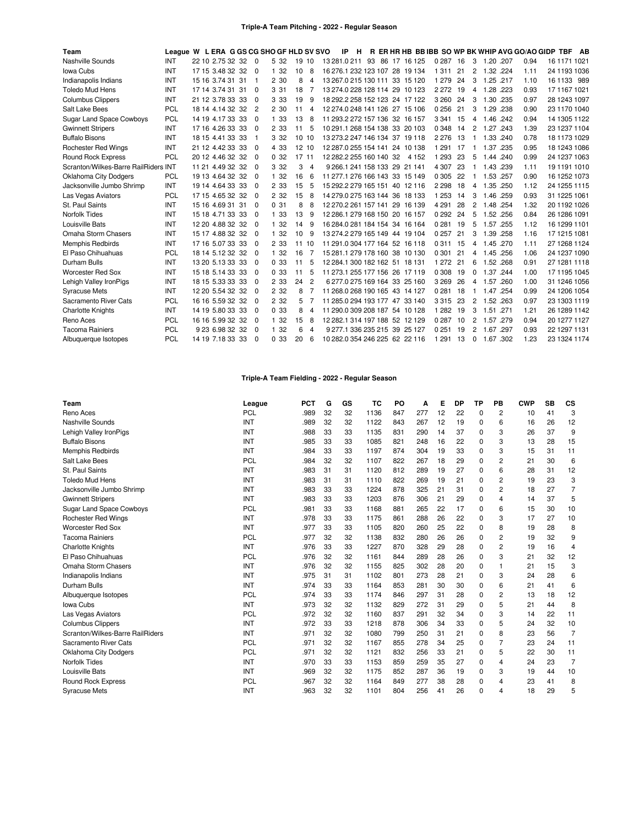## **Triple-A Team Pitching - 2022 - Regular Season**

| Team                                 | League W L ERA G GS CG SHO GF HLD SV SVO |                  |                |       |       |                |                         | -IP | H |  |                                |          |    |                |               |      | R ER HR HB BB IBB SO WP BK WHIP AVG GO/AO GIDP TBF AB |              |  |
|--------------------------------------|------------------------------------------|------------------|----------------|-------|-------|----------------|-------------------------|-----|---|--|--------------------------------|----------|----|----------------|---------------|------|-------------------------------------------------------|--------------|--|
| Nashville Sounds                     | INT                                      | 22 10 2.75 32 32 | $\Omega$       | 5 32  | 19 10 |                | 13 281 0 211 93         |     |   |  | 86 17 16 125                   | 0 287 16 |    | 3              | 1.20, 207     |      | 0.94                                                  | 16 1171 1021 |  |
| Iowa Cubs                            | INT                                      | 17 15 3.48 32 32 | $\Omega$       | 1 32  | 10    | 8              |                         |     |   |  | 16 276 1 232 123 107 28 19 134 | 1 3 1 1  | 21 | 2              | 1.32.224      |      | 1.11                                                  | 24 1193 1036 |  |
| Indianapolis Indians                 | <b>INT</b>                               | 15 16 3.74 31 31 | -1             | 2 30  | 8     | 4              |                         |     |   |  | 13 267.0 215 130 111 33 15 120 | 1 2 7 9  | 24 | 3              | 1.25 .217     |      | 1.10                                                  | 16 1133 989  |  |
| <b>Toledo Mud Hens</b>               | <b>INT</b>                               | 17 14 3.74 31 31 | $\Omega$       | 3.31  | 18    |                |                         |     |   |  | 13 274.0 228 128 114 29 10 123 | 2 2 7 2  | 19 | 4              | 1.28 .223     |      | 0.93                                                  | 17 1167 1021 |  |
| <b>Columbus Clippers</b>             | INT                                      | 21 12 3.78 33 33 | $\Omega$       | 3 3 3 | 19    | 9              |                         |     |   |  | 18 292.2 258 152 123 24 17 122 | 3 2 6 0  | 24 | 3              | 1.30 .235     |      | 0.97                                                  | 28 1243 1097 |  |
| Salt Lake Bees                       | PCL                                      | 18 14 4.14 32 32 | $\overline{2}$ | 2 30  | 11    | 4              |                         |     |   |  | 12 274.0 248 141 126 27 15 106 | 0256     | 21 | 3              | 1.29 .238     |      | 0.90                                                  | 23 1170 1040 |  |
| <b>Sugar Land Space Cowboys</b>      | <b>PCL</b>                               | 14 19 4.17 33 33 | $\Omega$       | 1 33  | 13    | 8              |                         |     |   |  | 11 293.2 272 157 136 32 16 157 | 3 3 4 1  | 15 | 4              | 1.46 .242     |      | 0.94                                                  | 14 1305 1122 |  |
| <b>Gwinnett Stripers</b>             | <b>INT</b>                               | 17 16 4.26 33 33 | $\Omega$       | 2 3 3 | 11    | 5              |                         |     |   |  | 10 291.1 268 154 138 33 20 103 | 0 3 4 8  | 14 | $\overline{c}$ | 1.27 .243     |      | 1.39                                                  | 23 1237 1104 |  |
| <b>Buffalo Bisons</b>                | INT                                      | 18 15 4.41 33 33 | -1             | 3 3 2 | 10 10 |                |                         |     |   |  | 13 273.2 247 146 134 37 19 118 | 2 2 7 6  | 13 | 1              | 1.33 .240     |      | 0.78                                                  | 18 1173 1029 |  |
| <b>Rochester Red Wings</b>           | INT                                      | 21 12 4.42 33 33 | $\Omega$       | 4 3 3 | 12 10 |                |                         |     |   |  | 12 287.0 255 154 141 24 10 138 | 1 2 9 1  | 17 |                | 1.37          | .235 | 0.95                                                  | 18 1243 1086 |  |
| <b>Round Rock Express</b>            | <b>PCL</b>                               | 20 12 4.46 32 32 | $\Omega$       | 0.32  | 17 11 |                | 12 282.2 255 160 140 32 |     |   |  | 4 1 5 2                        | 1 2 9 3  | 23 | 5              | 1.44 .240     |      | 0.99                                                  | 24 1237 1063 |  |
| Scranton/Wilkes-Barre RailRiders INT |                                          | 11 21 4.49 32 32 | $\Omega$       | 3 3 2 | 3     | 4              |                         |     |   |  | 9 266 1 241 158 133 29 21 141  | 4 3 0 7  | 23 |                | 1.43 .239     |      | 1.11                                                  | 19 1191 1010 |  |
| <b>Oklahoma City Dodgers</b>         | <b>PCL</b>                               | 19 13 4.64 32 32 | $\Omega$       | 1 32  | 16    | 6              |                         |     |   |  | 11 277 1 276 166 143 33 15 149 | 0 3 0 5  | 22 |                | 1.53 .257     |      | 0.90                                                  | 16 1252 1073 |  |
| Jacksonville Jumbo Shrimp            | INT                                      | 19 14 4.64 33 33 | $\Omega$       | 2 3 3 | 15    | 5              |                         |     |   |  | 15 292 2 279 165 151 40 12 116 | 2 2 9 8  | 18 | 4              | 1.35 .250     |      | 1.12                                                  | 24 1255 1115 |  |
| Las Vegas Aviators                   | <b>PCL</b>                               | 17 15 4.65 32 32 | $\Omega$       | 2 3 2 | 15    | 8              |                         |     |   |  | 14 279.0 275 163 144 36 18 133 | 1 2 5 3  | 14 | 3              | 1.46 .259     |      | 0.93                                                  | 31 1225 1061 |  |
| St. Paul Saints                      | INT                                      | 15 16 4.69 31 31 | $\Omega$       | 031   | 8     | 8              |                         |     |   |  | 12 270.2 261 157 141 29 16 139 | 4 2 9 1  | 28 | 2              | 1.48 .254     |      | 1.32                                                  | 20 1192 1026 |  |
| <b>Norfolk Tides</b>                 | INT                                      | 15 18 4.71 33 33 | $\Omega$       | 1 33  | 13    | 9              |                         |     |   |  | 12 286 1 279 168 150 20 16 157 | 0 2 9 2  | 24 | 5              | 1.52 .256     |      | 0.84                                                  | 26 1286 1091 |  |
| Louisville Bats                      | INT                                      | 12 20 4.88 32 32 | $\Omega$       | 1 32  | 14    | 9              |                         |     |   |  | 16 284 0 281 184 154 34 16 164 | 0 2 8 1  | 19 | 5              | 1.57 .255     |      | 1.12                                                  | 16 1299 1101 |  |
| Omaha Storm Chasers                  | INT                                      | 15 17 4.88 32 32 | $\Omega$       | 1 32  | 10    | 9              |                         |     |   |  | 13 274.2 279 165 149 44 19 104 | 0 257    | 21 | 3              | 1.39 .258     |      | 1.16                                                  | 17 1215 1081 |  |
| Memphis Redbirds                     | INT                                      | 17 16 5.07 33 33 | $\Omega$       | 2 3 3 | 11    | 10             |                         |     |   |  | 11 291 0 304 177 164 52 16 118 | 0311     | 15 | 4              | 1.45 .270     |      | 1.11                                                  | 27 1268 1124 |  |
| El Paso Chihuahuas                   | <b>PCL</b>                               | 18 14 5.12 32 32 | $\Omega$       | 1 32  | 16    |                |                         |     |   |  | 15 281 1 279 178 160 38 10 130 | 0 3 0 1  | 21 | 4              | 1.45 .256     |      | 1.06                                                  | 24 1237 1090 |  |
| Durham Bulls                         | INT                                      | 13 20 5.13 33 33 | $\Omega$       | 0.33  | 11    | 5              |                         |     |   |  | 12 284.1 300 182 162 51 18 131 | 1 2 7 2  | 21 | 6              | 1.52 .268     |      | 0.91                                                  | 27 1281 1118 |  |
| <b>Worcester Red Sox</b>             | <b>INT</b>                               | 15 18 5 14 33 33 | $\Omega$       | 0.33  | 11    | 5              |                         |     |   |  | 11 273 1 255 177 156 26 17 119 | 0 308    | 19 | $\Omega$       | 1.37 .244     |      | 1.00                                                  | 17 1195 1045 |  |
| Lehigh Valley IronPigs               | <b>INT</b>                               | 18 15 5.33 33 33 | $\Omega$       | 2 3 3 | 24    | $\overline{c}$ |                         |     |   |  | 6 277 0 275 169 164 33 25 160  | 3 2 6 9  | 26 |                | 4 1.57 260    |      | 1.00                                                  | 31 1246 1056 |  |
| <b>Syracuse Mets</b>                 | INT                                      | 12 20 5.54 32 32 | $\Omega$       | 2 3 2 | 8     |                |                         |     |   |  | 11 268.0 268 190 165 43 14 127 | 0281     | 18 | 1              | 1.47 .254     |      | 0.99                                                  | 24 1206 1054 |  |
| Sacramento River Cats                | <b>PCL</b>                               | 16 16 5.59 32 32 | $\Omega$       | 2 3 2 | 5     |                |                         |     |   |  | 11 285.0 294 193 177 47 33 140 | 3315     | 23 | 2              | 1.52 .263     |      | 0.97                                                  | 23 1303 1119 |  |
| <b>Charlotte Knights</b>             | INT                                      | 14 19 5.80 33 33 | $\Omega$       | 0.33  | 8     | 4              |                         |     |   |  | 11 290.0 309 208 187 54 10 128 | 1 2 8 2  | 19 | 3              | 1.51 .271     |      | 1.21                                                  | 26 1289 1142 |  |
| Reno Aces                            | <b>PCL</b>                               | 16 16 5.99 32 32 | $\Omega$       | 1 32  | 15    | 8              |                         |     |   |  | 12 282.1 314 197 188 52 12 129 | 0 2 8 7  | 10 | 2              | 1.57          | .279 | 0.94                                                  | 20 1277 1127 |  |
| <b>Tacoma Rainiers</b>               | <b>PCL</b>                               | 9 23 6.98 32 32  | $\Omega$       | 1 32  | 6     | 4              |                         |     |   |  | 9 277.1 336 235 215 39 25 127  | 0251     | 19 | 2              | 1.67 .297     |      | 0.93                                                  | 22 1297 1131 |  |
| Albuquerque Isotopes                 | PCL                                      | 14 19 7.18 33 33 | $\Omega$       | 0.33  | 20    | 6              |                         |     |   |  | 10 282.0 354 246 225 62 22 116 | 1 2 9 1  | 13 |                | $0$ 1.67 .302 |      | 1.23                                                  | 23 1324 1174 |  |

## **Triple-A Team Fielding - 2022 - Regular Season**

| Team                             | League     | <b>PCT</b> | G  | GS | TC   | PO  | Α   | Е  | <b>DP</b> | ТP       | PB             | <b>CWP</b> | <b>SB</b> | CS             |
|----------------------------------|------------|------------|----|----|------|-----|-----|----|-----------|----------|----------------|------------|-----------|----------------|
| Reno Aces                        | PCL        | .989       | 32 | 32 | 1136 | 847 | 277 | 12 | 22        | $\Omega$ | 2              | 10         | 41        | 3              |
| Nashville Sounds                 | <b>INT</b> | .989       | 32 | 32 | 1122 | 843 | 267 | 12 | 19        | 0        | 6              | 16         | 26        | 12             |
| Lehigh Valley IronPigs           | <b>INT</b> | .988       | 33 | 33 | 1135 | 831 | 290 | 14 | 37        | 0        | 3              | 26         | 37        | 9              |
| <b>Buffalo Bisons</b>            | INT        | .985       | 33 | 33 | 1085 | 821 | 248 | 16 | 22        | 0        | 3              | 13         | 28        | 15             |
| Memphis Redbirds                 | <b>INT</b> | .984       | 33 | 33 | 1197 | 874 | 304 | 19 | 33        | $\Omega$ | 3              | 15         | 31        | 11             |
| Salt Lake Bees                   | <b>PCL</b> | .984       | 32 | 32 | 1107 | 822 | 267 | 18 | 29        | 0        | 2              | 21         | 30        | 6              |
| St. Paul Saints                  | INT        | .983       | 31 | 31 | 1120 | 812 | 289 | 19 | 27        | $\Omega$ | 6              | 28         | 31        | 12             |
| <b>Toledo Mud Hens</b>           | INT        | .983       | 31 | 31 | 1110 | 822 | 269 | 19 | 21        | 0        | 2              | 19         | 23        | 3              |
| Jacksonville Jumbo Shrimp        | INT        | .983       | 33 | 33 | 1224 | 878 | 325 | 21 | 31        | 0        | 2              | 18         | 27        | 7              |
| <b>Gwinnett Stripers</b>         | <b>INT</b> | .983       | 33 | 33 | 1203 | 876 | 306 | 21 | 29        | $\Omega$ | 4              | 14         | 37        | 5              |
| <b>Sugar Land Space Cowboys</b>  | <b>PCL</b> | .981       | 33 | 33 | 1168 | 881 | 265 | 22 | 17        | 0        | 6              | 15         | 30        | 10             |
| <b>Rochester Red Wings</b>       | INT        | .978       | 33 | 33 | 1175 | 861 | 288 | 26 | 22        | 0        | 3              | 17         | 27        | 10             |
| <b>Worcester Red Sox</b>         | <b>INT</b> | .977       | 33 | 33 | 1105 | 820 | 260 | 25 | 22        | 0        | 8              | 19         | 28        | 8              |
| <b>Tacoma Rainiers</b>           | <b>PCL</b> | .977       | 32 | 32 | 1138 | 832 | 280 | 26 | 26        | 0        | 2              | 19         | 32        | 9              |
| <b>Charlotte Knights</b>         | <b>INT</b> | .976       | 33 | 33 | 1227 | 870 | 328 | 29 | 28        | $\Omega$ | 2              | 19         | 16        | 4              |
| El Paso Chihuahuas               | <b>PCL</b> | .976       | 32 | 32 | 1161 | 844 | 289 | 28 | 26        | 0        | 3              | 21         | 32        | 12             |
| Omaha Storm Chasers              | INT        | .976       | 32 | 32 | 1155 | 825 | 302 | 28 | 20        | 0        | 1              | 21         | 15        | 3              |
| Indianapolis Indians             | <b>INT</b> | .975       | 31 | 31 | 1102 | 801 | 273 | 28 | 21        | 0        | 3              | 24         | 28        | 6              |
| Durham Bulls                     | INT        | .974       | 33 | 33 | 1164 | 853 | 281 | 30 | 30        | 0        | 6              | 21         | 41        | 6              |
| Albuquerque Isotopes             | <b>PCL</b> | .974       | 33 | 33 | 1174 | 846 | 297 | 31 | 28        | 0        | 2              | 13         | 18        | 12             |
| Iowa Cubs                        | <b>INT</b> | .973       | 32 | 32 | 1132 | 829 | 272 | 31 | 29        | $\Omega$ | 5              | 21         | 44        | 8              |
| Las Vegas Aviators               | <b>PCL</b> | .972       | 32 | 32 | 1160 | 837 | 291 | 32 | 34        | $\Omega$ | 3              | 14         | 22        | 11             |
| <b>Columbus Clippers</b>         | INT        | .972       | 33 | 33 | 1218 | 878 | 306 | 34 | 33        | 0        | 5              | 24         | 32        | 10             |
| Scranton/Wilkes-Barre RailRiders | <b>INT</b> | .971       | 32 | 32 | 1080 | 799 | 250 | 31 | 21        | 0        | 8              | 23         | 56        | $\overline{7}$ |
| Sacramento River Cats            | PCL        | .971       | 32 | 32 | 1167 | 855 | 278 | 34 | 25        | 0        | $\overline{7}$ | 23         | 24        | 11             |
| <b>Oklahoma City Dodgers</b>     | <b>PCL</b> | .971       | 32 | 32 | 1121 | 832 | 256 | 33 | 21        | 0        | 5              | 22         | 30        | 11             |
| Norfolk Tides                    | INT        | .970       | 33 | 33 | 1153 | 859 | 259 | 35 | 27        | $\Omega$ | 4              | 24         | 23        | $\overline{7}$ |
| Louisville Bats                  | INT        | .969       | 32 | 32 | 1175 | 852 | 287 | 36 | 19        | 0        | 3              | 19         | 44        | 10             |
| <b>Round Rock Express</b>        | <b>PCL</b> | .967       | 32 | 32 | 1164 | 849 | 277 | 38 | 28        | 0        | 4              | 23         | 41        | 8              |
| <b>Syracuse Mets</b>             | INT        | .963       | 32 | 32 | 1101 | 804 | 256 | 41 | 26        | $\Omega$ | 4              | 18         | 29        | 5              |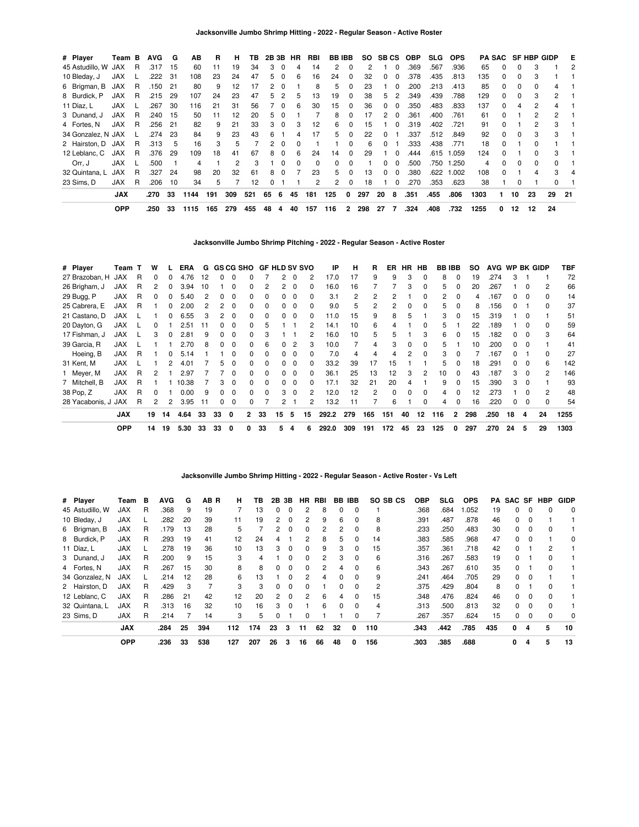| # Player           | Team B     |    | <b>AVG</b> | G   | ΑВ   | R   | н              | ΤВ  | 2B 3B |          | HR | RBI      | <b>BB IBB</b> |          |     | SO SBCS      |          | <b>OBP</b> | <b>SLG</b> | <b>OPS</b> |      |              |          | <b>PA SAC SF HBP GIDP</b> |                | E   |
|--------------------|------------|----|------------|-----|------|-----|----------------|-----|-------|----------|----|----------|---------------|----------|-----|--------------|----------|------------|------------|------------|------|--------------|----------|---------------------------|----------------|-----|
| 45 Astudillo, W    | JAX        | R  | .317       | 15  | 60   | 11  | 19             | 34  | 3     | 0        | 4  | 14       | 2             | 0        |     |              |          | .369       | .567       | .936       | 65   | 0            | 0        | 3                         |                | 2   |
| 10 Bleday, J       | <b>JAX</b> |    | .222       | 31  | 108  | 23  | 24             | 47  | 5     | $\Omega$ | 6  | 16       | 24            | 0        | 32  | 0            | $\Omega$ | .378       | .435       | .813       | 135  | $\Omega$     | 0        |                           |                |     |
| 6 Brigman, B       | JAX        | R  | .150       | 21  | 80   | 9   | 12             | 17  |       | - 0      |    | 8        | 5             | 0        | 23  |              | $\Omega$ | .200       | .213       | .413       | 85   | 0            | 0        | 0                         | 4              |     |
| 8 Burdick, P       | <b>JAX</b> | R  | .215       | 29  | 107  | 24  | 23             | 47  | 5     | 2        | 5  | 13       | 19            | 0        | 38  | 5.           | 2        | .349       | .439       | .788       | 129  | $\Omega$     | 0        | 3                         | $\mathbf{2}$   |     |
| 11 Díaz, L         | <b>JAX</b> |    | .267       | 30  | 116  | 21  | 31             | 56  |       | $\Omega$ | 6  | 30       | 15            | 0        | 36  | 0            | $\Omega$ | .350       | .483       | .833       | 137  | $\Omega$     | 4        | 2                         | 4              |     |
| 3 Dunand, J        | <b>JAX</b> | R  | .240       | 15  | 50   | 11  | 12             | 20  | 5     | $\Omega$ |    |          | 8             | 0        | 17  | 2            | $\Omega$ | .361       | .400       | .761       | 61   | <sup>0</sup> |          | 2                         | $\overline{2}$ |     |
| 4 Fortes, N        | <b>JAX</b> | R  | .256       | 21  | 82   | 9   | 21             | 33  | з     | $\Omega$ | з  | 12       | 6             | 0        | 15  |              | $\Omega$ | .319       | .402       | .721       | 91   | <sup>0</sup> |          | 2                         | 3              |     |
| 34 Gonzalez, N JAX |            |    | .274       | -23 | 84   | 9   | 23             | 43  | 6     |          |    | 17       | 5.            | 0        | 22  | <sup>0</sup> |          | .337       | .512       | .849       | 92   | $\Omega$     | $\Omega$ |                           | 3              |     |
| 2 Hairston, D      | JAX        | R. | .313       | -5  | 16   | 3   | 5              |     | 2     | 0        | 0  |          |               | 0        | 6   | 0            |          | .333       | .438       | .771       | 18   | 0            |          |                           |                |     |
| 12 Leblanc, C      | <b>JAX</b> | R  | .376       | 29  | 109  | 18  | 41             | 67  | 8     | $\Omega$ | 6  | 24       | 14            | $\Omega$ | 29  |              | $\Omega$ | .444       | .615       | 1.059      | 124  | $\Omega$     |          | O.                        | 3              |     |
| Orr. J             | <b>JAX</b> |    | .500       |     | 4    |     | $\overline{2}$ | 3   |       | $\Omega$ | 0  | $\Omega$ | $\Omega$      | 0        |     | 0            | $\Omega$ | .500       | .750       | 1.250      | 4    | <sup>0</sup> | $\Omega$ | $\Omega$                  | $\Omega$       |     |
| 32 Quintana, L     | <b>JAX</b> | R  | .327       | 24  | 98   | 20  | 32             | 61  | 8     | $\Omega$ |    | 23       | 5.            | 0        | 13  | 0            | $\Omega$ | .380       | .622       | 1.002      | 108  | <sup>0</sup> |          |                           | 3              |     |
| 23 Sims, D         | <b>JAX</b> | R  | .206       | 10  | 34   | 5   |                | 12  |       |          |    | 2        | 2             | 0        | 18  |              | 0        | .270       | .353       | .623       | 38   |              | 0        |                           |                |     |
|                    | <b>JAX</b> |    | .270       | 33  | 1144 | 191 | 309            | 521 | 65    | 6        | 45 | 181      | 125           | 0        | 297 | 20           | 8        | .351       | .455       | .806       | 1303 |              | 10       | 23                        | 29             | -21 |
|                    | <b>OPP</b> |    | .250       | 33  | 1115 | 165 | 279            | 455 | 48    | 4        | 40 | 157      | 116           | 2        | 298 | 27           |          | .324       | .408       | .732       | 1255 | 0            | 12       | 12                        | 24             |     |

**Jacksonville Jumbo Shrimp Pitching - 2022 - Regular Season - Active Roster**

| # Player            | Team       |   | w            |    | ERA   | G  |          |              |              | GS CG SHO GF HLD SV SVO |          |          |          | IP    | н   | R   | ER       | HR.          | HB           |     | <b>BB IBB</b> | SO. | <b>AVG</b> |              |          | WP BK GIDP     | TBF  |
|---------------------|------------|---|--------------|----|-------|----|----------|--------------|--------------|-------------------------|----------|----------|----------|-------|-----|-----|----------|--------------|--------------|-----|---------------|-----|------------|--------------|----------|----------------|------|
| 27 Brazoban. H      | JAX        | R | 0            | 0  | 4.76  | 12 | $\Omega$ | $\Omega$     | 0            |                         | 2        | $\Omega$ | 2        | 17.0  | 17  | 9   | 9        | 3            | $\Omega$     | 8   | $\Omega$      | 19  | .274       | 3            |          |                | 72   |
| 26 Brigham, J       | <b>JAX</b> | R | 2            | 0  | 3.94  | 10 |          | $\Omega$     | 0            | 2                       | 2        | $\Omega$ | 0        | 16.0  | 16  |     |          | 3            | $\Omega$     | 5   | $\Omega$      | 20  | .267       |              |          | $\overline{2}$ | 66   |
| 29 Bugg, P          | <b>JAX</b> | R | <sup>0</sup> | 0  | 5.40  | 2  | 0        | $\Omega$     | <sup>0</sup> | $\Omega$                |          |          | 0        | 3.1   | 2   | 2   | 2        |              | <sup>0</sup> | 2   | $\Omega$      | 4   | .167       | O.           | - 0      | $\Omega$       | 14   |
| 25 Cabrera, E       | <b>JAX</b> | R |              |    | 2.00  |    |          | $\Omega$     | 0            | $\Omega$                |          |          | 0        | 9.0   | 5   | 2   | 2        | ŋ            | <sup>0</sup> | 5   | $\Omega$      | 8   | .156       |              |          | $\Omega$       | 37   |
| 21 Castano, D       | <b>JAX</b> |   |              |    | 6.55  | 3  | 2        | $\Omega$     | <sup>0</sup> | $\Omega$                |          |          | 0        | 11.0  | 15  | 9   | 8        | 5            |              | 3   |               | 15  | .319       |              |          |                | 51   |
| 20 Dayton, G        | <b>JAX</b> |   | 0            |    | 2.51  | 11 | O.       | $\Omega$     | 0            | 5                       |          |          | 2        | 14.1  | 10  | 6   | 4        |              | <sup>0</sup> | 5   |               | 22  | .189       |              |          | $\Omega$       | 59   |
| 17 Fishman, J       | <b>JAX</b> |   | 3            |    | 2.81  | 9  | 0        | 0            | 0            |                         |          |          |          | 16.0  | 10  | 5   | 5        |              | 3            | 6   | $\Omega$      | 15  | .182       |              |          | 3              | 64   |
| 39 Garcia, R        | <b>JAX</b> |   |              |    | 2.70  | 8  | $\Omega$ | $\Omega$     | <sup>0</sup> | 6                       | 0        |          | 3        | 10.0  |     | 4   | 3        | 0            | $\Omega$     | 5   |               | 10  | .200       | 0            | 0        |                | 41   |
| Hoeing, B           | <b>JAX</b> | R |              | 0  | 5.14  |    |          | $\Omega$     | <sup>0</sup> | $\Omega$                | 0        | 0        | $\Omega$ | 7.0   | 4   | 4   | 4        | 2            | $\Omega$     | 3   | $\Omega$      |     | .167       |              |          | 0              | 27   |
| 31 Kent, M          | <b>JAX</b> |   |              | 2  | 4.01  |    | 5.       | $\Omega$     | 0            | $\Omega$                | $\Omega$ | $\Omega$ | $\Omega$ | 33.2  | 39  | 17  | 15       |              |              | 5   | $\Omega$      | 18  | .291       | $^{\circ}$   | $\Omega$ | 6              | 142  |
| 1 Meyer, M          | <b>JAX</b> | R | 2            |    | 2.97  |    |          | $\Omega$     | <sup>0</sup> | $\Omega$                | $\Omega$ | $\Omega$ | $\Omega$ | 36.1  | 25  | 13  | 12       | З            | 2            | 10  | $\Omega$      | 43  | .187       | 3            | $\Omega$ | 2              | 146  |
| 7 Mitchell, B       | <b>JAX</b> | R |              |    | 10.38 |    | 3        | $\Omega$     | <sup>0</sup> | $\Omega$                | 0        | $\Omega$ | 0        | 17.1  | 32  | 21  | 20       | 4            |              | 9   | $\Omega$      | 15  | .390       | 3            | $\Omega$ |                | 93   |
| 38 Pop, Z           | <b>JAX</b> | R | 0            |    | 0.00  | 9  | $\Omega$ | $\Omega$     | 0            | $\Omega$                | 3        | $\Omega$ | 2        | 12.0  | 12  | 2   | $\Omega$ | <sup>0</sup> | $\Omega$     | 4   | $\Omega$      | 12  | 273        |              |          | 2              | 48   |
| 28 Yacabonis, J JAX |            | R | 2            | 2  | 3.95  | 11 | 0        | 0            | 0            |                         | 2        |          | 2        | 13.2  | 11  |     | 6        |              | $\Omega$     | 4   | $\Omega$      | 16  | .220       | <sup>0</sup> | $\Omega$ | $\Omega$       | 54   |
|                     | <b>JAX</b> |   | 19           | 14 | 4.64  | 33 | 33       | $\mathbf{0}$ | $\mathbf{2}$ | 33                      | 15       | 5        | 15       | 292.2 | 279 | 165 | 151      | 40           | 12           | 116 | $\mathbf{2}$  | 298 | .250       | 18           | 4        | 24             | 1255 |
|                     | <b>OPP</b> |   | 14           | 19 | 5.30  | 33 | 33       | $\mathbf 0$  | 0            | 33                      | 5        | 4        | 6        | 292.0 | 309 | 191 | 172      | 45           | 23           | 125 | 0             | 297 | .270       | 24           | 5        | 29             | 1303 |

# **Jacksonville Jumbo Shrimp Hitting - 2022 - Regular Season - Active Roster - Vs Left**

| # Player        | Team       | в | AVG  | G  | AB R | н   | ΤВ  | 2B             | 3В           | HR       | RBI | BB           | IBB      | SO SB CS | OBP  | <b>SLG</b> | <b>OPS</b> | PA  | SAC SF   |              | HBP          | <b>GIDP</b> |
|-----------------|------------|---|------|----|------|-----|-----|----------------|--------------|----------|-----|--------------|----------|----------|------|------------|------------|-----|----------|--------------|--------------|-------------|
| 45 Astudillo, W | JAX        | R | .368 | 9  | 19   |     | 13  | 0              | $\Omega$     | 2        | 8   | 0            |          |          | .368 | .684       | .052       | 19  | 0        | 0            |              | $\Omega$    |
| 10 Bleday, J    | <b>JAX</b> |   | .282 | 20 | 39   | 11  | 19  | $\overline{2}$ | $\Omega$     | 2        | 9   | 6            | $\Omega$ | 8        | .391 | .487       | .878       | 46  | 0        | $\Omega$     |              |             |
| 6 Brigman, B    | <b>JAX</b> | R | .179 | 13 | 28   | 5   |     | 2              | $\Omega$     | 0        | 2   | 2            |          | 8        | .233 | .250       | .483       | 30  | 0        | 0            |              |             |
| 8 Burdick, P    | <b>JAX</b> | R | .293 | 19 | 41   | 12  | 24  | 4              |              | 2        | 8   | 5            | $\Omega$ | 14       | .383 | .585       | .968       | 47  | $\Omega$ | $\Omega$     |              | $\Omega$    |
| 11 Díaz, L      | <b>JAX</b> |   | .278 | 19 | 36   | 10  | 13  | 3              | $\Omega$     | $\Omega$ | 9   | 3            | $\Omega$ | 15       | .357 | .361       | .718       | 42  | 0        |              | 2            |             |
| 3 Dunand, J     | <b>JAX</b> | R | .200 | 9  | 15   | 3   | 4   |                | 0            | 0        | 2   | 3            |          | 6        | .316 | .267       | .583       | 19  | 0        |              |              |             |
| 4 Fortes, N     | <b>JAX</b> | R | .267 | 15 | 30   | 8   | 8   | 0              | $\Omega$     | $\Omega$ | 2   | 4            | $\Omega$ | 6        | .343 | .267       | .610       | 35  | 0        |              | <sup>0</sup> |             |
| 34 Gonzalez, N  | <b>JAX</b> |   | .214 | 12 | 28   | 6   | 13  |                | <sup>0</sup> | 2        | 4   | <sup>n</sup> |          | 9        | .241 | .464       | .705       | 29  | 0        | $\Omega$     |              |             |
| 2 Hairston, D   | <b>JAX</b> | R | .429 | 3  |      | 3   | З   | 0              | $\Omega$     | 0        |     | 0            | $\Omega$ | 2        | .375 | .429       | .804       | 8   | 0        |              | 0            |             |
| 12 Leblanc, C   | <b>JAX</b> | R | .286 | 21 | 42   | 12  | 20  | $\overline{2}$ | $\Omega$     | 2        | 6   | 4            | $\Omega$ | 15       | .348 | .476       | .824       | 46  | 0        | <sup>0</sup> | $\Omega$     |             |
| 32 Quintana, L  | <b>JAX</b> | R | .313 | 16 | 32   | 10  | 16  | 3              | $\Omega$     |          | 6   | 0            |          | 4        | .313 | .500       | .813       | 32  | 0        | 0            | <sup>0</sup> |             |
| 23 Sims, D      | JAX        | R | .214 |    | 14   | 3   | 5   | 0              |              | 0        |     |              |          |          | .267 | .357       | .624       | 15  | 0        | 0            | 0            | $\Omega$    |
|                 | <b>JAX</b> |   | .284 | 25 | 394  | 112 | 174 | 23             | 3            | 11       | 62  | 32           | 0        | 110      | .343 | .442       | .785       | 435 | 0        | 4            | 5            | 10          |
|                 | <b>OPP</b> |   | .236 | 33 | 538  | 127 | 207 | 26             | з            | 16       | 66  | 48           | 0        | 156      | .303 | .385       | .688       |     | 0        | 4            | 5            | 13          |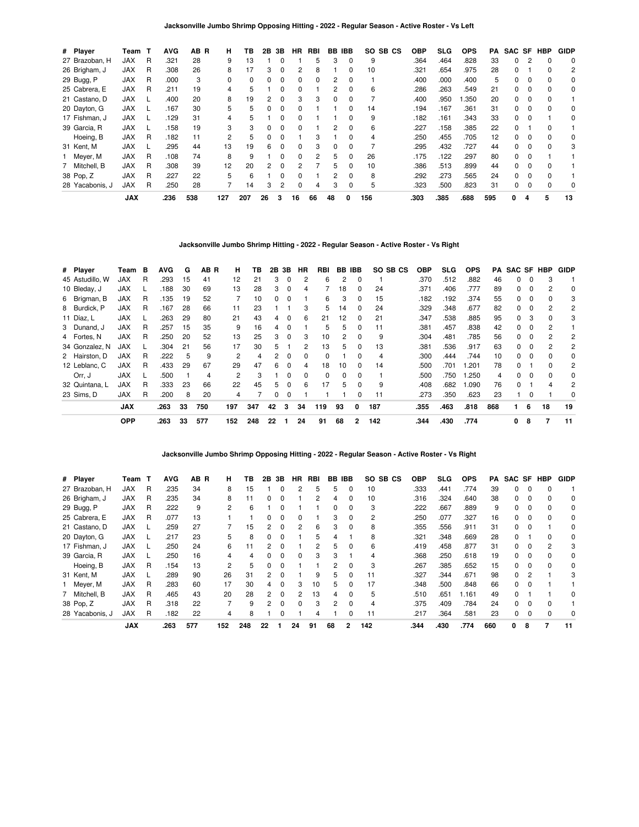**Jacksonville Jumbo Shrimp Opposing Hitting - 2022 - Regular Season - Active Roster - Vs Left**

| # Player        | Team       | т | <b>AVG</b> | AB R | н        | ΤВ  | 2В | 3В           | <b>HR</b> | RBI           | BB | <b>IBB</b>   | SO SB CS | <b>OBP</b> | SLG  | <b>OPS</b> | PA  | SAC SF |   | <b>HBP</b> | <b>GIDP</b> |
|-----------------|------------|---|------------|------|----------|-----|----|--------------|-----------|---------------|----|--------------|----------|------------|------|------------|-----|--------|---|------------|-------------|
| 27 Brazoban, H  | <b>JAX</b> | R | .321       | 28   | 9        | 13  |    |              |           | 5             | 3  |              | 9        | .364       | .464 | .828       | 33  | 0      |   |            | 0           |
| 26 Brigham, J   | <b>JAX</b> | R | .308       | 26   | 8        | 17  | 3  | 0            | 2         | 8             |    |              | 10       | .321       | .654 | .975       | 28  | 0      |   | 0          | 2           |
| 29 Bugg, P      | <b>JAX</b> | R | .000       | 3    | $\Omega$ | 0   | 0  | 0            | 0         | <sup>0</sup>  | 2  | 0            |          | .400       | .000 | .400       | 5   | 0      |   | $\Omega$   | 0           |
| 25 Cabrera, E   | <b>JAX</b> | R | .211       | 19   | 4        | 5   |    | <sup>0</sup> | 0         |               | 2  | <sup>0</sup> | 6        | .286       | .263 | .549       | 21  | 0      |   |            | 0           |
| 21 Castano, D   | <b>JAX</b> |   | .400       | 20   | 8        | 19  |    | 0            | 3         | 3             | 0  |              |          | .400       | .950 | .350       | 20  | 0      |   |            |             |
| 20 Dayton, G    | <b>JAX</b> |   | .167       | 30   | 5.       | 5   | 0  | 0            | 0         |               |    | n.           | 14       | .194       | .167 | .361       | 31  | 0      |   | $\Omega$   | $\Omega$    |
| 17 Fishman, J   | <b>JAX</b> |   | .129       | 31   | 4        | 5   |    | 0            | 0         |               |    |              | 9        | .182       | .161 | .343       | 33  | 0      |   |            | 0           |
| 39 Garcia, R    | <b>JAX</b> |   | .158       | 19   | 3        | 3   | 0  | 0            | 0         |               | 2  |              | 6        | .227       | .158 | .385       | 22  | 0      |   |            |             |
| Hoeing, B       | <b>JAX</b> | R | .182       | 11   | 2        | 5   | 0  | 0            |           | 3             |    |              |          | .250       | .455 | .705       | 12  | 0      |   |            | 0           |
| 31 Kent, M      | <b>JAX</b> |   | .295       | 44   | 13       | 19  | 6  | $\Omega$     | 0         | 3             | 0  | <sup>0</sup> |          | .295       | .432 | .727       | 44  | 0      |   | $\Omega$   | 3           |
| 1 Meyer, M      | <b>JAX</b> | R | .108       | 74   | 8        | 9   |    | 0            | 0         | $\mathcal{P}$ | 5  | 0            | 26       | .175       | .122 | .297       | 80  | 0      |   |            |             |
| 7 Mitchell, B   | <b>JAX</b> | R | .308       | 39   | 12       | 20  | 2  | 0            |           |               | 5  |              | 10       | .386       | .513 | .899       | 44  | 0      |   |            |             |
| 38 Pop, Z       | <b>JAX</b> | R | .227       | 22   | 5        | 6   |    | $\Omega$     | 0         |               | 2  | <sup>0</sup> | 8        | .292       | .273 | .565       | 24  | 0      |   | $\Omega$   |             |
| 28 Yacabonis, J | <b>JAX</b> | R | .250       | 28   |          | 14  | 3  | 2            | 0         | 4             | 3  |              | 5        | .323       | .500 | .823       | 31  | 0      |   | $\Omega$   | 0           |
|                 | <b>JAX</b> |   | .236       | 538  | 127      | 207 | 26 | 3            | 16        | 66            | 48 | 0            | 156      | .303       | .385 | .688       | 595 | 0      | 4 | 5          | 13          |

**Jacksonville Jumbo Shrimp Hitting - 2022 - Regular Season - Active Roster - Vs Right**

| # Player        | Team       | в | <b>AVG</b> | G  | AB R | н   | ΤВ  |    | 2B 3B        | HR       | RBI      |    | BB IBB   | SO SB CS | <b>OBP</b> | <b>SLG</b> | <b>OPS</b> | PA  | SAC SF HBP   |          |              | <b>GIDP</b> |
|-----------------|------------|---|------------|----|------|-----|-----|----|--------------|----------|----------|----|----------|----------|------------|------------|------------|-----|--------------|----------|--------------|-------------|
| 45 Astudillo. W | <b>JAX</b> | R | .293       | 15 | 41   | 12  | 21  | 3  | $\Omega$     | 2        | 6        | 2  | 0        |          | .370       | .512       | .882       | 46  | 0            | $\Omega$ | 3            |             |
| 10 Bleday, J    | <b>JAX</b> |   | .188       | 30 | 69   | 13  | 28  | 3  | 0            | 4        |          | 18 | 0        | 24       | .371       | .406       | .777       | 89  | 0            | $\Omega$ | 2            | 0           |
| 6 Brigman, B    | <b>JAX</b> | R | .135       | 19 | 52   |     | 10  | 0  | 0            |          | 6        | 3  | 0        | 15       | .182       | .192       | .374       | 55  | 0            | $\Omega$ | 0            | 3           |
| 8 Burdick, P    | <b>JAX</b> | R | .167       | 28 | 66   | 11  | 23  |    |              | 3        | 5        | 14 | 0        | 24       | .329       | .348       | .677       | 82  | 0            |          |              | 2           |
| 11 Díaz, L      | <b>JAX</b> |   | .263       | 29 | 80   | 21  | 43  | 4  | 0            | 6        | 21       | 12 | 0        | 21       | .347       | .538       | .885       | 95  | 0            | 3        |              | 3           |
| 3 Dunand, J     | <b>JAX</b> | R | .257       | 15 | 35   | 9   | 16  | 4  | $\Omega$     |          | 5        | 5  | $\Omega$ | 11       | .381       | .457       | .838       | 42  | 0            | $\Omega$ | 2            |             |
| 4 Fortes, N     | <b>JAX</b> | R | .250       | 20 | 52   | 13  | 25  | 3  | $\Omega$     | 3        | 10       | 2  | $\Omega$ | 9        | .304       | .481       | .785       | 56  | 0            | $\Omega$ | 2            | 2           |
| 34 Gonzalez, N  | <b>JAX</b> |   | .304       | 21 | 56   | 17  | 30  | 5. |              | 2        | 13       | 5. | $\Omega$ | 13       | .381       | .536       | .917       | 63  | 0            | $\Omega$ | 2            | 2           |
| 2 Hairston, D   | <b>JAX</b> | R | .222       | 5  | 9    | 2   | 4   | 2  | $\Omega$     | 0        | 0        |    | 0        | 4        | .300       | .444       | .744       | 10  | 0            | $\Omega$ |              | 0           |
| 12 Leblanc, C   | <b>JAX</b> | R | .433       | 29 | 67   | 29  | 47  | 6  | $\Omega$     | 4        | 18       | 10 | $\Omega$ | 14       | .500       | .701       | .201       | 78  | <sup>0</sup> |          | 0            | 2           |
| Orr, J          | <b>JAX</b> |   | .500       |    | 4    | 2   | 3   |    | <sup>0</sup> | $\Omega$ | $\Omega$ | 0  | $\Omega$ |          | .500       | .750       | .250       | 4   | 0            | $\Omega$ | <sup>0</sup> | $\Omega$    |
| 32 Quintana, L  | <b>JAX</b> | R | .333       | 23 | 66   | 22  | 45  | 5  | $\Omega$     | 6        | 17       | 5. | $\Omega$ | 9        | .408       | .682       | .090       | 76  | <sup>0</sup> |          | 4            | 2           |
| 23 Sims. D      | <b>JAX</b> | R | .200       | 8  | 20   | 4   |     | 0  | 0            |          |          |    | 0        | 11       | .273       | .350       | .623       | 23  |              | $\Omega$ |              | 0           |
|                 | <b>JAX</b> |   | .263       | 33 | 750  | 197 | 347 | 42 | 3            | 34       | 119      | 93 | 0        | 187      | .355       | .463       | .818       | 868 |              | 6        | 18           | 19          |
|                 | <b>OPP</b> |   | .263       | 33 | 577  | 152 | 248 | 22 |              | 24       | 91       | 68 | 2        | 142      | .344       | .430       | .774       |     | 0            | 8        | 7            | 11          |

**Jacksonville Jumbo Shrimp Opposing Hitting - 2022 - Regular Season - Active Roster - Vs Right**

| # Player        | Team       | т | <b>AVG</b> | AB R | н   | ΤВ  | 2Β           | 3В       | ΗR           | RBI | BB           | IBB            | SO SB CS | <b>OBP</b> | SLG  | <b>OPS</b> | PA  | SAC SF |   | HBP | <b>GIDP</b> |
|-----------------|------------|---|------------|------|-----|-----|--------------|----------|--------------|-----|--------------|----------------|----------|------------|------|------------|-----|--------|---|-----|-------------|
| 27 Brazoban, H  | JAX        | R | .235       | 34   | 8   | 15  |              | 0        | 2            | 5   | 5            | 0              | 10       | .333       | .441 | .774       | 39  | 0      |   |     |             |
| 26 Brigham, J   | <b>JAX</b> | R | .235       | 34   | 8   | 11  | 0            | 0        |              | 2   | 4            | 0              | 10       | .316       | .324 | .640       | 38  | 0      |   |     | 0           |
| 29 Bugg, P      | <b>JAX</b> | R | 222        | 9    | 2   | 6   |              | n        |              |     | <sup>0</sup> | $\Omega$       | 3        | .222       | .667 | .889       | 9   | 0      |   |     | 0           |
| 25 Cabrera, E   | <b>JAX</b> | R | .077       | 13   |     |     |              | 0        |              |     | з            | 0              | 2        | .250       | .077 | .327       | 16  | 0      |   |     | 0           |
| 21 Castano, D   | <b>JAX</b> |   | .259       | 27   |     | 15  | 2            | 0        |              | 6   | 3            | 0              | 8        | .355       | .556 | .911       | 31  | 0      |   |     | 0           |
| 20 Dayton, G    | <b>JAX</b> |   | .217       | 23   | 5   | 8   | 0            | 0        |              | 5   | 4            |                | 8        | .321       | .348 | .669       | 28  | 0      |   | U   | 0           |
| 17 Fishman, J   | <b>JAX</b> |   | .250       | 24   | 6   |     |              |          |              | 2   | 5            | <sup>0</sup>   | 6        | .419       | .458 | .877       | 31  | O.     |   | 2   | 3           |
| 39 Garcia, R    | <b>JAX</b> |   | .250       | 16   | 4   | 4   |              | 0        | 0            | 3   |              |                |          | .368       | .250 | .618       | 19  | 0      |   |     | 0           |
| Hoeing, B       | <b>JAX</b> | R | .154       | 13   | 2   | 5   | <sup>0</sup> | 0        |              |     | 2            | 0              | 3        | .267       | .385 | .652       | 15  | 0      |   |     | 0           |
| 31 Kent, M      | <b>JAX</b> |   | .289       | 90   | 26  | 31  | 2            | ŋ        |              | 9   | 5            | <sup>0</sup>   | 11       | .327       | .344 | .671       | 98  | 0      | 2 |     |             |
| Meyer, M        | <b>JAX</b> | R | .283       | 60   | 17  | 30  |              | 0        | з            | 10  | 5.           | <sup>0</sup>   | 17       | .348       | .500 | .848       | 66  | 0      |   |     |             |
| 7 Mitchell, B   | <b>JAX</b> | R | .465       | 43   | 20  | 28  | 2            | 0        | 2            | 13  | 4            | 0              | 5        | .510       | .651 | 1.161      | 49  | 0      |   |     | 0           |
| 38 Pop, Z       | <b>JAX</b> | R | .318       | 22   |     | 9   | 2            | $\Omega$ | <sup>0</sup> | 3   | 2            | $\Omega$       | 4        | .375       | .409 | .784       | 24  | 0      |   |     |             |
| 28 Yacabonis, J | <b>JAX</b> | R | .182       | 22   | 4   | 8   |              | 0        |              |     |              |                |          | .217       | .364 | .581       | 23  | 0      |   |     | 0           |
|                 | <b>JAX</b> |   | .263       | 577  | 152 | 248 | 22           |          | 24           | 91  | 68           | $\overline{2}$ | 142      | .344       | .430 | .774       | 660 | 0      | 8 |     | 11          |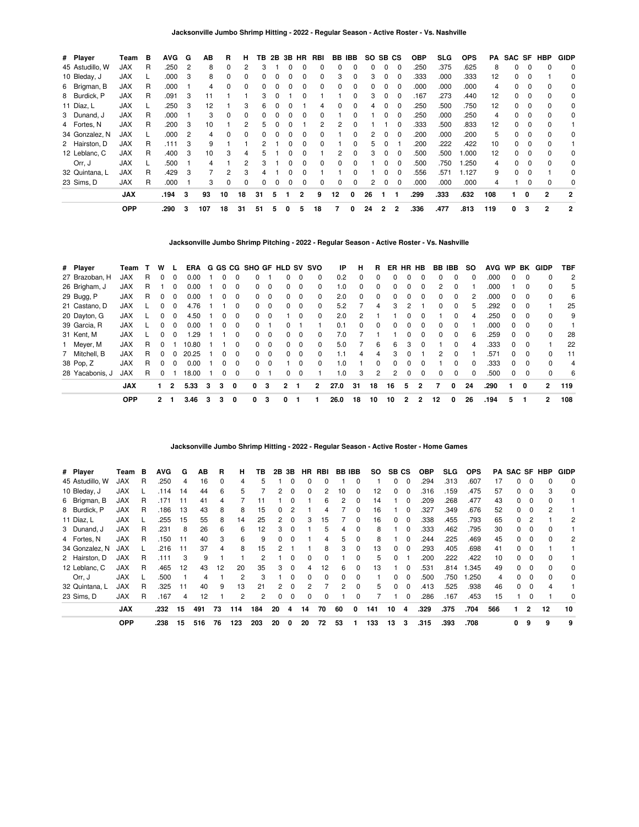| # Player        | Team       | в | <b>AVG</b> | G              | ΑВ  | R        | н            | ΤВ  | 2B |   | 3B HR        | RBI          |              | <b>BB IBB</b> |    | SO SB CS       |          | <b>OBP</b> | SLG  | <b>OPS</b> | PA  |    |              | SAC SF HBP     | <b>GIDP</b>    |
|-----------------|------------|---|------------|----------------|-----|----------|--------------|-----|----|---|--------------|--------------|--------------|---------------|----|----------------|----------|------------|------|------------|-----|----|--------------|----------------|----------------|
| 45 Astudillo, W | <b>JAX</b> | R | .250       | $\overline{2}$ | 8   | $\Omega$ |              |     |    |   |              |              |              |               | 0  | $\Omega$       | $\Omega$ | .250       | .375 | .625       | 8   | 0  | 0            |                | 0              |
| 10 Bleday, J    | <b>JAX</b> |   | .000       | 3              | 8   | 0        | <sup>0</sup> |     |    |   |              |              |              |               | 3  | $\Omega$       | 0        | .333       | .000 | .333       | 12  | 0  |              |                | 0              |
| 6 Brigman, B    | JAX        | R | .000       |                |     | 0        |              |     |    |   |              | 0            |              | <sup>0</sup>  | 0  | 0              | 0        | .000       | .000 | .000       |     | 0  |              |                | 0              |
| 8 Burdick, P    | <b>JAX</b> | R | .091       | 3              | 11  |          |              | 3   |    |   |              |              |              | O             | 3  | $\Omega$       | $\Omega$ | .167       | .273 | .440       | 12  | 0  | 0            | 0              | 0              |
| 11 Díaz, L      | <b>JAX</b> | L | .250       | 3              | 12  |          | 3            | 6   |    |   |              | 4            |              | 0             | 4  | 0              | $\Omega$ | .250       | .500 | .750       | 12  | 0  | $\Omega$     | $\Omega$       | 0              |
| 3 Dunand, J     | <b>JAX</b> | R | .000       |                | 3   | $\Omega$ | <sup>0</sup> |     |    |   | n            | <sup>0</sup> |              | O             |    | <sup>0</sup>   | 0        | .250       | .000 | .250       | 4   | O. | <sup>0</sup> | $\Omega$       | 0              |
| 4 Fortes, N     | <b>JAX</b> | R | .200       | 3              | 10  |          |              | h   |    |   |              |              |              |               |    |                | 0        | .333       | .500 | .833       | 12  | O. |              | $\Omega$       |                |
| 34 Gonzalez, N  | <b>JAX</b> |   | .000       | 2              | 4   | $\Omega$ |              |     |    |   |              |              |              |               | 2  | $\Omega$       | 0        | .200       | .000 | .200       | 5   | 0  |              |                | 0              |
| 2 Hairston, D   | <b>JAX</b> | R | .111       | 3              | 9   |          |              |     |    |   |              | $\Omega$     |              | 0             | 5  | 0              |          | .200       | .222 | .422       | 10  | 0  | 0            |                |                |
| 12 Leblanc, C   | <b>JAX</b> | R | .400       | 3              | 10  | 3        |              | 'n. |    | 0 | <sup>0</sup> |              | 2            | <sup>0</sup>  | 3  | $\Omega$       | $\Omega$ | .500       | .500 | .000       | 12  | 0  | 0            | $\Omega$       | 0              |
| Orr, J          | <b>JAX</b> | L | .500       |                | 4   |          |              | 3   |    | O | $\Omega$     | $\Omega$     | n            | <sup>0</sup>  |    | 0              | $\Omega$ | .500       | .750 | 1.250      | 4   | 0  | <sup>0</sup> | $\Omega$       | 0              |
| 32 Quintana, L  | <b>JAX</b> | R | .429       | 3              |     | 2        |              |     |    |   |              |              |              |               |    |                | 0        | .556       | .571 | 1.127      | 9   | O. |              |                | 0              |
| 23 Sims, D      | <b>JAX</b> | R | .000       |                | 3   | $\Omega$ | $\Omega$     | 0   |    | 0 | 0            | 0            | <sup>0</sup> | 0             | 2  | 0              | 0        | .000       | .000 | .000       |     |    |              | $\Omega$       | 0              |
|                 | <b>JAX</b> |   | .194       | 3              | 93  | 10       | 18           | 31  | 5  |   | 2            | 9            | 12           | 0             | 26 |                |          | .299       | .333 | .632       | 108 |    | 0            | $\overline{2}$ | $\overline{2}$ |
|                 | <b>OPP</b> |   | .290       | 3              | 107 | 18       | 31           | 51  | 5  | 0 | 5            | 18           |              | 0             | 24 | $\overline{2}$ | 2        | .336       | .477 | .813       | 119 | 0  | 3            | $\overline{2}$ | 2              |

**Jacksonville Jumbo Shrimp Pitching - 2022 - Regular Season - Active Roster - Vs. Nashville**

| # Player        | Team       |   | w            |              | ERA   |   |              |              |              |             | G GS CG SHO GF HLD SV SVO |                         |          | IP   | н        | R  | ER           | HR | HB       | BB IBB         |              | so | <b>AVG</b> | <b>WP</b>    | BK       | GIDP         | <b>TBF</b>     |
|-----------------|------------|---|--------------|--------------|-------|---|--------------|--------------|--------------|-------------|---------------------------|-------------------------|----------|------|----------|----|--------------|----|----------|----------------|--------------|----|------------|--------------|----------|--------------|----------------|
| 27 Brazoban, H  | <b>JAX</b> | R |              | 0            | 0.00  |   |              | <sup>0</sup> |              |             |                           | $\Omega$                | 0        | 0.2  | 0        |    |              |    |          | 0              | 0            | 0  | .000       |              | $\Omega$ |              | $\overline{2}$ |
| 26 Brigham, J   | <b>JAX</b> | R |              | 0            | 0.00  |   |              | 0            | 0            | $\mathbf 0$ | 0                         | $\Omega$                | $\Omega$ | 1.0  | 0        | 0  | <sup>0</sup> | 0  | $\Omega$ | $\overline{2}$ | 0            |    | .000       |              | $\Omega$ | 0            | 5              |
| 29 Bugg, P      | <b>JAX</b> | R | 0            | 0            | 0.00  |   |              | 0            | 0            | 0           | 0                         | $\overline{\mathbf{0}}$ | $\Omega$ | 2.0  | $\Omega$ | 0  |              |    | $\Omega$ | 0              | $\Omega$     |    | .000       | 0            | 0        | 0            | 6              |
| 21 Castano, D   | <b>JAX</b> |   |              | 0            | 4.76  |   |              | 0            | 0            | $\Omega$    | 0                         | $\Omega$                | $\Omega$ | 5.2  |          | 4  | з            | 2  |          | 0              | $\Omega$     | 5  | .292       | <sup>0</sup> | $\Omega$ |              | 25             |
| 20 Dayton, G    | <b>JAX</b> |   |              | 0            | 4.50  |   |              | 0            | 0            | 0           |                           | $\Omega$                | $\Omega$ | 2.0  | 2        |    |              | n  | $\Omega$ |                | $\Omega$     | 4  | .250       | 0            | $\Omega$ | 0            | 9              |
| 39 Garcia, R    | <b>JAX</b> |   |              | <sup>0</sup> | 0.00  |   |              | 0            | 0            |             | 0                         |                         |          | 0.1  | $\Omega$ | 0  |              |    | $\Omega$ | 0              | $\Omega$     |    | .000       | <sup>0</sup> | $\Omega$ | $\Omega$     |                |
| 31 Kent, M      | <b>JAX</b> |   |              | ŋ            | .29   |   |              | <sup>0</sup> | <sup>0</sup> | $\Omega$    | <sup>0</sup>              | $\Omega$                | $\Omega$ | 7.0  |          |    |              | n  | $\Omega$ | 0              | $\Omega$     | 6  | .259       | $\Omega$     | $\Omega$ | $\Omega$     | 28             |
| Meyer, M        | <b>JAX</b> | R |              |              | 10.80 |   |              | ŋ            | 0            | $\Omega$    | 0                         | $\overline{\mathbf{0}}$ | $\Omega$ | 5.0  |          | 6  | 6            | 3  | $\Omega$ |                | $\Omega$     | 4  | .333       | 0            |          |              | 22             |
| 7 Mitchell, B   | <b>JAX</b> | R | <sup>n</sup> |              | 20.25 |   | <sup>n</sup> | 0            | <sup>0</sup> | $\Omega$    | <sup>0</sup>              | $\Omega$                | $\Omega$ | 1.1  | 4        | 4  | 3            |    |          | 2              | <sup>0</sup> |    | .571       | <sup>0</sup> | $\Omega$ | 0            | 11             |
| 38 Pop, Z       | <b>JAX</b> | R |              |              | 0.00  |   |              | 0            | 0            | $\Omega$    |                           | $\Omega$                | $\Omega$ | 1.0  |          | O. |              |    |          |                | <sup>0</sup> |    | .333       | <sup>0</sup> |          | $\Omega$     | 4              |
| 28 Yacabonis, J | <b>JAX</b> | R |              |              | 18.00 |   |              | 0            | 0            |             | 0                         | - 0                     |          | 1.0  | 3        | 2  | 2            |    | $\Omega$ | 0              | $\Omega$     |    | .500       | $\Omega$     | $\Omega$ | $\Omega$     | 6              |
|                 | <b>JAX</b> |   |              | 2            | 5.33  | 3 | 3            | 0            | 0            | 3           | 2                         |                         | 2        | 27.0 | 31       | 18 | 16           | 5  | 2        |                | 0            | 24 | .290       |              | 0        | 2            | 119            |
|                 | <b>OPP</b> |   | $\mathbf{2}$ |              | 3.46  | 3 | 3            | 0            | 0            | 3           | 0                         |                         |          | 26.0 | 18       | 10 | 10           | 2  | 2        | 12             | 0            | 26 | .194       | 5            |          | $\mathbf{2}$ | 108            |

## **Jacksonville Jumbo Shrimp Hitting - 2022 - Regular Season - Active Roster - Home Games**

| # Player        | Team       | в | <b>AVG</b> | G  | ΑВ  | R        | н   | ΤВ  | 2В            | 3В       | HR. | RBI      | <b>BB IBB</b> |              | SO. | SB. | СS       | <b>OBP</b> | <b>SLG</b> | <b>OPS</b> |     | <b>PA SAC SF HBP</b> |              |    | <b>GIDP</b> |
|-----------------|------------|---|------------|----|-----|----------|-----|-----|---------------|----------|-----|----------|---------------|--------------|-----|-----|----------|------------|------------|------------|-----|----------------------|--------------|----|-------------|
| 45 Astudillo, W | <b>JAX</b> | R | .250       | 4  | 16  | $\Omega$ | 4   | 5   |               |          | 0   |          |               |              |     | 0   | $\Omega$ | .294       | .313       | .607       | 17  |                      |              |    | $\Omega$    |
| 10 Bleday, J    | JAX        |   | .114       | 14 | 44  | 6        | 5   |     |               |          | 0   | 2        | 10            | 0            | 12  | 0   | 0        | .316       | .159       | .475       | 57  |                      | 0            | 3  | $\Omega$    |
| 6 Brigman, B    | <b>JAX</b> | R | .171       | 11 | 41  | 4        |     |     |               |          |     | 6        | 2             | 0            | 14  |     | 0        | .209       | .268       | .477       | 43  | 0                    | 0            |    |             |
| 8 Burdick, P    | <b>JAX</b> | R | .186       | 13 | 43  | 8        | 8   | 15  | 0             |          |     | 4        |               | $\Omega$     | 16  |     | $\Omega$ | .327       | .349       | .676       | 52  | <sup>0</sup>         | $\Omega$     |    |             |
| 11 Díaz, L      | JAX        |   | .255       | 15 | 55  | 8        | 14  | 25  | $\mathcal{P}$ | 0        | 3   | 15       |               | 0            | 16  | 0   | $\Omega$ | .338       | .455       | .793       | 65  | <sup>0</sup>         | 2            |    |             |
| 3 Dunand, J     | <b>JAX</b> | R | .231       | 8  | 26  | 6        | 6   | 12  |               | O        |     | 5        |               | 0            | 8   |     |          | .333       | .462       | .795       | 30  |                      |              |    |             |
| 4 Fortes, N     | <b>JAX</b> | R | .150       | 11 | 40  | 3        | 6   | 9   |               |          |     | 4        | 5.            | 0            | 8   |     | $\Omega$ | .244       | .225       | .469       | 45  |                      | <sup>0</sup> |    | 2           |
| 34 Gonzalez, N  | <b>JAX</b> |   | .216       | 11 | 37  | 4        | 8   | 15  |               |          |     | 8        | 3             | 0            | 13  | 0   | $\Omega$ | .293       | .405       | .698       | 41  | 0                    | $\Omega$     |    |             |
| 2 Hairston, D   | <b>JAX</b> | R | .111       | 3  | 9   |          |     |     |               | 0        | 0   | $\Omega$ |               | 0            | 5   | 0   |          | .200       | .222       | .422       | 10  | <sup>0</sup>         | $\Omega$     |    |             |
| 12 Leblanc, C   | <b>JAX</b> | R | .465       | 12 | 43  | 12       | 20  | 35  | 3             | $\Omega$ | 4   | 12       | 6             | <sup>0</sup> | 13  |     | $\Omega$ | .531       | .814       | 1.345      | 49  | n.                   | $\Omega$     |    | $\Omega$    |
| Orr. J          | <b>JAX</b> |   | .500       |    | 4   |          | 2   | 3   |               | O        | 0   | $\Omega$ | O.            | O            |     | n   | $\Omega$ | .500       | .750       | 1.250      | 4   |                      |              |    | $\Omega$    |
| 32 Quintana, L  | <b>JAX</b> | R | .325       | 11 | 40  | 9        | 13  | 21  |               |          | 2   |          |               | 0            | 5   | 0   |          | .413       | .525       | .938       | 46  |                      | 0            |    |             |
| 23 Sims, D      | JAX        | R | .167       | 4  | 12  |          | 2   | 2   | 0             | $\Omega$ | 0   | $\Omega$ |               | 0            |     |     | $\Omega$ | .286       | .167       | .453       | 15  |                      | 0            |    | 0           |
|                 | <b>JAX</b> |   | .232       | 15 | 491 | 73       | 114 | 184 | 20            | 4        | 14  | 70       | 60            | 0            | 141 | 10  | 4        | .329       | .375       | .704       | 566 |                      | 2            | 12 | 10          |
|                 | <b>OPP</b> |   | .238       | 15 | 516 | 76       | 123 | 203 | 20            | 0        | 20  | 72       | 53            |              | 133 | 13  | 3        | .315       | .393       | .708       |     | 0                    | 9            | 9  | 9           |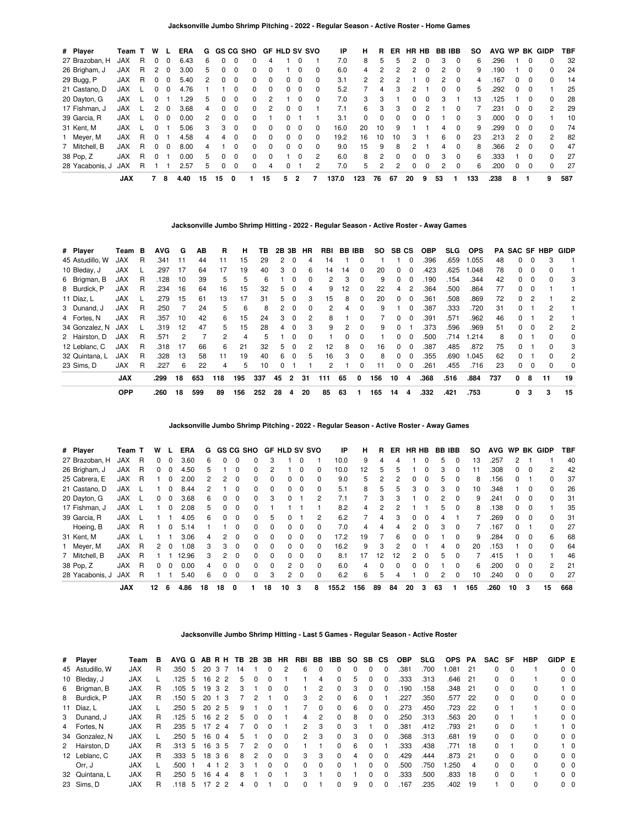| # Player        | Team T     |    | w            |              | <b>ERA</b> | G  |              |          | GS CG SHO    |              | <b>GF HLD SV SVO</b> |          |          | ΙP    | н             | R  | ER.          | HR HB    |              | BB. | <b>IBB</b>   | so  | <b>AVG</b> | <b>WP</b>     |              | <b>BK GIDP</b> | TBF |
|-----------------|------------|----|--------------|--------------|------------|----|--------------|----------|--------------|--------------|----------------------|----------|----------|-------|---------------|----|--------------|----------|--------------|-----|--------------|-----|------------|---------------|--------------|----------------|-----|
| 27 Brazoban, H  | <b>JAX</b> | R  | 0            | 0            | 6.43       | 6  | 0            |          | 0            | 4            |                      |          |          | 7.0   | 8             | 5  | 5            | 2        | 0            | 3   | 0            | 6   | .296       |               | 0            | 0              | 32  |
| 26 Brigham, J   | <b>JAX</b> | R. |              | 0            | 3.00       | 5  | 0            |          | 0            |              |                      |          |          | 6.0   | 4             |    |              | 2        |              |     |              | 9   | .190       |               | 0            | 0              | 24  |
| 29 Bugg, P      | <b>JAX</b> | R  | $\Omega$     | 0            | 5.40       | 2  | 0            | $\Omega$ | 0            | <sup>0</sup> | n.                   | $\Omega$ | $\Omega$ | 3.1   | $\mathcal{P}$ | 2  |              |          | O            | 2   | $\Omega$     | 4   | .167       | 0             | $\Omega$     | 0              | 14  |
| 21 Castano, D   | <b>JAX</b> |    | <sup>0</sup> | 0            | 4.76       |    |              |          | 0            | <sup>0</sup> | 0                    | $\Omega$ | $\Omega$ | 5.2   |               | 4  | з            | 2        |              | 0   | $\Omega$     | 5   | 292        | 0             | $\Omega$     |                | 25  |
| 20 Dayton, G    | <b>JAX</b> |    |              |              | .29        | 5  | 0            | $\Omega$ | 0            | 2            |                      | $\Omega$ | $\Omega$ | 7.0   | 3             | 3  |              | 0        | $\Omega$     | 3   |              | 13  | 125        |               | <sup>0</sup> | <sup>0</sup>   | 28  |
| 17 Fishman, J   | <b>JAX</b> |    |              | 0            | 3.68       | 4  | 0            | $\Omega$ | 0            | 2            | 0                    | $\Omega$ |          | 7.1   | 6             | 3  | з            | $\Omega$ | 2            |     | <sup>0</sup> |     | 231        | 0             | $\Omega$     | $\mathcal{P}$  | 29  |
| 39 Garcia, R    | <b>JAX</b> |    |              | 0            | 0.00       | 2  | <sup>0</sup> |          | 0            |              |                      |          |          | 3.1   | 0             | 0  |              | 0        |              |     |              | 3   | .000       | 0             | 0            |                | 10  |
| 31 Kent, M      | <b>JAX</b> |    | <sup>0</sup> |              | 5.06       | 3  | 3            | $\Omega$ | 0            | $\Omega$     | 0                    | $\Omega$ | $\Omega$ | 16.0  | 20            | 10 | 9            |          |              | 4   | $\Omega$     | 9   | 299        | <sup>0</sup>  | $\Omega$     | <sup>0</sup>   | 74  |
| 1 Meyer, M      | <b>JAX</b> | R. | $\Omega$     |              | 4.58       | 4  | 4            | $\Omega$ | <sup>0</sup> | $\Omega$     | O.                   | $\Omega$ | $\Omega$ | 19.2  | 16            | 10 | 10           | 3        |              | 6   | $\Omega$     | 23  | .213       | $\mathcal{P}$ | $\Omega$     | $\mathfrak{p}$ | -82 |
| 7 Mitchell, B   | <b>JAX</b> | R. | $\Omega$     | <sup>0</sup> | 8.00       | 4  |              | $\Omega$ | 0            | $\Omega$     | 0                    | $\Omega$ | $\Omega$ | 9.0   | 15            | 9  | 8            | 2        |              | 4   | $\Omega$     | 8   | .366       | $\mathcal{P}$ | $\Omega$     | $\Omega$       | 47  |
| 38 Pop, Z       | <b>JAX</b> | R. | <sup>0</sup> |              | 0.00       | 5  | 0            | $\Omega$ | 0            | <sup>n</sup> |                      | $\Omega$ | 2        | 6.0   | 8             | 2  | <sup>n</sup> | 0        | <sup>0</sup> | 3   | $\Omega$     | 6   | .333       |               | $\Omega$     | $\Omega$       | 27  |
| 28 Yacabonis, J | <b>JAX</b> | R. |              |              | 2.57       | 5  | 0            | $\Omega$ | 0            | 4            | 0                    |          | 2        | 7.0   | 5             | 2  |              | 0        | $\Omega$     | 2   | $\Omega$     | 6   | 200        | 0             | 0            | 0              | 27  |
|                 | <b>JAX</b> |    |              | 8            | 4.40       | 15 | 15           | 0        |              | 15           | 5                    | 2        |          | 137.0 | 123           | 76 | 67           | 20       | 9            | 53  |              | 133 | .238       | 8             |              | 9              | 587 |

#### **Jacksonville Jumbo Shrimp Hitting - 2022 - Regular Season - Active Roster - Away Games**

| # Player        | Team B     |   | <b>AVG</b> | G  | AВ  | R   | н   | ΤВ  | 2B | 3B       | HR       | RBI | BB IBB       |              | SO. | SB CS |          | <b>OBP</b> | SLG. | <b>OPS</b> | PA  |              |          | <b>SAC SF HBP</b> | GIDP           |
|-----------------|------------|---|------------|----|-----|-----|-----|-----|----|----------|----------|-----|--------------|--------------|-----|-------|----------|------------|------|------------|-----|--------------|----------|-------------------|----------------|
| 45 Astudillo, W | <b>JAX</b> | R | .341       | 11 | 44  | 11  | 15  | 29  | 2  | 0        | 4        | 14  |              | $\Omega$     |     |       | $\Omega$ | .396       | .659 | 1.055      | 48  | 0            | - 0      | 3                 |                |
| 10 Bleday, J    | <b>JAX</b> |   | .297       | 17 | 64  | 17  | 19  | 40  | 3  | $\Omega$ | 6        | 14  | 14           | <sup>0</sup> | 20  | n.    | $\Omega$ | .423       | .625 | .048       | 78  | <sup>0</sup> | $\Omega$ | ŋ                 |                |
| 6 Brigman, B    | <b>JAX</b> | R | .128       | 10 | 39  | 5   | 5   | 6   |    | 0        | 0        | 2   | 3            | $\Omega$     | 9   | 0     | 0        | .190       | .154 | .344       | 42  | 0            | $\Omega$ | 0                 | 3              |
| 8 Burdick, P    | <b>JAX</b> | R | .234       | 16 | 64  | 16  | 15  | 32  | 5  | $\Omega$ | 4        | 9   | 12           | 0            | 22  | 4     | 2        | .364       | .500 | .864       | 77  | $\Omega$     | $\Omega$ |                   |                |
| 11 Díaz, L      | <b>JAX</b> |   | .279       | 15 | 61  | 13  | 17  | 31  | 5. | $\Omega$ | 3        | 15  | 8            | <sup>0</sup> | 20  | 0     | $\Omega$ | .361       | .508 | .869       | 72  | 0            | 2        |                   | 2              |
| 3 Dunand, J     | <b>JAX</b> | R | .250       |    | 24  | 5.  | 6   | 8   | 2  | 0        | $\Omega$ | 2   | 4            | $\Omega$     | 9   |       | $\Omega$ | .387       | .333 | .720       | 31  | 0            |          |                   |                |
| 4 Fortes, N     | <b>JAX</b> | R | .357       | 10 | 42  | 6   | 15  | 24  | 3  | $\Omega$ | 2        | 8   |              | 0            |     | 0     | $\Omega$ | .391       | .571 | .962       | 46  | 0            |          | 2                 |                |
| 34 Gonzalez, N  | <b>JAX</b> |   | .319       | 12 | 47  | 5.  | 15  | 28  | 4  | $\Omega$ | 3        | 9   | 2            | $\Omega$     | 9   | O.    |          | .373       | .596 | .969       | 51  | 0            | $\Omega$ | 2                 | $\overline{c}$ |
| 2 Hairston, D   | <b>JAX</b> | R | .571       |    |     | 2   | 4   | 5   |    |          | 0        |     | <sup>0</sup> |              |     | O.    | $\Omega$ | .500       | .714 | 1.214      | 8   | <sup>0</sup> |          | ŋ                 | 0              |
| 12 Leblanc, C   | <b>JAX</b> | R | .318       | 17 | 66  | 6   | 21  | 32  | 5. | $\Omega$ | 2        | 12  | 8            | $\Omega$     | 16  | 0     | $\Omega$ | .387       | .485 | .872       | 75  | 0            |          | 0                 | 3              |
| 32 Quintana. L  | <b>JAX</b> | R | .328       | 13 | 58  | 11  | 19  | 40  | 6  | $\Omega$ | 5        | 16  | 3            | $\Omega$     | 8   | O.    | $\Omega$ | .355       | .690 | .045       | 62  | $\Omega$     |          | 0                 | 2              |
| 23 Sims, D      | <b>JAX</b> | R | .227       | 6  | 22  | 4   | 5   | 10  |    |          |          | 2   |              | 0            | 11  | 0     | $\Omega$ | .261       | .455 | .716       | 23  | 0            | $\Omega$ |                   | 0              |
|                 | <b>JAX</b> |   | .299       | 18 | 653 | 118 | 195 | 337 | 45 | 2        | 31       | 111 | 65           | 0            | 156 | 10    | 4        | .368       | .516 | .884       | 737 | 0            | 8        | 11                | 19             |
|                 | <b>OPP</b> |   | .260       | 18 | 599 | 89  | 156 | 252 | 28 | 4        | 20       | 85  | 63           |              | 165 | 14    | 4        | .332       | .421 | .753       |     | 0            | 3        | 3                 | 15             |

**Jacksonville Jumbo Shrimp Pitching - 2022 - Regular Season - Active Roster - Away Games**

| # Player        | Team T     |   | w  |              | <b>ERA</b> | G  |              |              | GS CG SHO    |              | <b>GF HLD SV SVO</b> |            |          | ΙP    | н   | R  | ER | HR HB |              | <b>BB IBB</b> |          | so  | <b>AVG</b> | <b>WP</b>    |              | BK GIDP      | TBF |
|-----------------|------------|---|----|--------------|------------|----|--------------|--------------|--------------|--------------|----------------------|------------|----------|-------|-----|----|----|-------|--------------|---------------|----------|-----|------------|--------------|--------------|--------------|-----|
| 27 Brazoban, H  | <b>JAX</b> | R | 0  | $^{(1)}$     | 3.60       | 6  | 0            | 0            | 0            | 3            |                      |            |          | 10.0  | 9   |    |    |       |              | h             | 0        | 13  | .257       |              |              |              | 40  |
| 26 Brigham, J   | <b>JAX</b> | R | 0  | $\Omega$     | 4.50       | 5  |              | $\Omega$     | 0            | 2            |                      | $\Omega$   | 0        | 10.0  | 12  | 5  | ь  |       | 0            | з             | $\Omega$ | 11  | .308       | 0            | $\Omega$     | 2            | 42  |
| 25 Cabrera, E   | <b>JAX</b> | R |    |              | 2.00       | 2  |              | 0            | 0            | 0            | 0                    | 0          |          | 9.0   | 5   |    |    | 0     | 0            | h.            | 0        | 8   | 156        | 0            |              | 0            | 37  |
| 21 Castano. D   | <b>JAX</b> |   |    | 0            | 8.44       | 2  |              | <sup>0</sup> | $\Omega$     | $\Omega$     | 0                    | $\Omega$   | $\Omega$ | 5.1   | 8   | 5  | 5  | 3     | $\Omega$     | з             | $\Omega$ | 10  | .348       |              | 0            | 0            | 26  |
| 20 Dayton, G    | <b>JAX</b> |   | 0  | 0            | 3.68       | 6  | $\Omega$     | 0            | 0            | 3            | 0                    |            | 2        | 7.1   |     | 3  | З  |       | 0            | 2             | $\Omega$ | 9   | .241       | 0            | 0            | <sup>0</sup> | 31  |
| 17 Fishman, J   | <b>JAX</b> |   |    | <sup>0</sup> | 2.08       | 5  | 0            | $\Omega$     | 0            |              |                      |            |          | 8.2   | 4   | 2  |    |       |              | 5.            | $\Omega$ | 8   | 138        | 0            | $\Omega$     |              | 35  |
| 39 Garcia, R    | <b>JAX</b> |   |    |              | 4.05       | 6  | <sup>0</sup> | 0            | $\Omega$     | 5            |                      |            | 2        | 6.2   |     | 4  |    | 0     | 0            |               |          |     | .269       | 0            | O            | $\Omega$     | 31  |
| Hoeing, B       | <b>JAX</b> | R |    | 0            | 5.14       |    |              | <sup>0</sup> | <sup>0</sup> | $\Omega$     | 0                    | $\Omega$   | $\Omega$ | 7.0   | 4   | 4  | 4  | 2     | <sup>0</sup> | з             | $\Omega$ |     | .167       | <sup>0</sup> |              | <sup>0</sup> | 27  |
| 31 Kent, M      | <b>JAX</b> |   |    |              | 3.06       | 4  | 2            | $\Omega$     | $\Omega$     | <sup>0</sup> | 0                    | $\Omega$   |          | 17.2  | 19  |    | 6  | 0     | <sup>0</sup> |               | $\Omega$ | 9   | .284       | 0            | $\Omega$     | 6            | 68  |
| 1 Meyer, M      | <b>JAX</b> | R | 2  | - 0          | 1.08       | 3  | 3            | $\Omega$     | $\Omega$     | $\Omega$     | 0                    | $\Omega$   | $\Omega$ | 16.2  | 9   | 3  |    | 0     |              | 4             | $\Omega$ | 20  | .153       |              | <sup>0</sup> | $\Omega$     | 64  |
| 7 Mitchell, B   | <b>JAX</b> | R |    |              | 12.96      | 3  | 2            | $\Omega$     | $\Omega$     | $\Omega$     | 0                    | $\Omega$   | $\Omega$ | 8.1   | 17  | 12 | 12 | 2     | 0            | 5             | 0        |     | .415       |              |              |              | 46  |
| 38 Pop, Z       | <b>JAX</b> | R | 0  | $\Omega$     | 0.00       | 4  | $\Omega$     | $\Omega$     | $\Omega$     | 0            |                      | $2\quad 0$ | 0        | 6.0   | 4   | 0  |    | 0     | 0            |               | $\Omega$ | 6   | .200       | 0            | 0            | 2            | 21  |
| 28 Yacabonis, J | <b>JAX</b> | R |    |              | 5.40       | 6  | 0            | $\Omega$     | 0            | 3            | $\overline{2}$       | $\Omega$   | $\Omega$ | 6.2   | 6   | 5  | 4  |       | 0            | 2             | $\Omega$ | 10  | .240       | 0            | $\Omega$     | 0            | 27  |
|                 | <b>JAX</b> |   | 12 | 6            | 4.86       | 18 | 18           | 0            |              | 18           | 10                   | з          | 8        | 155.2 | 156 | 89 | 84 | 20    | з            | 63            |          | 165 | .260       | 10           |              | 15           | 668 |

**Jacksonville Jumbo Shrimp Hitting - Last 5 Games - Regular Season - Active Roster**

| # Player        | Team       | в  |      |    |              |                | AVG G AB R H TB 2B 3B HR |               |              |          | RBI          | BB       | IBB          | <b>SO</b> | SB.      | <b>CS</b>    | <b>OBP</b> | <b>SLG</b> | <b>OPS</b> | PA   | SAC SF   |          | <b>HBP</b> | GIDP E         |            |
|-----------------|------------|----|------|----|--------------|----------------|--------------------------|---------------|--------------|----------|--------------|----------|--------------|-----------|----------|--------------|------------|------------|------------|------|----------|----------|------------|----------------|------------|
| 45 Astudillo, W | <b>JAX</b> | R  | .350 | -5 | 20           | -3             | 14                       |               | $\Omega$     | 2        | 6            | $\Omega$ | 0            | 0         | 0        | 0            | .381       | .700       | .081       | 21   | 0        |          |            | $0\quad 0$     |            |
| 10 Bleday, J    | <b>JAX</b> |    | .125 | -5 | 16           | 2              | 2<br>5                   |               | 0            |          |              | 4        | 0            | 5         |          | 0            | .333       | .313       | .646       | - 21 | 0        | $\Omega$ |            | $0\quad 0$     |            |
| 6 Brigman, B    | <b>JAX</b> | R  | .105 | 5  | 19           | - 3            | 2<br>3                   |               | $\Omega$     | $\Omega$ |              | 2        | $\Omega$     | 3         | $\Omega$ | $\Omega$     | .190       | .158       | .348       | -21  | $\Omega$ | $\Omega$ | $\Omega$   |                | $1\quad 0$ |
| 8 Burdick, P    | <b>JAX</b> | R. | .150 | -5 | 20           | 1 3            |                          | $\mathcal{P}$ |              | $\Omega$ | 3            | 2        | $\Omega$     | 6         | 0        |              | .227       | .350       | .577       | 22   | $\Omega$ | $\Omega$ | $\Omega$   | $0\quad 0$     |            |
| 11 Díaz, L      | <b>JAX</b> |    | .250 | -5 | $20 \t2 \t5$ |                | 9                        |               | 0            |          |              | $\Omega$ | 0            | 6         | 0        | 0            | .273       | .450       | .723       | 22   | 0        |          |            | $0\quad 0$     |            |
| 3 Dunand, J     | <b>JAX</b> | R  | .125 | 5  | 16           | 2              | 2<br>5                   | 0             | $\Omega$     |          | 4            | 2        | $\Omega$     | 8         | 0        | 0            | .250       | .313       | .563       | -20  | 0        |          |            | $0\quad 0$     |            |
| 4 Fortes, N     | <b>JAX</b> | R  | .235 | 5  | 17           | $\overline{2}$ | $\overline{4}$           | $\Omega$      | $\Omega$     |          | $\mathbf{2}$ | 3        | $\Omega$     | 3         |          | 0            | .381       | .412       | .793       | - 21 | $\Omega$ | $\Omega$ |            |                | $1\quad 0$ |
| 34 Gonzalez, N  | <b>JAX</b> |    | .250 | -5 | 16           | $\Omega$       | 5<br>4                   |               | $\Omega$     | $\Omega$ | 2            | 3        | $\Omega$     | 3         | 0        | 0            | .368       | .313       | .681       | - 19 | 0        | $\Omega$ | $\Omega$   | $0\quad 0$     |            |
| 2 Hairston, D   | <b>JAX</b> | R  | .313 | -5 | 16           | 35             |                          | $\mathcal{P}$ | $\Omega$     | $\Omega$ |              |          | <sup>0</sup> | 6         | 0        |              | .333       | .438       | .771       | -18  | $\Omega$ |          |            |                | $1\quad 0$ |
| 12 Leblanc, C   | <b>JAX</b> | R  | .333 | 5  | 18           | -3             | 6<br>8                   | $\mathcal{P}$ | $\Omega$     | $\Omega$ | 3            | 3        | $\Omega$     | 4         | 0        | <sup>0</sup> | .429       | .444       | .873       | -21  | 0        | $\Omega$ | $\Omega$   | $0\quad 0$     |            |
| Orr. J          | <b>JAX</b> |    | .500 |    | 4 1          |                | $\mathcal{P}$<br>з       |               | $\Omega$     | $\Omega$ | $\Omega$     | $\Omega$ | <sup>0</sup> |           | O.       | <sup>0</sup> | .500       | .750       | .250       | 4    | 0        | $\Omega$ | $\Omega$   | 0 <sub>0</sub> |            |
| 32 Quintana, L  | <b>JAX</b> | R  | .250 | 5  | 16           | 4              | 8<br>4                   |               | <sup>0</sup> |          | 3            |          | <sup>0</sup> |           |          | $\Omega$     | .333       | .500       | .833       | 18   | 0        | $\Omega$ |            | 0 <sub>0</sub> |            |
| 23 Sims, D      | <b>JAX</b> | R  | .118 | 5  |              | 2              | $\overline{2}$<br>4      |               |              | $\Omega$ | 0            |          | 0            | 9         | 0        | 0            | 167        | .235       | .402       | 19   |          | $\Omega$ | $\Omega$   | 0 <sub>0</sub> |            |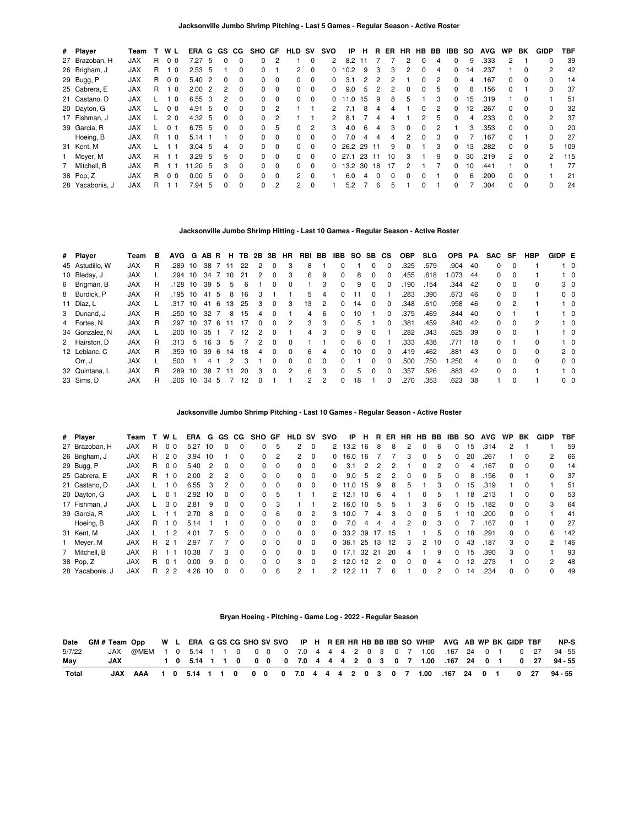| # Player        | Team       | т  | WL             |                | ERA G             |     | GS.          | CG.      | SHO GF       |                | HLD                  | SV.            | svo | IP               | н     | R.       | ER       | <b>HR</b>    | HB BB         |               | IBB          | -SO | <b>AVG</b> | <b>WP</b>     | BK       | <b>GIDP</b>   | TBF |
|-----------------|------------|----|----------------|----------------|-------------------|-----|--------------|----------|--------------|----------------|----------------------|----------------|-----|------------------|-------|----------|----------|--------------|---------------|---------------|--------------|-----|------------|---------------|----------|---------------|-----|
| 27 Brazoban, H  | <b>JAX</b> | R. | 0 <sub>0</sub> |                | 7.27              | -5  | 0            | $\Omega$ | 0            | 2              |                      | 0              | 2   | 8.2              |       |          |          | 2            | $\Omega$      | 4             | 0            | 9   | .333       | $\mathcal{P}$ |          |               | 39  |
| 26 Brigham, J   | <b>JAX</b> | R. | 1 <sub>0</sub> |                | 2.53, 5           |     |              | $\Omega$ | $\Omega$     |                | $\overline{2}$       | $\Omega$       | 0   | 10.2             | 9     | 3        | 3        | 2            | $\Omega$      | 4             | 0            | 14  | .237       |               | 0        | 2             | 42  |
| 29 Bugg, P      | <b>JAX</b> | R  | 00             |                | 5.40 2            |     | 0            | $\Omega$ | 0            | $\Omega$       | 0                    | 0              | 0   | 3.1              | 2     | 2        | 2        |              | $\Omega$      | 2             | <sup>0</sup> | 4   | .167       | 0             | 0        |               | 14  |
| 25 Cabrera, E   | <b>JAX</b> | R. | 1 <sub>0</sub> |                | 2.002             |     | 2            | $\Omega$ | $\Omega$     | $\Omega$       | 0                    | $\Omega$       | 0   | 9.0              | 5     | 2        | 2        | $\Omega$     | $\Omega$      | -5            | $\Omega$     | 8   | .156       | $\Omega$      |          | 0             | 37  |
| 21 Castano, D   | <b>JAX</b> |    |                | $\overline{0}$ | 6.55 3            |     | 2            | $\Omega$ | <sup>0</sup> | $\Omega$       | 0                    | $\Omega$       | 0   | $\overline{0}$ . | 15    | 9        | 8        | 'n.          |               |               | 0            | 15  | .319       |               |          |               | 51  |
| 20 Dayton, G    | <b>JAX</b> |    | 0 <sub>0</sub> |                | 4.91              | - 5 | <sup>0</sup> | $\Omega$ | $\Omega$     | $\mathfrak{p}$ |                      |                | 2   | 71               | 8     | 4        | 4        |              | $\Omega$      | $\mathcal{P}$ | <sup>0</sup> | 12  | .267       | $\Omega$      | $\Omega$ | 0             | 32  |
| 17 Fishman, J   | <b>JAX</b> |    | 2 <sub>0</sub> |                | $4.32\quad 5$     |     | 0            | $\Omega$ | <sup>n</sup> | 2              |                      |                | 2   | 8.1              |       |          |          |              | $\mathcal{P}$ | 5.            |              | 4   | .233       | 0             | $\Omega$ | 2             | 37  |
| 39 Garcia, R    | <b>JAX</b> |    | 0 <sub>1</sub> |                | $6.75\quad 5$     |     | <sup>0</sup> | $\Omega$ | $\Omega$     | 5              | $\Omega$             | $\overline{2}$ | 3   | 4.0              | 6     | 4        | 3        | $\Omega$     | $\Omega$      | $\mathcal{P}$ |              | 3   | .353       | $\Omega$      | $\Omega$ | 0             | 20  |
| Hoeing, B       | <b>JAX</b> | R. | 10             |                | $5.14$ 1          |     |              | $\Omega$ | 0            | $\Omega$       | 0                    | $\Omega$       | n.  | 7.0              |       | Δ        | 4        | 2            | <sup>0</sup>  | 3             | <sup>0</sup> |     | .167       | 0             |          |               | 27  |
| 31 Kent, M      | <b>JAX</b> |    |                |                | $3.04$ 5          |     | 4            | $\Omega$ | $\Omega$     | $\Omega$       | 0                    | $\Omega$       |     | $0\quad 26.2$    | 29 11 |          | 9        | <sup>0</sup> |               | 3             | <sup>0</sup> | 13  | .282       | $\Omega$      | $\Omega$ | 5.            | 109 |
| 1 Meyer, M      | <b>JAX</b> | R. |                |                | 3.29 <sub>5</sub> |     | 5            | $\Omega$ | 0            | $\Omega$       | 0                    | $\Omega$       |     | 0, 27.1          | 23    | -11      | 10       | 3            |               | 9             | $\Omega$     | 30  | .219       | 2             | $\Omega$ | $\mathcal{P}$ | 115 |
| 7 Mitchell, B   | <b>JAX</b> | R. |                |                | 11.20 5           |     | 3            | $\Omega$ | $\Omega$     | $\Omega$       | $\Omega$             | $\Omega$       |     | $0$ 13.2         | 30    | 18       | 17       | 2            |               |               | 0            | 10  | .441       |               | $\Omega$ |               | 77  |
| 38 Pop, Z       | <b>JAX</b> | R. | 0 <sub>0</sub> |                | 0.005             |     | 0            | $\Omega$ | 0            | $\Omega$       | $\mathbf{2}^{\circ}$ | $\Omega$       |     | 6.0              | 4     | $\Omega$ | $\Omega$ | U            | $\Omega$      |               | 0            | 6   | .200       | 0             | $\Omega$ |               | 21  |
| 28 Yacabonis, J | <b>JAX</b> | R  |                |                | 7.94              | -5  | 0            | 0        | <sup>0</sup> | 2              | 2                    | $\Omega$       |     | 5.2              |       | 6        | 5        |              | 0             |               |              |     | .304       | 0             | 0        | 0             | 24  |

### **Jacksonville Jumbo Shrimp Hitting - Last 10 Games - Regular Season - Active Roster**

| # Player        | Team       | в  | AVG G AB R H TB 2B 3B HR |    |      |     |                |    |               |              |              | RBI BB         |   | IBB      | SO SB CS |              |          | <b>OBP</b> | <b>SLG</b> | <b>OPS</b> | PA   | SAC SF       |          | <b>HBP</b>   | GIDP E |                |
|-----------------|------------|----|--------------------------|----|------|-----|----------------|----|---------------|--------------|--------------|----------------|---|----------|----------|--------------|----------|------------|------------|------------|------|--------------|----------|--------------|--------|----------------|
| 45 Astudillo. W | JAX        | R  | .289                     | 10 | 38   |     | - 11           | 22 | 2             | $\Omega$     | 3            | 8              |   | $\Omega$ |          | $\Omega$     | $\Omega$ | .325       | .579       | .904       | -40  | 0            | $\Omega$ |              |        | $1\quad 0$     |
| 10 Bleday, J    | <b>JAX</b> |    | .294                     | 10 | 34   |     | 10             | 21 | 2             | 0            | 3            | 6              | 9 | $\Omega$ | 8        | 0            | 0        | .455       | .618       | 1.073      | 44   | 0            |          |              |        | $1\quad 0$     |
| 6 Brigman, B    | <b>JAX</b> | R  | .128                     | 10 | 39 5 |     | 5              | 6  |               |              | 0            |                | 3 | $\Omega$ | 9        | $\Omega$     | $\Omega$ | 190        | .154       | .344       | -42  | 0            | $\Omega$ | 0            |        | 3 <sub>0</sub> |
| 8 Burdick, P    | <b>JAX</b> | R. | .195 10                  |    | 41   | 5   | 8              | 16 | 3             |              |              | 5.             | 4 | $\Omega$ | 11       | $\Omega$     |          | .283       | .390       | .673       | -46  | 0            | $\Omega$ |              |        | $0\quad 0$     |
| 11 Díaz, L      | <b>JAX</b> |    | .317 10                  |    | 41   | - 6 | 13             | 25 | 3             | $\Omega$     | 3            | 13             | 2 | $\Omega$ | 14       | <sup>0</sup> | $\Omega$ | .348       | .610       | .958       | - 46 | 0            |          |              |        | $1\quad 0$     |
| 3 Dunand, J     | <b>JAX</b> | R  | .250                     | 10 | 32   |     | 8              | 15 | 4             | $\Omega$     |              | $\overline{4}$ | 6 | $\Omega$ | 10       |              | 0        | .375       | .469       | .844       | - 40 | 0            |          |              |        | $1\quad 0$     |
| 4 Fortes, N     | <b>JAX</b> | R. | .297                     | 10 | 37   | - 6 | ۱1             | 17 | $\Omega$      | $\Omega$     | 2            | 3              | 3 | $\Omega$ | 5        |              | $\Omega$ | .381       | .459       | .840       | - 42 | 0            | $\Omega$ | 2            |        | $1\quad 0$     |
| 34 Gonzalez, N  | <b>JAX</b> |    | .200                     | 10 | 35   |     |                | 12 | 2             | $\Omega$     |              | 4              | 3 | $\Omega$ | 9        | $\Omega$     |          | .282       | .343       | .625 39    |      | 0            | $\Omega$ |              |        | $1\quad 0$     |
| 2 Hairston, D   | <b>JAX</b> | R  | .313                     | 5  | 16   | 3   | 5              |    | $\mathcal{P}$ | <sup>0</sup> | $\Omega$     |                |   | $\Omega$ | 6        | $\Omega$     |          | .333       | .438       | .771       | -18  | 0            |          | 0            |        | $1\quad 0$     |
| 12 Leblanc, C   | JAX        | R. | .359                     | 10 | 39 6 |     | 14             | 18 | 4             | $\Omega$     | <sup>0</sup> | 6.             | 4 | $\Omega$ | 10       | $\Omega$     | $\Omega$ | .419       | .462       | .881       | 43   | <sup>0</sup> | $\Omega$ | <sup>0</sup> |        | 2 <sub>0</sub> |
| Orr, J          | <b>JAX</b> |    | .500                     |    | 4    |     | $\overline{2}$ |    |               | <sup>0</sup> | 0            | 0              | 0 | $\Omega$ |          | 0            | $\Omega$ | .500       | .750       | 1.250      | 4    | 0            | $\Omega$ | 0            |        | $0\quad 0$     |
| 32 Quintana, L  | <b>JAX</b> | R  | .289                     | 10 | 38   |     |                | 20 | 3             | <sup>0</sup> | 2            | 6              | 3 | $\Omega$ | 5        | $\Omega$     | $\Omega$ | .357       | .526       | .883       | 42   | 0            | $\Omega$ |              |        | $1\quad$ 0     |
| 23 Sims, D      | <b>JAX</b> | R  | .206                     | 10 | 34 5 |     |                | 12 | <sup>0</sup>  |              |              | 2              | 2 | $\Omega$ | 18       |              | $\Omega$ | 270        | .353       | .623       | 38   |              | $\Omega$ |              |        | $0\quad 0$     |

**Jacksonville Jumbo Shrimp Pitching - Last 10 Games - Regular Season - Active Roster**

| # Player        | Team       |   | W L            | ERA   | G              | GS.          | CG.      | <b>SHO</b>   | GF       | HLD            | sv       | svo | IP      | н  | R   | ER       | <b>HR</b> | HB           | BB. | IBB.         | so | <b>AVG</b> | <b>WP</b>    | BK       | <b>GIDP</b>   | TBF |
|-----------------|------------|---|----------------|-------|----------------|--------------|----------|--------------|----------|----------------|----------|-----|---------|----|-----|----------|-----------|--------------|-----|--------------|----|------------|--------------|----------|---------------|-----|
| 27 Brazoban, H  | <b>JAX</b> | R | 0 <sub>0</sub> | 5.27  | 10             | $\Omega$     | $\Omega$ | $\Omega$     | 5        | 2              | $\Omega$ |     | 2 13.2  | 16 | 8   | 8        | 2         | $\Omega$     | - 6 | 0            | 15 | .314       | 2            |          |               | 59  |
| 26 Brigham, J   | <b>JAX</b> | R | 2 <sub>0</sub> | 3.94  | 10             |              | $\Omega$ | $\Omega$     | 2        | 2              | $\Omega$ | 0   | 16.0    | 16 |     |          | 3         | $\Omega$     | 5   | 0            | 20 | 267        |              | $\Omega$ | 2             | 66  |
| 29 Bugg, P      | <b>JAX</b> | R | 0 <sub>0</sub> | 5.40  | $\overline{2}$ | 0            | 0        | 0            | 0        | 0              | 0        | 0   | 3.1     | 2  | 2   | 2        |           | $\Omega$     | 2   | 0            |    | .167       | 0            | $\Omega$ | 0             | 14  |
| 25 Cabrera, E   | <b>JAX</b> | R | $\Omega$       | 2.00  | $\overline{2}$ | 2            | $\Omega$ | $\Omega$     | $\Omega$ | $\Omega$       | $\Omega$ | 0   | 9.0     | 5  | 2   | 2        | 0         | $\Omega$     | 5   | $\Omega$     | 8  | .156       | 0            |          | 0             | 37  |
| 21 Castano, D   | <b>JAX</b> |   | $\Omega$       | 6.55  | -3             | 2            | $\Omega$ | 0            | $\Omega$ | $\Omega$       | $\Omega$ |     | 0.11.0  | 15 | 9   | 8        | 5         |              |     | 0            | 15 | .319       |              | $\Omega$ |               | 51  |
| 20 Dayton, G    | <b>JAX</b> |   |                | 2.92  | 10             | <sup>0</sup> | $\Omega$ | $\Omega$     | 5        |                |          |     | 2, 12.1 | 10 | 6   | 4        |           | $\Omega$     | 5   |              | 18 | .213       |              | $\Omega$ | <sup>0</sup>  | 53  |
| 17 Fishman, J   | <b>JAX</b> |   | 30             | 2.81  | 9              | 0            | $\Omega$ | <sup>0</sup> | 3        |                |          |     | 2 16.0  | 10 | 5   | 5        |           | 3            | 6   | 0            | 15 | .182       | 0            | $\Omega$ | 3             | 64  |
| 39 Garcia, R    | <b>JAX</b> |   | - 1            | 2.70  | -8             | <sup>0</sup> | $\Omega$ | $\Omega$     | 6        | $\Omega$       | 2        | 3   | 10.0    |    | 4   | 3        | $\Omega$  | <sup>0</sup> | 5   |              | 10 | .200       | <sup>0</sup> | $\Omega$ |               | 41  |
| Hoeing, B       | <b>JAX</b> | R | - 0            | 5.14  |                |              | $\Omega$ | $\Omega$     | $\Omega$ | 0              | $\Omega$ | n.  | 7.0     | Δ  | 4   | 4        | 2         | <sup>0</sup> | 3   | <sup>0</sup> |    | .167       | <sup>0</sup> |          | 0             | 27  |
| 31 Kent, M      | <b>JAX</b> |   | $\mathcal{P}$  | 4.01  |                | 5.           | $\Omega$ | $\Omega$     | $\Omega$ | $\Omega$       | $\Omega$ |     | 0.33.2  | 39 | -17 | 15       |           |              | 5   | 0            | 18 | .291       | 0            | $\Omega$ | 6             | 142 |
| 1 Meyer, M      | <b>JAX</b> | R | 2 <sub>1</sub> | 2.97  |                |              | $\Omega$ | $\Omega$     | $\Omega$ | 0              | $\Omega$ |     | 0, 36.1 | 25 | -13 | 12       | 3         | 2            | 10  | 0            | 43 | .187       | 3            | $\Omega$ | 2             | 146 |
| 7 Mitchell, B   | <b>JAX</b> | R |                | 10.38 |                | 3            | $\Omega$ | $\Omega$     | $\Omega$ | $\Omega$       | $\Omega$ |     | 0, 17.1 | 32 | 21  | 20       | 4         |              | 9   | 0            | 15 | .390       | 3            | $\Omega$ |               | 93  |
| 38 Pop, Z       | <b>JAX</b> | R | 01             | 0.00  | 9              | $\Omega$     | $\Omega$ | $\Omega$     | $\Omega$ | 3              | $\Omega$ |     | 2, 12.0 | 12 | っ   | $\Omega$ | $\Omega$  | <sup>0</sup> | 4   | $\Omega$     | 12 | .273       |              | $\Omega$ | $\mathcal{P}$ | 48  |
| 28 Yacabonis, J | <b>JAX</b> | R | 2 <sub>2</sub> | 4.26  | 10             | 0            | $\Omega$ | $\Omega$     | 6        | $\overline{2}$ |          |     | 2 12.2  | 11 |     | 6        |           | $\Omega$     | 2   | 0            | 14 | .234       | 0            | $\Omega$ | 0             | 49  |

## **Bryan Hoeing - Pitching - Game Log - 2022 - Regular Season**

| Date         | GM#Team Opp W L ERA G GS CG SHO SV SVO IP H R ER HR HB BB IBB SO WHIP AVG AB WP BK GIDP TBF |  |  |  |  |  |  |  |  |  |  |  |  |  | NP-S                                                                          |
|--------------|---------------------------------------------------------------------------------------------|--|--|--|--|--|--|--|--|--|--|--|--|--|-------------------------------------------------------------------------------|
| 5/7/22       |                                                                                             |  |  |  |  |  |  |  |  |  |  |  |  |  | JAX @MEM 1 0 5.14 1 1 0 0 0 0 7.0 4 4 4 2 0 3 0 7 1.00 .167 24 0 1 0 27 94-55 |
| May          | JAX                                                                                         |  |  |  |  |  |  |  |  |  |  |  |  |  | 1 0 5.14 1 1 0 0 0 0 7.0 4 4 4 2 0 3 0 7 1.00 .167 24 0 1 0 27 94-55          |
| <b>Total</b> |                                                                                             |  |  |  |  |  |  |  |  |  |  |  |  |  | JAX AAA 1 0 5.14 1 1 0 0 0 0 7.0 4 4 4 2 0 3 0 7 1.00 .167 24 0 1 0 27 94-55  |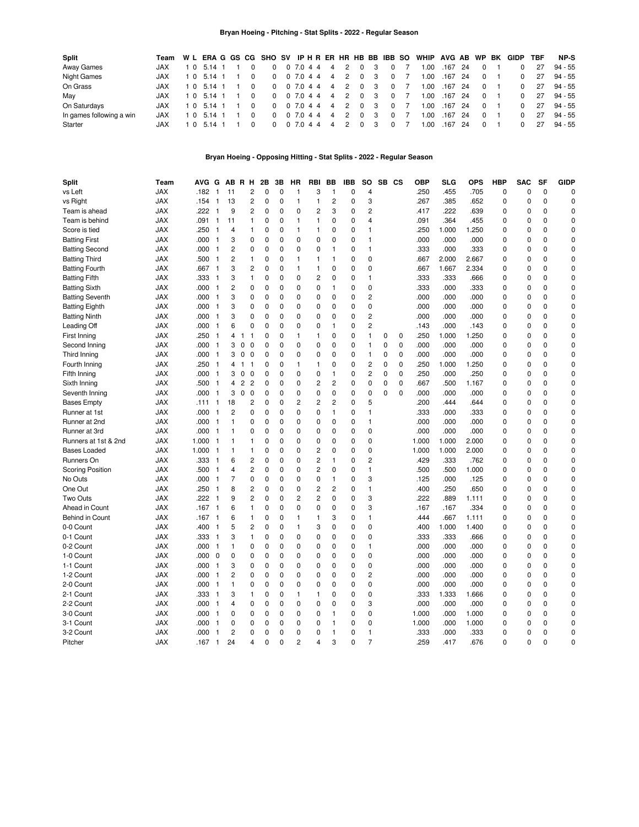## **Bryan Hoeing - Pitching - Stat Splits - 2022 - Regular Season**

| Split                    | Team       |     |            |  | W L ERA G GS CG SHO SV IP H R ER HR HB BB IBB SO |             |           |  |                |   |                         |     |                |                | WHIP AVG AB WP |         |      |          | BK GIDP  | TBF | NP-S    |
|--------------------------|------------|-----|------------|--|--------------------------------------------------|-------------|-----------|--|----------------|---|-------------------------|-----|----------------|----------------|----------------|---------|------|----------|----------|-----|---------|
| Away Games               | JAX        | 10  | 5.14 1     |  | 0                                                |             | 0 7.0 4 4 |  | $\overline{4}$ | 2 | $\Omega$                | - 3 | $\overline{0}$ |                | .00            | .167    | -24  |          |          | 27  | 94 - 55 |
| <b>Night Games</b>       | <b>JAX</b> | 10  | 5.14 1     |  | $\Omega$                                         |             | 0 7.0 4 4 |  | $\overline{4}$ | 2 | $\mathbf{0}$            | - 3 | $\mathbf{0}$   |                | .00            | .167 24 |      | $\Omega$ |          | 27  | 94 - 55 |
| On Grass                 | <b>JAX</b> |     | 1 0 5.14 1 |  |                                                  | 0 0 7.0 4 4 |           |  | $\overline{4}$ | 2 | $\overline{\mathbf{0}}$ | - 3 |                | 0 <sub>7</sub> | 00.1           | .167 24 |      | $\Omega$ |          | 27  | 94 - 55 |
| May                      | <b>JAX</b> | 1 O | 5.14 1     |  |                                                  | 0 0 7 0 4 4 |           |  | $\overline{4}$ | 2 | $\overline{\mathbf{0}}$ | - 3 | $\Omega$       |                | .00            | .167 24 |      | $\Omega$ | $\Omega$ | 27  | 94 - 55 |
| On Saturdays             | <b>JAX</b> | 1 O | 5.14 1     |  | $\Omega$                                         |             | 0 7.0 4 4 |  | $\overline{4}$ | 2 | $\Omega$                | - 3 | $\Omega$       |                | .00            | .167    | -24  | $\Omega$ |          | 27  | 94 - 55 |
| In games following a win | <b>JAX</b> |     | 1 0 5.14 1 |  | $\Omega$                                         |             | 0 7.0 4 4 |  | $\overline{4}$ | 2 | $\Omega$                | - 3 | $\Omega$       |                | .00.           | .167    | - 24 | $\Omega$ | $\Omega$ | 27  | 94 - 55 |
| Starter                  | <b>JAX</b> | 10  | 5.14 1     |  |                                                  |             | 07.044    |  | $\overline{4}$ | 2 | $\Omega$                | - 3 | $\Omega$       |                | .00            | .167    | -24  | $\Omega$ |          | 27  | 94 - 55 |

### **Bryan Hoeing - Opposing Hitting - Stat Splits - 2022 - Regular Season**

| <b>Split</b>            | Team       | AVG        | G                        |                | AB R H                                  |                | 2Β          | 3В       | HR             | RBI                     | BВ             | IBB      | so             | SB CS       |              | ОВР   | SLG   | <b>OPS</b> | <b>HBP</b>  | <b>SAC</b>  | SF          | <b>GIDP</b> |
|-------------------------|------------|------------|--------------------------|----------------|-----------------------------------------|----------------|-------------|----------|----------------|-------------------------|----------------|----------|----------------|-------------|--------------|-------|-------|------------|-------------|-------------|-------------|-------------|
| vs Left                 | JAX        | .182       | $\mathbf{1}$             | 11             |                                         | 2              | 0           | 0        | $\mathbf{1}$   | 3                       | 1              | 0        | 4              |             |              | .250  | .455  | .705       | 0           | 0           | 0           | 0           |
| vs Right                | JAX        | .154       | $\mathbf{1}$             | 13             |                                         | 2              | 0           | 0        | $\mathbf{1}$   | $\mathbf{1}$            | $\overline{c}$ | 0        | 3              |             |              | .267  | .385  | .652       | 0           | 0           | 0           | $\mathbf 0$ |
| Team is ahead           | JAX        | .222       | $\mathbf{1}$             | 9              |                                         | 2              | $\mathbf 0$ | 0        | 0              | 2                       | 3              | 0        | 2              |             |              | .417  | .222  | .639       | 0           | 0           | 0           | $\mathbf 0$ |
| Team is behind          | <b>JAX</b> | .091       | $\mathbf{1}$             | 11             | $\mathbf{1}$                            |                | 0           | 0        | 1              | $\mathbf{1}$            | 0              | 0        | 4              |             |              | .091  | .364  | .455       | 0           | $\mathbf 0$ | 0           | $\mathbf 0$ |
| Score is tied           | <b>JAX</b> | .250       | $\mathbf{1}$             | 4              | 1                                       |                | 0           | 0        | $\mathbf{1}$   | 1                       | $\mathbf 0$    | 0        | 1              |             |              | .250  | 1.000 | 1.250      | 0           | $\mathbf 0$ | $\mathbf 0$ | $\mathbf 0$ |
| <b>Batting First</b>    | <b>JAX</b> | .000       | $\overline{1}$           | 3              | 0                                       |                | $\mathbf 0$ | 0        | 0              | 0                       | $\mathbf 0$    | 0        | $\mathbf{1}$   |             |              | .000  | .000  | .000       | 0           | 0           | $\mathbf 0$ | $\mathbf 0$ |
| <b>Batting Second</b>   | <b>JAX</b> | .000       | $\mathbf{1}$             | $\overline{c}$ | 0                                       |                | $\mathbf 0$ | 0        | 0              | 0                       | 1              | 0        | $\mathbf{1}$   |             |              | .333  | .000  | .333       | 0           | $\Omega$    | $\mathbf 0$ | $\mathbf 0$ |
| <b>Batting Third</b>    | <b>JAX</b> | .500       | $\mathbf{1}$             | 2              | $\mathbf{1}$                            |                | 0           | 0        | $\mathbf{1}$   | $\mathbf{1}$            | 1              | 0        | $\mathbf 0$    |             |              | .667  | 2.000 | 2.667      | 0           | $\mathbf 0$ | $\mathbf 0$ | 0           |
| <b>Batting Fourth</b>   | <b>JAX</b> | .667       | $\overline{1}$           | 3              |                                         | 2              | 0           | 0        | $\mathbf{1}$   | 1                       | $\mathbf 0$    | 0        | 0              |             |              | .667  | 1.667 | 2.334      | 0           | 0           | $\mathbf 0$ | 0           |
| <b>Batting Fifth</b>    | <b>JAX</b> | .333       | $\mathbf{1}$             | 3              | 1                                       |                | 0           | 0        | 0              | $\overline{c}$          | $\mathbf 0$    | 0        | $\mathbf{1}$   |             |              | .333  | .333  | .666       | 0           | 0           | $\mathbf 0$ | $\mathbf 0$ |
| <b>Batting Sixth</b>    | <b>JAX</b> | .000       | $\overline{1}$           | $\overline{c}$ |                                         | 0              | $\mathbf 0$ | 0        | 0              | 0                       | $\mathbf{1}$   | 0        | 0              |             |              | .333  | .000  | .333       | 0           | $\Omega$    | $\mathbf 0$ | $\mathbf 0$ |
| <b>Batting Seventh</b>  | <b>JAX</b> | .000       | $\mathbf{1}$             | 3              |                                         | 0              | 0           | 0        | 0              | 0                       | 0              | 0        | 2              |             |              | .000  | .000  | .000       | 0           | 0           | 0           | $\mathbf 0$ |
| <b>Batting Eighth</b>   | <b>JAX</b> | .000       | $\mathbf{1}$             | 3              |                                         | 0              | 0           | 0        | 0              | 0                       | 0              | 0        | 0              |             |              | .000  | .000  | .000       | 0           | 0           | 0           | 0           |
| <b>Batting Ninth</b>    | <b>JAX</b> | .000       | $\mathbf{1}$             | 3              |                                         | 0              | $\mathbf 0$ | 0        | 0              | 0                       | 0              | 0        | 2              |             |              | .000  | .000  | .000       | 0           | 0           | 0           | $\mathbf 0$ |
| Leading Off             | <b>JAX</b> | .000       | $\mathbf{1}$             | 6              |                                         | 0              | $\mathbf 0$ | 0        | 0              | 0                       | 1              | 0        | $\overline{c}$ |             |              | .143  | .000  | .143       | 0           | $\Omega$    | 0           | $\mathbf 0$ |
| First Inning            | <b>JAX</b> | .250       | $\mathbf{1}$             | 4              | $\mathbf{1}$<br>1                       |                | $\mathbf 0$ | 0        | 1              | $\mathbf{1}$            | 0              | 0        | 1              | 0           | 0            | .250  | 1.000 | 1.250      | 0           | 0           | $\mathbf 0$ | $\mathbf 0$ |
| Second Inning           | <b>JAX</b> | .000       | $\overline{1}$           | 3              | 0<br>0                                  |                | $\mathbf 0$ | 0        | 0              | 0                       | 0              | 0        | 1              | $\mathbf 0$ | $\mathbf 0$  | .000  | .000  | .000       | 0           | 0           | 0           | $\mathbf 0$ |
| Third Inning            | <b>JAX</b> | .000       | $\overline{1}$           | 3              | 0<br>$\overline{\mathbf{0}}$            |                | $\mathbf 0$ | 0        | 0              | 0                       | 0              | 0        | 1              | $\mathbf 0$ | 0            | .000  | .000  | .000       | 0           | $\Omega$    | $\mathbf 0$ | 0           |
| Fourth Inning           | JAX        | .250       | $\overline{\mathbf{1}}$  | 4              | $\mathbf{1}$<br>$\overline{\mathbf{1}}$ |                | $\Omega$    | 0        | 1              | $\mathbf{1}$            | 0              | 0        | $\overline{c}$ | $\mathbf 0$ | $\Omega$     | .250  | 1.000 | 1.250      | 0           | $\Omega$    | $\Omega$    | $\Omega$    |
| Fifth Inning            | <b>JAX</b> | .000       | $\overline{1}$           | 3              | $\mathsf 0$<br>$\mathbf 0$              |                | $\Omega$    | $\Omega$ | 0              | 0                       | 1              | 0        | 2              | 0           | $\mathbf{0}$ | .250  | .000  | .250       | 0           | $\Omega$    | $\mathbf 0$ | $\Omega$    |
| Sixth Inning            | <b>JAX</b> | .500       | $\overline{1}$           | 4              | $\overline{2}$<br>$\overline{c}$        |                | $\mathbf 0$ | 0        | 0              | $\overline{2}$          | $\overline{c}$ | 0        | 0              | 0           | $\mathbf 0$  | .667  | .500  | 1.167      | 0           | $\mathbf 0$ | $\mathbf 0$ | 0           |
| Seventh Inning          | <b>JAX</b> | .000       | $\overline{1}$           | 3              | $\mathbf 0$<br>$\mathbf 0$              |                | $\mathbf 0$ | 0        | 0              | 0                       | $\mathbf 0$    | 0        | 0              | $\Omega$    | $\Omega$     | .000  | .000  | .000       | 0           | $\mathbf 0$ | $\mathbf 0$ | 0           |
| <b>Bases Empty</b>      | <b>JAX</b> | .111       | $\mathbf{1}$             | 18             |                                         | $\overline{c}$ | $\Omega$    | 0        | $\overline{2}$ | $\overline{2}$          | $\overline{c}$ | 0        | 5              |             |              | .200  | .444  | .644       | 0           | $\mathbf 0$ | $\Omega$    | $\Omega$    |
| Runner at 1st           | <b>JAX</b> | .000       | 1                        | $\overline{c}$ |                                         | 0              | $\mathbf 0$ | 0        | 0              | 0                       | $\mathbf{1}$   | 0        | 1              |             |              | .333  | .000  | .333       | 0           | $\mathbf 0$ | $\mathbf 0$ | $\mathbf 0$ |
| Runner at 2nd           | JAX        | .000       | $\overline{1}$           | 1              |                                         | 0              | 0           | 0        | 0              | $\mathbf 0$             | 0              | 0        | 1              |             |              | .000  | .000  | .000       | 0           | 0           | 0           | 0           |
| Runner at 3rd           | <b>JAX</b> | .000       | $\overline{1}$           | 1              |                                         | 0              | 0           | 0        | 0              | 0                       | 0              | 0        | 0              |             |              | .000  | .000  | .000       | 0           | 0           | 0           | 0           |
| Runners at 1st & 2nd    | <b>JAX</b> | 1.000      | - 1                      | 1              | 1                                       |                | $\mathbf 0$ | 0        | 0              | $\mathbf 0$             | $\mathbf 0$    | 0        | 0              |             |              | 1.000 | 1.000 | 2.000      | 0           | 0           | 0           | $\mathbf 0$ |
| <b>Bases Loaded</b>     | <b>JAX</b> | 1.000      | $\mathbf{1}$             | 1              | 1                                       |                | 0           | 0        | 0              | $\overline{c}$          | 0              | 0        | 0              |             |              | 1.000 | 1.000 | 2.000      | 0           | 0           | $\mathbf 0$ | $\mathbf 0$ |
| Runners On              | <b>JAX</b> | .333       | $\mathbf{1}$             | 6              |                                         | $\overline{c}$ | 0           | 0        | 0              | $\overline{c}$          | 1              | 0        | $\overline{c}$ |             |              | .429  | .333  | .762       | 0           | 0           | $\mathbf 0$ | $\mathbf 0$ |
| <b>Scoring Position</b> | <b>JAX</b> | .500       | $\mathbf{1}$             | 4              |                                         | 2              | 0           | 0        | 0              | $\overline{c}$          | 0              | 0        | $\mathbf{1}$   |             |              | .500  | .500  | 1.000      | 0           | $\mathbf 0$ | $\mathbf 0$ | 0           |
| No Outs                 | <b>JAX</b> | .000       | $\mathbf{1}$             | 7              | 0                                       |                | 0           | 0        | 0              | $\mathbf 0$             | 1              | 0        | 3              |             |              | .125  | .000  | .125       | 0           | 0           | $\mathbf 0$ | 0           |
| One Out                 | <b>JAX</b> | .250       | $\mathbf{1}$             | 8              |                                         | 2              | $\mathbf 0$ | 0        | 0              | $\overline{c}$          | $\overline{c}$ | 0        | 1              |             |              | .400  | .250  | .650       | 0           | $\Omega$    | $\mathbf 0$ | 0           |
| Two Outs                | <b>JAX</b> | .222       | $\overline{1}$           | 9              |                                         | 2              | 0           | 0        | 2              | $\overline{c}$          | $\mathbf 0$    | 0        | 3              |             |              | .222  | .889  | 1.111      | 0           | 0           | $\mathbf 0$ | $\mathbf 0$ |
| Ahead in Count          | <b>JAX</b> | .167       | $\mathbf{1}$             | 6              | 1                                       |                | $\Omega$    | 0        | 0              | $\mathbf 0$             | $\mathbf 0$    | 0        | 3              |             |              | .167  | .167  | .334       | 0           | $\Omega$    | $\Omega$    | $\mathbf 0$ |
| Behind in Count         | <b>JAX</b> | .167       | $\overline{1}$           | 6              | 1                                       |                | $\Omega$    | 0        | 1              | $\mathbf{1}$            | 3              | 0        | 1              |             |              | .444  | .667  | 1.111      | 0           | 0           | $\Omega$    | $\mathbf 0$ |
| 0-0 Count               | <b>JAX</b> | .400       | $\mathbf{1}$             | 5              |                                         | $\overline{c}$ | $\mathbf 0$ | 0        | $\mathbf{1}$   | 3                       | $\mathbf 0$    | 0        | 0              |             |              | .400  | 1.000 | 1.400      | $\mathbf 0$ | $\Omega$    | $\mathbf 0$ | $\mathbf 0$ |
| 0-1 Count               | <b>JAX</b> | .333       | $\mathbf{1}$             | 3              |                                         | 1              | 0           | 0        | 0              | 0                       | 0              | 0        | 0              |             |              | .333  | .333  | .666       | 0           | 0           | 0           | 0           |
| 0-2 Count               | <b>JAX</b> | .000       | $\mathbf{1}$             | 1              |                                         | 0              | 0           | 0        | 0              | 0                       | 0              | 0        | 1              |             |              | .000  | .000  | .000       | 0           | 0           | 0           | $\mathbf 0$ |
| 1-0 Count               | <b>JAX</b> | .000       | $\overline{\phantom{0}}$ | 0              |                                         | 0              | 0           | 0        | 0              | 0                       | 0              | 0        | 0              |             |              | .000  | .000  | .000       | 0           | 0           | 0           | 0           |
| 1-1 Count               | JAX        | .000       | $\overline{1}$           | 3              | 0                                       |                | $\mathbf 0$ | 0        | 0              | 0                       | 0              | 0        | 0              |             |              | .000  | .000  | .000       | 0           | $\Omega$    | 0           | $\mathbf 0$ |
| 1-2 Count               | <b>JAX</b> | .000       | $\overline{1}$           | 2              |                                         | 0              | $\mathbf 0$ | 0        | 0              | 0                       | 0              | 0        | 2              |             |              | .000  | .000  | .000       | 0           | 0           | 0           | 0           |
| 2-0 Count               | <b>JAX</b> | .000       | $\overline{1}$           | 1              |                                         | 0              | 0           | 0        | 0              | 0                       | 0              | 0        | 0              |             |              | .000  | .000  | .000       | 0           | 0           | 0           | 0           |
| 2-1 Count               | <b>JAX</b> | .333       | $\overline{1}$           | 3              | 1                                       |                | $\mathbf 0$ | 0        | 1              | $\mathbf{1}$            | 0              | 0        | 0              |             |              | .333  | 1.333 | 1.666      | 0           | 0           | 0           | 0           |
| 2-2 Count               | JAX        | .000       | $\overline{1}$           | 4              |                                         | 0              | 0           | 0        | 0              | 0                       | 0              | 0        | 3              |             |              | .000  | .000  | .000       | 0           | $\mathbf 0$ | 0           | 0           |
| 3-0 Count               | <b>JAX</b> | .000       | $\mathbf{1}$             | 0              |                                         | 0              | 0           | 0        | 0              | 0                       | 1              | 0        | 0              |             |              | 1.000 | .000  | 1.000      | 0           | $\mathbf 0$ | $\mathbf 0$ | 0           |
| 3-1 Count               | <b>JAX</b> | .000       | $\mathbf{1}$             | 0              |                                         | 0              | $\mathbf 0$ | 0        | $\mathbf 0$    | $\mathbf 0$             | 1              | 0        | $\mathbf 0$    |             |              | 1.000 | .000  | 1.000      | 0           | $\mathbf 0$ | $\mathbf 0$ | $\mathbf 0$ |
| 3-2 Count               | <b>JAX</b> | .000       | $\mathbf{1}$             | $\overline{c}$ |                                         | 0              | $\Omega$    | $\Omega$ | $\Omega$       | $\Omega$                | $\mathbf{1}$   | 0        | $\mathbf{1}$   |             |              | .333  | .000  | .333       | $\Omega$    | $\Omega$    | $\Omega$    | $\mathbf 0$ |
| Pitcher                 | <b>JAX</b> | $.167 - 1$ |                          | 24             |                                         | 4              | $\Omega$    | $\Omega$ | $\overline{c}$ | $\overline{\mathbf{A}}$ | 3              | $\Omega$ | $\overline{7}$ |             |              | 259   | 417   | .676       | $\Omega$    | $\Omega$    | $\Omega$    | $\Omega$    |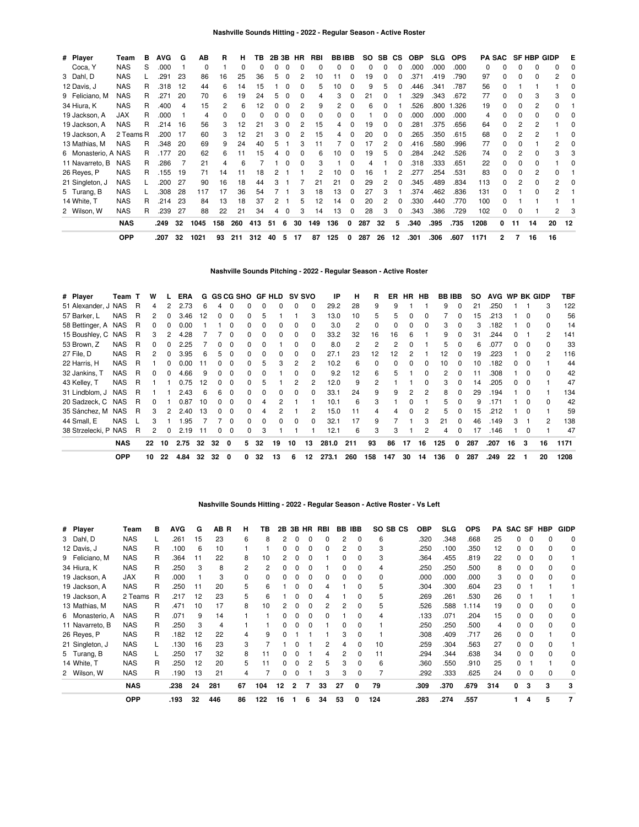| # Player            | Team       | в | AVG  | G  | АB   | R              | н            | ΤВ             | 2B 3B |   | HR       | RBI | <b>BBIBB</b> |          | SO. | SB. | <b>CS</b> | <b>OBP</b> | <b>SLG</b> | <b>OPS</b> |      | <b>PA SAC</b> |    | <b>SF HBP GIDP</b> |    | Е  |
|---------------------|------------|---|------|----|------|----------------|--------------|----------------|-------|---|----------|-----|--------------|----------|-----|-----|-----------|------------|------------|------------|------|---------------|----|--------------------|----|----|
| Coca, Y             | <b>NAS</b> | S | .000 |    | 0    |                | 0            | 0              | 0     | 0 | $\Omega$ | 0   | 0            | 0        |     | 0   | 0         | .000       | .000       | .000       | 0    | 0             | ŋ  | 0                  | 0  |    |
| 3 Dahl, D           | <b>NAS</b> |   | .291 | 23 | 86   | 16             | 25           | 36             | 5     | 0 | 2        | 10  | 11           | 0        | 19  | 0   | 0         | .371       | .419       | .790       | 97   | 0             | 0  | 0                  | 2  |    |
| 12 Davis, J         | <b>NAS</b> | R | .318 | 12 | 44   | 6              | 14           | 15             |       |   |          | 5   | 10           |          |     | 5   | 0         | .446       | .341       | .787       | 56   |               |    |                    |    |    |
| 9 Feliciano, M      | <b>NAS</b> | R | .271 | 20 | 70   | 6              | 19           | 24             | 5     | 0 |          | 4   | 3            | 0        | 21  | 0   |           | .329       | .343       | .672       | 77   |               | O  | 3                  | 3  |    |
| 34 Hiura, K         | <b>NAS</b> | R | .400 | 4  | 15   | $\overline{c}$ | 6            | $\overline{c}$ | 0     |   | 2        | 9   |              | 0        | 6   | 0   |           | .526       | .800       | 1.326      | 19   | 0             | 0  | 2                  | 0  |    |
| 19 Jackson, A       | <b>JAX</b> | R | .000 |    | 4    | $\Omega$       | <sup>0</sup> |                |       |   | 0        | 0   |              | 0        |     | 0   |           | .000       | .000       | .000       | 4    |               | 0  | 0                  | ი  |    |
| 19 Jackson, A       | <b>NAS</b> | R | .214 | 16 | 56   | 3              | 12           | 21             | 3     | 0 | 2        | 15  |              |          | 19  | 0   | 0         | 281        | .375       | .656       | 64   |               | 2  | 2                  |    |    |
| 19 Jackson, A       | 2 Teams R  |   | .200 | 17 | 60   | 3              | 12           | 21             | 3     | 0 | 2        | 15  | 4            | $\Omega$ | 20  | 0   | 0         | .265       | .350       | .615       | 68   | 0             |    | 2                  |    |    |
| 13 Mathias, M       | <b>NAS</b> | R | .348 | 20 | 69   | 9              | 24           | 40             | 5     |   | 3        | 11  |              | 0        | 17  | 2   | 0         | .416       | .580       | .996       | 77   | 0             | 0  |                    |    |    |
| 6 Monasterio, A NAS |            | R | .177 | 20 | 62   | 6              | 11           | 15             |       |   |          | 6   | 10           | U        | 19  | 5   | 0         | .284       | .242       | .526       | 74   |               |    | 0                  | 3  |    |
| 11 Navarreto, B     | <b>NAS</b> | R | .286 |    | 21   | 4              | 6            |                |       |   |          | 3   |              | O        |     |     | 0         | .318       | .333       | .651       | 22   |               | 0  |                    |    |    |
| 26 Reyes, P         | <b>NAS</b> | R | .155 | 19 | 71   | 14             | 11           | 18             |       |   |          |     | 10           | 0        | 16  |     | 2         | .277       | .254       | .531       | 83   |               | 0  | 2                  | 0  |    |
| 21 Singleton, J     | <b>NAS</b> |   | .200 | 27 | 90   | 16             | 18           | 44             |       |   |          | 21  | 21           | 0        | 29  | 2   | O         | .345       | .489       | .834       | 113  |               | 2  | ŋ                  | 2  |    |
| 5 Turang, B         | <b>NAS</b> |   | .308 | 28 | 117  | 17             | 36           | 54             |       |   |          | 18  | 13           |          | 27  | 3   |           | .374       | .462       | .836       | 131  |               |    | 0                  | 2  |    |
| 14 White, T         | <b>NAS</b> | R | .214 | 23 | 84   | 13             | 18           | 37             | 2     |   | 5        | 12  | 14           | $\Omega$ | 20  | 2   | 0         | .330       | .440       | .770       | 100  | O             |    |                    |    |    |
| 2 Wilson, W         | <b>NAS</b> | R | .239 | 27 | 88   | 22             | 21           | 34             | 4     | 0 | 3        | 14  | 13           | 0        | 28  | 3   | 0         | .343       | .386       | .729       | 102  | 0             | 0  |                    | 2  |    |
|                     | <b>NAS</b> |   | .249 | 32 | 1045 | 158            | 260          | 413            | 51    | 6 | 30       | 149 | 136          | 0        | 287 | 32  | 5         | .340       | .395       | .735       | 1208 | 0             | 11 | 14                 | 20 | 12 |
|                     | <b>OPP</b> |   | .207 | 32 | 1021 | 93             | 211          | 312            | 40    | 5 | 17       | 87  | 125          | 0        | 287 | 26  | 12        | .301       | .306       | .607       | 1171 | 2             | 7  | 16                 | 16 |    |

# **Nashville Sounds Pitching - 2022 - Regular Season - Active Roster**

| # Player             | Team T     |   | W  |    | ERA  |    |    | G GS CG SHO |              |    | GF HLD |              | <b>SV SVO</b> | IP    | н              | R        | ER  | <b>HR</b>     | HB           |     | <b>BB IBB</b> | SO. | AVG  | WP BK GIDP   |              |               | TBF  |
|----------------------|------------|---|----|----|------|----|----|-------------|--------------|----|--------|--------------|---------------|-------|----------------|----------|-----|---------------|--------------|-----|---------------|-----|------|--------------|--------------|---------------|------|
| 51 Alexander, J NAS  |            | R | 4  |    | 2.73 | 6  | 4  | $\Omega$    |              |    |        | 0            | 0             | 29.2  | 28             | 9        | 9   |               |              | 9   | $\Omega$      | 21  | .250 |              |              | 3             | 122  |
| 57 Barker, L         | <b>NAS</b> | R | 2  | 0  | 3.46 | 12 | 0  | $\Omega$    | <sup>0</sup> | 'n |        |              | 3             | 13.0  | 10             | 5        | 5   | $\Omega$      | 0            |     |               | 15  | .213 |              | $\Omega$     | $\Omega$      | 56   |
| 58 Bettinger, A NAS  |            | R |    |    | 0.00 |    |    | 0           | 0            |    |        | 0            | 0             | 3.0   | $\overline{2}$ | $\Omega$ | 0   | <sup>0</sup>  | $\Omega$     | 3   | 0             | 3   | .182 |              | <sup>n</sup> | $\Omega$      | 14   |
| 15 Boushley, C NAS   |            | R | З  |    | 4.28 |    |    | 0           | 0            |    |        | 0            | 0             | 33.2  | 32             | 16       | 16  | 6             |              | 9   |               | 31  | 244. |              |              | 2             | 141  |
| 53 Brown, Z          | <b>NAS</b> | R |    |    | 2.25 |    |    | $\Omega$    | 0            |    |        |              | 0             | 8.0   | 2              | 2        | 2   |               |              | 5.  |               | 6   | .077 |              |              | $\Omega$      | 33   |
| 27 File, D           | <b>NAS</b> | R | 2  | 0  | 3.95 | 6  | 5  | 0           | <sup>0</sup> |    |        | 0            | 0             | 27.1  | 23             | 12       | 12  |               |              | 12. | 0             | 19  | .223 |              |              | $\mathcal{P}$ | 116  |
| 22 Harris, H         | <b>NAS</b> | R |    | 0  | 0.00 | 11 | O. | $\Omega$    | 0            | h  | 3      | 2            | 2             | 10.2  | 6              | 0        | 0   | $\Omega$      | $\Omega$     | 10  | 0             | 10  | .182 | 0            | $\Omega$     |               | 44   |
| 32 Jankins, T        | <b>NAS</b> | R | 0  | 0  | 4.66 | 9  | 0  | $\Omega$    | 0            |    |        | 0            | 0             | 9.2   | 12             | 6        | 5   |               | 0            | 2   | 0             | 11  | .308 |              | $\Omega$     | $\Omega$      | 42   |
| 43 Kelley, T         | <b>NAS</b> | R |    |    | 0.75 | 12 | 0  | $\Omega$    | $\Omega$     | h  |        | 2            | 2             | 12.0  | 9              | 2        |     |               | <sup>0</sup> | 3   | 0             | 14  | .205 | <sup>o</sup> | $\Omega$     |               | 47   |
| 31 Lindblom, J       | <b>NAS</b> | R |    |    | 2.43 | 6  | 6  | $\Omega$    | 0            |    |        | <sup>0</sup> | 0             | 33.1  | 24             | 9        | 9   | $\mathcal{P}$ | 2            | 8   | $\Omega$      | 29  | .194 |              | $\Omega$     |               | 134  |
| 20 Sadzeck, C        | <b>NAS</b> | R | U  |    | 0.87 | 10 | O. | $\Omega$    | 0            |    |        |              |               | 10.1  | 6              | 3        |     | $\Omega$      |              | 5.  | $\Omega$      | 9   | 171  |              | $\Omega$     | $\Omega$      | 42   |
| 35 Sánchez, M        | <b>NAS</b> | R | 3  |    | 2.40 | 13 | n. | $\Omega$    |              |    |        |              | 2             | 15.0  |                | 4        |     | <sup>0</sup>  | 2            | 5.  |               | 15  | .212 |              |              |               | 59   |
| 44 Small, E          | <b>NAS</b> |   | 3  |    | .95  |    |    | 0           | <sup>0</sup> |    |        | 0            | $\Omega$      | 32.1  | 17             | 9        |     |               | 3            | 21  | <sup>0</sup>  | 46  | .149 | 3            |              | 2             | 138  |
| 38 Strzelecki, P NAS |            | R | 2  | 0  | 2.19 | 11 | 0  | 0           | 0            | 3  |        |              |               | 12.1  | 6              | 3        | 3   |               | 2            | 4   | $\Omega$      | 17  | .146 |              | $\Omega$     |               | 47   |
|                      | <b>NAS</b> |   | 22 | 10 | 2.75 | 32 | 32 | 0           | 5.           | 32 | 19     | 10           | 13            | 281.0 | 211            | 93       | 86  | 17            | 16           | 125 | 0             | 287 | .207 | 16           | 3            | 16            | 1171 |
|                      | <b>OPP</b> |   | 10 | 22 | 4.84 | 32 | 32 | 0           |              | 32 | 13     | 6            | 12            | 273.1 | 260            | 158      | 147 | 30            | 14           | 136 | 0             | 287 | .249 | 22           |              | 20            | 1208 |

|                 | <b>OPP</b> |   | .193       | 32 | 446  | 86       | 122           | 16 |   | 6     | 34  | 53            |              | 124      | .283       | .274       | .557       |     |   | 4 | 5          |             |
|-----------------|------------|---|------------|----|------|----------|---------------|----|---|-------|-----|---------------|--------------|----------|------------|------------|------------|-----|---|---|------------|-------------|
|                 | <b>NAS</b> |   | .238       | 24 | 281  | 67       | 104           | 12 | 2 |       | 33  | 27            | 0            | 79       | .309       | .370       | .679       | 314 | 0 | 3 | 3          | 3           |
| 2 Wilson, W     | <b>NAS</b> | R | .190       | 13 | 21   | 4        |               |    |   |       | 3   | 3             | $\Omega$     |          | .292       | .333       | .625       | 24  |   |   |            |             |
| 14 White, T     | <b>NAS</b> | R | .250       | 12 | 20   | 5        |               |    |   |       | 5   | 3             | $\Omega$     | 6        | .360       | .550       | .910       | 25  |   |   |            |             |
| 5 Turang, B     | <b>NAS</b> |   | .250       | 17 | 32   | 8        |               |    |   |       | Δ   | 2             |              | 11       | .294       | .344       | .638       | 34  |   |   |            |             |
| 21 Singleton, J | <b>NAS</b> |   | .130       | 16 | 23   | 3        |               |    |   |       | 2   | 4             | 0            | 10       | .259       | .304       | .563       | 27  |   | 0 |            |             |
| 26 Reyes, P     | <b>NAS</b> | R | .182       | 12 | 22   | 4        | 9             |    |   |       |     | 3             | <sup>0</sup> |          | .308       | .409       | .717       | 26  |   | C |            | 0           |
| 11 Navarreto, B | <b>NAS</b> | R | .250       | 3  | 4    |          |               |    |   |       |     | 0             | $\Omega$     |          | .250       | 250        | .500       | 4   |   | 0 | 0          | 0           |
| 6 Monasterio, A | <b>NAS</b> | R | .071       | 9  | 14   |          |               |    |   |       | 0   |               | 0            | 4        | .133       | .071       | .204       | 15  |   | 0 |            | 0           |
| 13 Mathias, M   | <b>NAS</b> | R | .471       | 10 | 17   | 8        | 10            |    |   |       | 2   |               | <sup>0</sup> | 5        | .526       | .588       | 1.114      | 19  |   |   |            | 0           |
| 19 Jackson, A   | 2 Teams    | R | .217       | 12 | 23   | 5        | 6             |    |   |       | 4   |               | 0            | 5        | .269       | .261       | .530       | 26  |   |   |            |             |
| 19 Jackson, A   | <b>NAS</b> | R | .250       | 11 | 20   | 5        | 6             |    |   |       | 4   |               |              | 5        | .304       | .300       | .604       | 23  |   |   |            |             |
| 19 Jackson, A   | <b>JAX</b> | R | .000       |    | 3    | $\Omega$ |               |    |   |       | 0   | 0             | 0            | 0        | .000       | .000       | .000       | 3   |   | 0 |            | 0           |
| 34 Hiura, K     | <b>NAS</b> | R | .250       | 3  | 8    | 2        | $\mathcal{P}$ |    |   |       |     | n             |              | 4        | .250       | .250       | .500       | 8   |   |   |            | 0           |
| 9 Feliciano, M  | <b>NAS</b> | R | .364       | 11 | 22   | 8        | 10            |    |   |       |     | n             |              | 3        | .364       | .455       | .819       | 22  |   |   |            |             |
| 12 Davis, J     | <b>NAS</b> | R | .100       | 6  | 10   |          |               |    |   |       | 0   | 2             | 0            | 3        | .250       | .100       | .350       | 12  |   |   |            | 0           |
| 3 Dahl, D       | <b>NAS</b> |   | .261       | 15 | 23   | 6        | 8             |    |   |       | 0   |               | 0            | 6        | .320       | .348       | .668       | 25  |   |   |            | 0           |
| # Player        | Team       | в | <b>AVG</b> | G  | AB R | н        | ΤВ            | 2Β |   | 3B HR | RBI | <b>BB IBB</b> |              | SO SB CS | <b>OBP</b> | <b>SLG</b> | <b>OPS</b> | PA  |   |   | SAC SF HBP | <b>GIDP</b> |

## **Nashville Sounds Hitting - 2022 - Regular Season - Active Roster - Vs Left**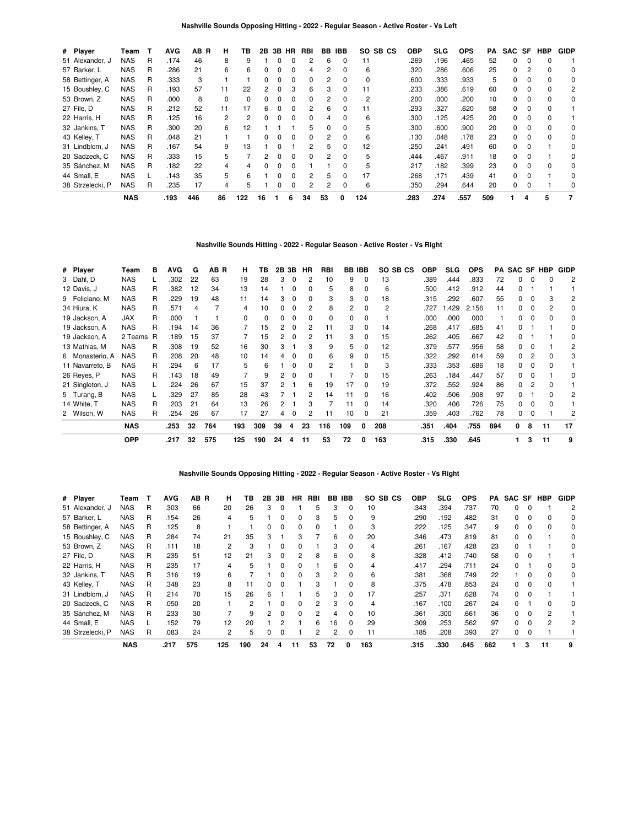| # Player         | Team       |   | <b>AVG</b> | AВ<br>B | н        | ΤВ  | 2B           | 3B | HR.          | RBI | BB | <b>IBB</b>   | SO.<br>SB CS | OBP  | <b>SLG</b> | <b>OPS</b> | PA  | SAC SF   |          | <b>HBP</b> | <b>GIDP</b> |
|------------------|------------|---|------------|---------|----------|-----|--------------|----|--------------|-----|----|--------------|--------------|------|------------|------------|-----|----------|----------|------------|-------------|
| 51 Alexander, J  | NAS        | R | .174       | 46      | 8        | 9   |              |    |              | 2   | 6  | O            | 11           | .269 | .196       | .465       | 52  | $\Omega$ |          |            |             |
| 57 Barker, L     | <b>NAS</b> | R | .286       | 21      | 6        | 6   |              | 0  |              | 4   |    | 0            | 6            | .320 | .286       | .606       | 25  | 0        |          |            | 0           |
| 58 Bettinger, A  | NAS        | R | .333       | 3       |          |     | <sup>0</sup> | 0  | 0            | 0   | 2  | 0            | 0            | .600 | .333       | .933       | 5   | $\Omega$ | 0        | $\Omega$   | 0           |
| 15 Boushley, C   | <b>NAS</b> | R | .193       | 57      | 11       | 22  | 2            | O  | з            | 6   | 3  | <sup>0</sup> | 11           | .233 | .386       | .619       | 60  | O.       | $\Omega$ | $\Omega$   | 2           |
| 53 Brown, Z      | <b>NAS</b> | R | .000       | 8       | $\Omega$ | 0   |              |    |              | 0   |    |              | 2            | .200 | .000       | .200       | 10  | 0        |          |            | 0           |
| 27 File, D       | <b>NAS</b> | R | .212       | 52      | 11       | 17  | 6            | 0  | <sup>0</sup> | 2   | 6  | 0            | 11           | .293 | .327       | .620       | 58  | $\Omega$ | $\Omega$ | 0          |             |
| 22 Harris, H     | <b>NAS</b> | R | .125       | 16      | 2        | 2   | <sup>0</sup> | O  | <sup>0</sup> | 0   | 4  | 0            | 6            | .300 | .125       | .425       | 20  | $\Omega$ | 0        |            |             |
| 32 Jankins, T    | <b>NAS</b> | R | .300       | 20      | 6        | 12  |              |    |              | 5   |    | <sup>0</sup> | 5            | .300 | .600       | .900       | 20  | O.       | $\Omega$ |            | 0           |
| 43 Kelley, T     | <b>NAS</b> | R | .048       | 21      |          |     |              |    |              | 0   |    | 0            | 6            | .130 | .048       | .178       | 23  | 0        |          |            | 0           |
| 31 Lindblom, J   | <b>NAS</b> | R | .167       | 54      | 9        | 13  |              | ŋ  |              | 2   | 5  | 0            | 12           | .250 | .241       | .491       | 60  | $\Omega$ | 0        |            | 0           |
| 20 Sadzeck, C    | <b>NAS</b> | R | .333       | 15      | 5        |     |              | O  | <sup>0</sup> | 0   | 2  | <sup>0</sup> | 5            | .444 | .467       | .911       | 18  | $\Omega$ |          |            | $\Omega$    |
| 35 Sánchez, M    | <b>NAS</b> | R | .182       | 22      |          |     |              |    |              |     |    |              | 5            | .217 | .182       | .399       | 23  | O.       |          |            | 0           |
| 44 Small, E      | <b>NAS</b> |   | .143       | 35      | 5        | 6   |              | ŋ  | O            | 2   | 5  | 0            | 17           | .268 | .171       | .439       | 41  | $\Omega$ | 0        |            | 0           |
| 38 Strzelecki, P | NAS        | R | .235       | 17      | 4        | 5   |              | ŋ  | O            | 2   | 2  | 0            | 6            | .350 | .294       | .644       | 20  | $\Omega$ | 0        |            | $\Omega$    |
|                  | <b>NAS</b> |   | .193       | 446     | 86       | 122 | 16           |    | 6            | 34  | 53 | 0            | 124          | .283 | .274       | .557       | 509 |          | 4        | 5          | 7           |

# **Nashville Sounds Hitting - 2022 - Regular Season - Active Roster - Vs Right**

| # Player        | Team       | в | <b>AVG</b> | G  | AB R | н        | ΤВ  |    | 2B 3B    | HR. | <b>RBI</b> |     | <b>BB IBB</b> | SO SB CS       | OBP  | <b>SLG</b> | <b>OPS</b> | PA  |   |          | SAC SF HBP | GIDP |
|-----------------|------------|---|------------|----|------|----------|-----|----|----------|-----|------------|-----|---------------|----------------|------|------------|------------|-----|---|----------|------------|------|
| 3 Dahl, D       | <b>NAS</b> |   | .302       | 22 | 63   | 19       | 28  | 3  | 0        | 2   | 10         | 9   | 0             | 13             | .389 | .444       | .833       | 72  | 0 | 0        | 0          | 2    |
| 12 Davis, J     | <b>NAS</b> | R | .382       | 12 | 34   | 13       | 14  |    | $\Omega$ | 0   | 5          | 8   | 0             | 6              | .500 | .412       | .912       | 44  | 0 |          |            |      |
| 9 Feliciano, M  | <b>NAS</b> | R | .229       | 19 | 48   | 11       | 14  | 3  | $\Omega$ | 0   | 3          | 3   | $\Omega$      | 18             | .315 | .292       | .607       | 55  | 0 | $\Omega$ | 3          | 2    |
| 34 Hiura, K     | <b>NAS</b> | R | .571       | 4  |      | 4        | 10  | 0  | $\Omega$ | 2   | 8          | 2   | 0             | $\overline{c}$ | .727 | .429       | 2.156      | 11  | 0 | 0        | 2          | 0    |
| 19 Jackson, A   | JAX        | R | .000       |    |      | $\Omega$ | 0   | 0  | 0        | 0   | 0          | 0   | 0             |                | .000 | .000       | .000       |     | 0 | $\Omega$ | 0          | 0    |
| 19 Jackson, A   | <b>NAS</b> | R | .194       | 14 | 36   |          | 15  | 2  | $\Omega$ | 2   | 11         | 3   | $\Omega$      | 14             | .268 | .417       | .685       | 41  | 0 |          |            | 0    |
| 19 Jackson, A   | 2 Teams R  |   | .189       | 15 | 37   |          | 15  | 2  | $\Omega$ | 2   | 11         | 3   | 0             | 15             | .262 | .405       | .667       | 42  | 0 |          |            | 0    |
| 13 Mathias, M   | <b>NAS</b> | R | .308       | 19 | 52   | 16       | 30  | 3  |          | 3   | 9          | 5   | 0             | 12             | .379 | .577       | .956       | 58  | 0 |          |            | 2    |
| 6 Monasterio, A | <b>NAS</b> | R | .208       | 20 | 48   | 10       | 14  | 4  | $\Omega$ | 0   | 6          | 9   | 0             | 15             | .322 | .292       | .614       | 59  | 0 |          | o          | 3    |
| 11 Navarreto, B | <b>NAS</b> | R | .294       | 6  | 17   | 5        | 6   |    | 0        | 0   | 2          |     | 0             | 3              | .333 | .353       | .686       | 18  | 0 |          | 0          |      |
| 26 Reyes, P     | <b>NAS</b> | R | .143       | 18 | 49   |          | 9   | 2  | 0        | 0   |            |     | 0             | 15             | .263 | .184       | .447       | 57  | 0 | $\Omega$ |            | 0    |
| 21 Singleton, J | <b>NAS</b> |   | .224       | 26 | 67   | 15       | 37  | 2  |          | 6   | 19         | 17  | 0             | 19             | .372 | .552       | .924       | 86  | 0 |          | 0          |      |
| 5 Turang, B     | <b>NAS</b> |   | .329       | 27 | 85   | 28       | 43  |    |          | 2   | 14         | 11  | $\Omega$      | 16             | .402 | .506       | .908       | 97  | 0 |          | ŋ          | 2    |
| 14 White. T     | <b>NAS</b> | R | .203       | 21 | 64   | 13       | 26  | 2  |          | 3   |            | 11  | 0             | 14             | .320 | .406       | .726       | 75  | 0 | $\Omega$ | ŋ          |      |
| 2 Wilson, W     | <b>NAS</b> | R | .254       | 26 | 67   | 17       | 27  | 4  | 0        | 2   | 11         | 10  | 0             | 21             | .359 | .403       | .762       | 78  | 0 | $\Omega$ |            | 2    |
|                 | <b>NAS</b> |   | .253       | 32 | 764  | 193      | 309 | 39 | 4        | 23  | 116        | 109 | $\Omega$      | 208            | .351 | .404       | .755       | 894 | 0 | 8        | 11         | 17   |
|                 | <b>OPP</b> |   | .217       | 32 | 575  | 125      | 190 | 24 | 4        | 11  | 53         | 72  | 0             | 163            | .315 | .330       | .645       |     |   | 3        | 11         | 9    |

## **Nashville Sounds Opposing Hitting - 2022 - Regular Season - Active Roster - Vs Right**

| # Player         | Team       | т | <b>AVG</b> | AB R | н   | ΤВ  | 2В | 3В | <b>HR</b>    | <b>RBI</b> | BB | <b>IBB</b>   | SO SB CS | <b>OBP</b> | SLG  | <b>OPS</b> | PA  | SAC SF |          | <b>HBP</b> | <b>GIDP</b> |
|------------------|------------|---|------------|------|-----|-----|----|----|--------------|------------|----|--------------|----------|------------|------|------------|-----|--------|----------|------------|-------------|
| 51 Alexander, J  | NAS        | R | .303       | 66   | 20  | 26  | 3  | 0  |              | 5          | 3  | 0            | 10       | .343       | .394 | .737       | 70  | 0      |          |            | 2           |
| 57 Barker, L     | <b>NAS</b> | R | .154       | 26   | 4   | 5   |    | 0  | 0            | 3          | 5  | 0            | 9        | .290       | .192 | .482       | 31  | 0      |          |            | 0           |
| 58 Bettinger, A  | NAS        | R | .125       | 8    |     |     | 0  | 0  | <sup>0</sup> | 0          |    | 0            | 3        | .222       | .125 | .347       | 9   | 0      |          |            | $\Omega$    |
| 15 Boushley, C   | NAS        | R | .284       | 74   | 21  | 35  | 3  |    | з            |            | 6  | 0            | 20       | .346       | .473 | .819       | 81  | 0      |          |            | 0           |
| 53 Brown, Z      | <b>NAS</b> | R | .111       | 18   | 2   | 3   |    | 0  |              |            | 3  | 0            | 4        | .261       | .167 | .428       | 23  | 0      |          |            | 0           |
| 27 File, D       | <b>NAS</b> | R | .235       | 51   | 12  | 21  | 3  | 0  | 2            | 8          | 6  | 0            | 8        | .328       | .412 | .740       | 58  | 0      |          |            |             |
| 22 Harris, H     | NAS        | R | .235       | 17   | 4   | 5   |    | 0  | <sup>0</sup> |            | 6  | $\Omega$     | 4        | .417       | .294 | .711       | 24  | 0      |          |            | 0           |
| 32 Jankins, T    | <b>NAS</b> | R | .316       | 19   | 6   |     |    | ი  | 0            | 3          |    | 0            | 6        | .381       | .368 | .749       | 22  |        |          |            | 0           |
| 43 Kelley, T     | <b>NAS</b> | R | .348       | 23   | 8   | 11  | 0  | 0  |              | з          |    | O.           | 8        | .375       | .478 | .853       | 24  | 0      | $\Omega$ |            |             |
| 31 Lindblom, J   | NAS        | R | .214       | 70   | 15  | 26  | 6  |    |              | 5          | з  | <sup>0</sup> | 17       | 257        | .371 | .628       | 74  | 0      |          |            |             |
| 20 Sadzeck, C    | <b>NAS</b> | R | .050       | 20   |     | 2   |    | ი  | <sup>0</sup> | 2          | 3  | 0            | 4        | .167       | .100 | .267       | 24  | 0      |          |            | 0           |
| 35 Sánchez, M    | <b>NAS</b> | R | .233       | 30   |     | 9   | 2  | 0  | <sup>0</sup> | 2          | 4  | 0            | 10       | .361       | .300 | .661       | 36  | 0      | $\Omega$ |            |             |
| 44 Small, E      | <b>NAS</b> |   | .152       | 79   | 12  | 20  |    |    |              | 6          | 16 | 0            | 29       | .309       | .253 | .562       | 97  | 0      |          |            |             |
| 38 Strzelecki, P | <b>NAS</b> | R | .083       | 24   | 2   | 5   |    | n  |              | 2          | 2  | 0            | 11       | .185       | .208 | .393       | 27  | 0      |          |            |             |
|                  | <b>NAS</b> |   | .217       | 575  | 125 | 190 | 24 |    | 11           | 53         | 72 | O            | 163      | .315       | .330 | .645       | 662 |        | 3        | 11         |             |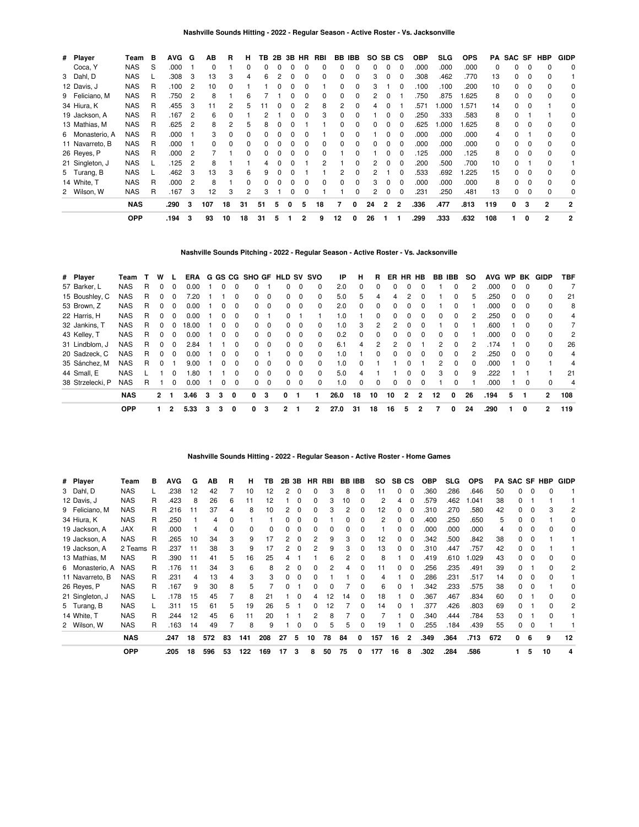| # Player        | Team       | в | <b>AVG</b> | G              | AВ  | B  | н            | TВ           |   | 2B 3B | HR | RBI |              | BB IBB       | SO. | SB CS        |              | <b>OBP</b> | SLG. | <b>OPS</b> | PA       | SAC SF |          | HBP          | <b>GIDP</b>    |
|-----------------|------------|---|------------|----------------|-----|----|--------------|--------------|---|-------|----|-----|--------------|--------------|-----|--------------|--------------|------------|------|------------|----------|--------|----------|--------------|----------------|
| Coca, Y         | <b>NAS</b> | S | .000       |                | 0   |    |              | O            |   | O     | 0  | 0   |              |              | 0   |              | 0            | .000       | .000 | .000       | $\Omega$ | 0      | 0        | $\Omega$     | 0              |
| 3 Dahl, D       | <b>NAS</b> |   | .308       | 3              | 13  | 3  | 4            | ĥ            |   | ŋ     |    | ŋ   |              | 0            | 3   |              |              | .308       | .462 | .770       | 13       | 0      |          |              |                |
| 12 Davis, J     | <b>NAS</b> | R | .100       | 2              | 10  | ŋ  |              |              |   |       |    |     |              | 0            | 3   |              |              | 100        | .100 | .200       | 10       | 0      | $\Omega$ | $\Omega$     | 0              |
| 9 Feliciano, M  | <b>NAS</b> | R | .750       | 2              | 8   |    | 6            |              |   |       |    | 0   | 0            | 0            |     |              |              | 750        | .875 | 1.625      | 8        | 0      |          | $\Omega$     | 0              |
| 34 Hiura, K     | <b>NAS</b> | R | .455       | 3              |     |    | 5            |              |   |       |    | 8   |              |              |     |              |              | .571       | .000 | .571       | 14       | O.     |          |              | $\Omega$       |
| 19 Jackson, A   | <b>NAS</b> | R | .167       | 2              | 6   |    |              |              |   |       |    | 3   | 0            |              |     |              |              | 250        | .333 | .583       | 8        | 0      |          |              | 0              |
| 13 Mathias, M   | <b>NAS</b> | R | .625       | 2              | 8   |    | 5            | 8            |   |       |    |     |              |              |     |              |              | .625       | .000 | 1.625      | 8        | 0      |          |              | 0              |
| 6 Monasterio, A | <b>NAS</b> | R | .000       |                | 3   | 0  |              |              |   |       |    |     | 0            |              |     |              | 0            | .000       | .000 | .000       |          | 0      |          |              | 0              |
| 11 Navarreto, B | <b>NAS</b> | R | .000       |                | 0   | 0  |              |              |   |       |    |     |              |              |     |              | 0            | .000       | .000 | .000       | 0        | 0      |          |              | 0              |
| 26 Reves, P     | <b>NAS</b> | R | .000       | 2              |     |    |              |              |   | ŋ     | 0  |     |              |              |     |              | 0            | 125        | .000 | .125       | 8        | 0      |          |              | 0              |
| 21 Singleton, J | <b>NAS</b> |   | .125       | $\overline{2}$ | 8   |    |              |              |   |       |    | 2   |              | 0            | 2   | 0            | $\Omega$     | 200        | .500 | .700       | 10       | 0      |          | 0            |                |
| 5 Turang, B     | <b>NAS</b> |   | .462       | 3              | 13  | 3  | 6            | 9            |   |       |    |     |              | 0            |     |              | <sup>0</sup> | .533       | .692 | 1.225      | 15       | 0      | 0        | $\Omega$     | 0              |
| 14 White, T     | <b>NAS</b> | R | .000       | 2              | 8   |    | <sup>0</sup> | <sup>0</sup> |   | O     | ŋ  | 0   | <sup>0</sup> | <sup>0</sup> | 3   | 0            | $\Omega$     | .000       | .000 | .000       | 8        | 0      |          | $\Omega$     | $\Omega$       |
| 2 Wilson, W     | <b>NAS</b> | R | .167       | 3              | 12  | 3  | 2            | з            |   | O     | ŋ  |     |              |              | 2   |              | <sup>0</sup> | .231       | .250 | .481       | 13       | 0      |          |              | 0              |
|                 | <b>NAS</b> |   | .290       | 3              | 107 | 18 | 31           | 51           | 5 | 0     | 5  | 18  |              | 0            | 24  | $\mathbf{2}$ | $\mathbf{2}$ | .336       | .477 | .813       | 119      | 0      | 3        | 2            | 2              |
|                 | <b>OPP</b> |   | .194       | 3              | 93  | 10 | 18           | 31           | 5 |       | 2  | 9   | 12           | 0            | 26  |              |              | .299       | .333 | .632       | 108      |        | 0        | $\mathbf{2}$ | $\overline{2}$ |

**Nashville Sounds Pitching - 2022 - Regular Season - Active Roster - Vs. Jacksonville**

| # Player         | Team       |   | w            |              | ERA   |   |   |          | G GS CG SHO GF HLD |             |              |                         | SV SVO   | IP   | н        | R        | ER             | <b>HR</b> | HB             | BB IBB |          | so       | <b>AVG</b> | <b>WP</b>    | BK       | GIDP           | TBF |
|------------------|------------|---|--------------|--------------|-------|---|---|----------|--------------------|-------------|--------------|-------------------------|----------|------|----------|----------|----------------|-----------|----------------|--------|----------|----------|------------|--------------|----------|----------------|-----|
| 57 Barker, L     | <b>NAS</b> | R | O            |              | 0.00  |   | ŋ |          |                    |             | 0            | 0                       | 0        | 2.0  | $\Omega$ |          |                |           | 0              |        | 0        |          | .000       | 0            | $\Omega$ |                |     |
| 15 Boushley, C   | <b>NAS</b> | R |              |              | 20    |   |   |          | 0                  | 0           | 0            | $\Omega$                | 0        | 5.0  | 5        | 4        | 4              |           |                |        |          |          | .250       |              |          |                | 21  |
| 53 Brown, Z      | <b>NAS</b> | R | 0            | $\Omega$     | 0.00  |   | 0 | $\Omega$ | $\Omega$           | 0           | 0            | $\overline{\mathbf{0}}$ | $\Omega$ | 2.0  | $\Omega$ | $\Omega$ | 0              | 0         | $\Omega$       |        | $\Omega$ |          | .000       | $\Omega$     | $\Omega$ | 0              | 8   |
| 22 Harris, H     | <b>NAS</b> | R |              |              | 0.00  |   |   |          | 0                  |             |              |                         |          | 1.0  |          | 0        |                |           | 0              | 0      | 0        |          | .250       | <sup>0</sup> |          |                | 4   |
| 32 Jankins, T    | <b>NAS</b> | R | 0            |              | 18.00 |   | 0 | $\Omega$ | $\Omega$           | $\mathbf 0$ | <sup>o</sup> | $\Omega$                | 0        | 1.0  | 3        | 2        | 2              | 0         | $\Omega$       |        | $\Omega$ |          | .600       |              | $\Omega$ | <sup>0</sup>   | 7   |
| 43 Kelley, T     | <b>NAS</b> | R | 0            |              | 0.00  |   | O | 0        | 0                  | 0           | 0            | $\overline{\mathbf{0}}$ | 0        | 0.2  | 0        | 0        |                |           | $\Omega$       | 0      | 0        |          | .000       | <sup>0</sup> | 0        | 0              | 2   |
| 31 Lindblom, J   | <b>NAS</b> | R | <sup>0</sup> | $\Omega$     | 2.84  |   |   | 0        | $\Omega$           | 0           | 0            | $\Omega$                | $\Omega$ | 6.1  | 4        | 2        | $\mathfrak{p}$ | 0         |                | 2      | $\Omega$ |          | .174       |              | $\Omega$ | <sup>0</sup>   | 26  |
| 20 Sadzeck, C    | <b>NAS</b> | R | 0            | $\Omega$     | 0.00  |   | 0 | $\Omega$ | <sup>0</sup>       |             | 0            | 0                       | 0        | 1.0  |          | 0        |                | 0         | $\Omega$       | 0      | $\Omega$ | 2        | .250       | 0            | $\Omega$ | 0              | 4   |
| 35 Sánchez, M    | <b>NAS</b> | R | 0            |              | 9.00  |   | 0 | $\Omega$ | $\Omega$           | $\Omega$    | <sup>o</sup> | $\Omega$                | $\Omega$ | 1.0  | 0        |          |                | 0         |                | 2      | $\Omega$ | $\Omega$ | .000       |              | $\Omega$ |                | 4   |
| 44 Small, E      | <b>NAS</b> |   |              | <sup>0</sup> | .80   |   |   | 0        | $\Omega$           | 0           | 0            | $\overline{0}$          | $\Omega$ | 5.0  | 4        |          |                | 0         | $\Omega$       | 3      | $\Omega$ | 9        | .222       |              |          |                | 21  |
| 38 Strzelecki, P | <b>NAS</b> | R |              | 0            | 0.00  |   | 0 | 0        | 0                  | $\mathbf 0$ | 0            | 0                       | 0        | 1.0  | 0        | $\Omega$ |                | 0         | $\Omega$       |        | $\Omega$ |          | .000       |              |          |                | 4   |
|                  | <b>NAS</b> |   | $\mathbf{2}$ |              | 3.46  | 3 | 3 | 0        | 0                  | 3           | 0            |                         |          | 26.0 | 18       | 10       | 10             | 2         | $\overline{2}$ | 12     | 0        | 26       | .194       | 5            |          | $\overline{2}$ | 108 |
|                  | <b>OPP</b> |   |              | 2            | 5.33  | 3 | 3 | 0        | 0                  | 3           | 2            |                         | 2        | 27.0 | 31       | 18       | 16             | 5         | 2              |        | 0        | 24       | .290       |              | 0        | $\mathbf{2}$   | 119 |

# **Nashville Sounds Hitting - 2022 - Regular Season - Active Roster - Home Games**

| # Player        | Team       | в | <b>AVG</b> | G  | ΑВ  | R  | н            | ΤВ  |    | 2B 3B        |    |              | HR RBI BB IBB |              | SO. | SB CS |              | <b>OBP</b> | SLG. | <b>OPS</b> | PA  |   |   | SAC SF HBP | GIDP |
|-----------------|------------|---|------------|----|-----|----|--------------|-----|----|--------------|----|--------------|---------------|--------------|-----|-------|--------------|------------|------|------------|-----|---|---|------------|------|
| 3 Dahl, D       | <b>NAS</b> |   | 238        | 12 | 42  |    | 10           | 12  |    | 0            |    | 3            | 8             | 0            | 11  | 0     | - 0          | .360       | .286 | .646       | 50  |   |   |            |      |
| 12 Davis, J     | <b>NAS</b> | R | .423       | 8  | 26  | 6  | 11           | 12  |    | ი            |    | 3            | 10            |              | 2   | 4     | - 0          | .579       | .462 | .041       | 38  | o |   |            |      |
| 9 Feliciano, M  | <b>NAS</b> | R | .216       | 11 | 37  | 4  | 8            | 10  |    | 0            |    | 3            |               | O            | 12  | 0     |              | .310       | .270 | .580       | 42  |   |   |            |      |
| 34 Hiura, K     | <b>NAS</b> | R | .250       |    | 4   |    |              |     |    | 0            |    |              |               |              | 2   | 0     | - 0          | .400       | .250 | .650       | 5   |   |   |            |      |
| 19 Jackson, A   | JAX        | R | .000       |    | 4   |    | <sup>0</sup> | o   |    | <sup>0</sup> |    | <sup>0</sup> | ŋ             |              |     | 0     | - 0          | .000       | .000 | .000       | 4   |   |   |            |      |
| 19 Jackson, A   | <b>NAS</b> | R | 265        | 10 | 34  | 3  | 9            | 17  |    | $\Omega$     |    | 9            | 3             | <sup>0</sup> | 12  | 0     |              | .342       | .500 | .842       | 38  |   |   |            |      |
| 19 Jackson, A   | 2 Teams R  |   | .237       | 11 | 38  | 3  | 9            | 17  |    | 0            |    | 9            | 3             | <sup>0</sup> | 13  | 0     | - 0          | .310       | .447 | .757       | 42  |   |   |            |      |
| 13 Mathias, M   | <b>NAS</b> | R | .390       | 11 | 41  | 5  | 16           | 25  |    |              |    | 6            |               | <sup>0</sup> | 8   |       | n            | .419       | .610 | .029       | 43  |   |   |            |      |
| 6 Monasterio, A | <b>NAS</b> | R | .176       | 11 | 34  | 3  | 6            | 8   |    | 0            |    |              | Δ             |              | 11  | 0     | n            | 256        | .235 | .491       | 39  | n |   |            | 2    |
| 11 Navarreto, B | <b>NAS</b> | R | .231       | 4  | 13  | Δ  | 3            | 3   |    | 0            |    |              |               |              | 4   |       | n            | .286       | .231 | .517       | 14  |   |   |            |      |
| 26 Reyes, P     | <b>NAS</b> | R | .167       | 9  | 30  | 8  | 5            |     |    |              |    |              |               |              | 6   | 0     |              | .342       | .233 | .575       | 38  |   |   |            |      |
| 21 Singleton, J | <b>NAS</b> |   | 178        | 15 | 45  |    | 8            | 21  |    | <sup>0</sup> |    | 12           | 14            | <sup>0</sup> | 18  |       | - 0          | .367       | .467 | .834       | 60  |   |   |            |      |
| 5 Turang, B     | <b>NAS</b> |   | .311       | 15 | 61  | 5  | 19           | 26  |    |              |    | 12           |               |              | 14  | 0     |              | .377       | .426 | .803       | 69  |   |   |            | 2    |
| 14 White, T     | <b>NAS</b> | R | .244       | 12 | 45  | 6  | 11           | 20  |    |              |    | 8            |               |              |     |       |              | .340       | .444 | .784       | 53  | n |   |            |      |
| 2 Wilson, W     | <b>NAS</b> | R | .163       | 14 | 49  |    | 8            | 9   |    | 0            |    | 5            | 5             | $\Omega$     | 19  |       |              | .255       | .184 | .439       | 55  | ŋ |   |            |      |
|                 | <b>NAS</b> |   | .247       | 18 | 572 | 83 | 141          | 208 | 27 | 5            | 10 | 78           | 84            | 0            | 157 | 16    | $\mathbf{2}$ | .349       | .364 | .713       | 672 | 0 | 6 | 9          | 12   |
|                 | <b>OPP</b> |   | .205       | 18 | 596 | 53 | 122          | 169 | 17 | з            | 8  | 50           | 75            | 0            | 177 | 16    | 8            | .302       | .284 | .586       |     |   | 5 | 10         |      |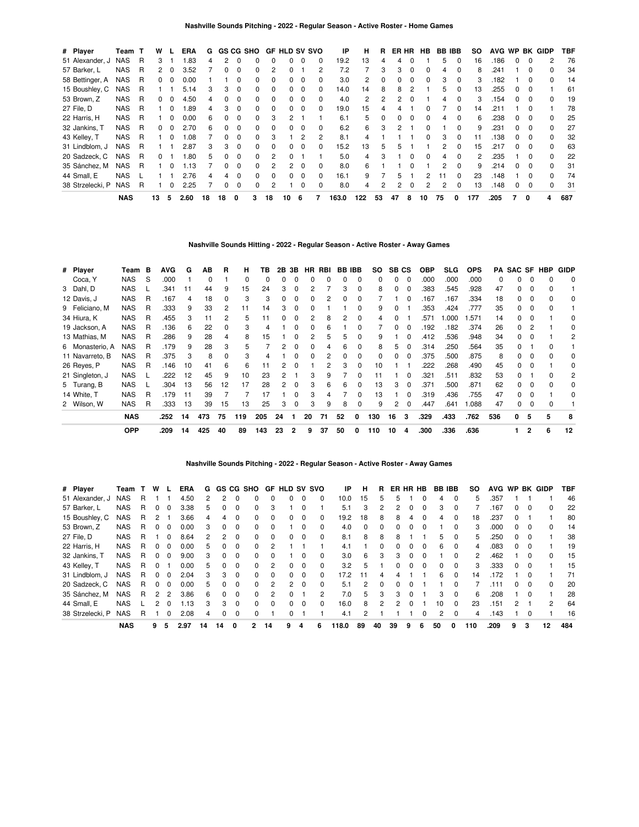| # Player         | Team       | т | w            |              | <b>ERA</b> | G  |              | <b>GS CG SHO</b> |              |                | <b>GF HLD SV SVO</b> |          |          | ΙP    | н   | R        | ER HR |          | <b>HB</b>    | <b>BB IBB</b> |              | SO. |      |   |              | AVG WP BK GIDP | TBF |
|------------------|------------|---|--------------|--------------|------------|----|--------------|------------------|--------------|----------------|----------------------|----------|----------|-------|-----|----------|-------|----------|--------------|---------------|--------------|-----|------|---|--------------|----------------|-----|
| 51 Alexander, J  | <b>NAS</b> | R | 3            |              | .83        | 4  |              |                  |              |                | 0                    | $\Omega$ | 0        | 19.2  | 13  |          | 4     |          |              | 5             | 0            | 16  | .186 | 0 | 0            | 2              | 76  |
| 57 Barker, L     | NAS        | R | 2            | 0            | 3.52       |    |              |                  |              |                |                      |          | 2        | 7.2   |     | з        | 3     | 0        |              | 4             | 0            | 8   | .241 |   | 0            | 0              | 34  |
| 58 Bettinger, A  | NAS        | R | $\mathbf{0}$ | 0            | 0.00       |    |              |                  | $\Omega$     | $\Omega$       | $\Omega$             | $\Omega$ | 0        | 3.0   | 2   |          | 0     | $\Omega$ | 0            | 3             | 0            | 3   | .182 |   | 0            | 0              | 14  |
| 15 Boushley, C   | <b>NAS</b> | R |              |              | 5.14       | 3  | з            | $\Omega$         | <sup>0</sup> | $\Omega$       | 0                    | $\Omega$ | 0        | 14.0  | 14  | 8        | 8     | 2        |              | 5             | 0            | 13  | 255  | 0 | $\Omega$     |                | 61  |
| 53 Brown, Z      | <b>NAS</b> | R | 0            |              | 4.50       | 4  |              |                  |              | $\Omega$       | 0                    | $\Omega$ | 0        | 4.0   | 2   |          | 2     |          |              | 4             |              | 3   | .154 |   | O            | <sup>0</sup>   | 19  |
| 27 File, D       | <b>NAS</b> | R |              | 0            | .89        | 4  | 3            | $\Omega$         | $\Omega$     | $\Omega$       | $\Omega$             | $\Omega$ | 0        | 19.0  | 15  |          |       |          |              |               | 0            | 14  | .211 |   | 0            |                | 78  |
| 22 Harris, H     | <b>NAS</b> | R |              | <sup>0</sup> | 0.00       | 6  | <sup>0</sup> | $\Omega$         | $\Omega$     | 3              | 2                    |          |          | 6.1   | 5   | $\Omega$ | 0     | $\Omega$ | 0            | 4             | 0            | 6   | .238 | 0 | 0            | <sup>0</sup>   | 25  |
| 32 Jankins, T    | <b>NAS</b> | R | 0            | <sup>0</sup> | 2.70       | 6  |              | $\Omega$         | <sup>0</sup> | $\Omega$       | <sup>o</sup>         | $\Omega$ | 0        | 6.2   | 6   | 3        | 2     |          |              |               | <sup>0</sup> | 9   | 231  |   | $\Omega$     |                | 27  |
| 43 Kelley, T     | NAS        | R |              |              | 0.08       |    |              |                  | 0            | 3              |                      | 2        | 2        | 8.1   | 4   |          |       |          | <sup>0</sup> | 3             |              | 11  | .138 | 0 | 0            |                | 32  |
| 31 Lindblom, J   | NAS        | R |              |              | 2.87       | 3  | 3            | $\Omega$         | $\Omega$     | $\Omega$       | $\Omega$             | $\Omega$ | 0        | 15.2  | 13  | 5        | 5     |          |              | 2             | 0            | 15  | .217 | 0 | $\Omega$     | 0              | 63  |
| 20 Sadzeck, C    | <b>NAS</b> | R | 0            |              | .80        | 5  | <sup>n</sup> | $\Omega$         | <sup>0</sup> | 2              | <sup>o</sup>         |          |          | 5.0   | 4   | 3        |       | $\Omega$ | <sup>0</sup> | 4             | $\Omega$     | 2   | .235 |   | <sup>0</sup> | <sup>n</sup>   | 22  |
| 35 Sánchez, M    | <b>NAS</b> | R |              |              | 1.13       |    |              | $\Omega$         | <sup>0</sup> |                | 2                    | $\Omega$ | $\Omega$ | 8.0   | 6   |          |       |          |              | 2             | <sup>0</sup> | 9   | .214 |   | <sup>0</sup> |                | 31  |
| 44 Small, E      | <b>NAS</b> |   |              |              | 2.76       | 4  | 4            | $\Omega$         | $\Omega$     | $\Omega$       | $\Omega$             | $\Omega$ | 0        | 16.1  | 9   |          | 5.    |          | 2            |               | $\Omega$     | 23  | .148 |   | 0            | <sup>0</sup>   | 74  |
| 38 Strzelecki, P | <b>NAS</b> | R |              | 0            | 2.25       |    |              | $\Omega$         | $\Omega$     | $\overline{2}$ |                      | 0        | $\Omega$ | 8.0   | 4   |          | 2     | $\Omega$ | 2            | 2             | 0            | 13  | .148 | 0 | 0            | $\Omega$       | 31  |
|                  | <b>NAS</b> |   | 13           | 5            | 2.60       | 18 | 18           | 0                | 3            | 18             | 10                   | -6       | 7        | 163.0 | 122 | 53       | 47    | 8        | 10           | 75            | 0            | 177 | .205 |   | 0            | 4              | 687 |

## **Nashville Sounds Hitting - 2022 - Regular Season - Active Roster - Away Games**

| # Player        | Team       | В | <b>AVG</b> | G  | AB  | R  | н   | ΤВ  | 2В | 3B | HR | RBI | <b>BB IBB</b> |              | so  | SB CS |          | <b>OBP</b> | <b>SLG</b> | <b>OPS</b> |          | <b>PA SAC SF</b> |              | <b>HBP</b> | <b>GIDP</b> |
|-----------------|------------|---|------------|----|-----|----|-----|-----|----|----|----|-----|---------------|--------------|-----|-------|----------|------------|------------|------------|----------|------------------|--------------|------------|-------------|
| Coca, Y         | <b>NAS</b> | S | .000       |    | 0   |    |     |     | 0  | 0  |    |     |               | 0            | 0   | 0     | 0        | .000       | .000       | .000       | $\Omega$ |                  | 0            | 0          | 0           |
| 3 Dahl, D       | <b>NAS</b> |   | .341       | 11 | 44  | 9  | 15  | 24  | 3  | 0  |    |     | 3             | $\Omega$     | 8   | 0     | 0        | .383       | .545       | .928       | 47       |                  | 0            |            |             |
| 12 Davis, J     | <b>NAS</b> | R | .167       | 4  | 18  |    | 3   | 3   | 0  | 0  |    |     | o             | 0            |     |       |          | 167        | 167        | .334       | 18       | n.               | <sup>0</sup> |            | 0           |
| 9 Feliciano, M  | <b>NAS</b> | R | .333       | 9  | 33  | 2  | 11  | 14  | З  | 0  |    |     |               | 0            | 9   | ŋ     |          | .353       | .424       | .777       | 35       |                  | <sup>0</sup> |            |             |
| 34 Hiura, K     | <b>NAS</b> | R | .455       | 3  | 11  |    | 5.  | 11  |    | 0  |    | 8   |               | 0            | 4   |       |          | .571       | .000       | .571       | 14       |                  |              |            | 0           |
| 19 Jackson, A   | <b>NAS</b> | R | .136       | 6  | 22  |    |     |     |    |    |    | 6   |               | <sup>0</sup> |     |       |          | 192        | .182       | .374       | 26       |                  |              |            | 0           |
| 13 Mathias, M   | <b>NAS</b> | R | .286       | 9  | 28  | 4  |     | 15  |    |    |    | 5   | 5             | 0            | 9   |       |          | .412       | .536       | .948       | 34       |                  |              |            | 2           |
| 6 Monasterio, A | <b>NAS</b> | R | .179       | 9  | 28  | 3  |     |     |    |    |    |     | 6             | $\Omega$     | 8   |       |          | .314       | .250       | .564       | 35       |                  |              |            |             |
| 11 Navarreto, B | <b>NAS</b> | R | .375       | 3  | 8   |    | 3   |     |    | 0  |    |     |               | 0            | 0   | 0     | 0        | .375       | .500       | .875       | 8        |                  | 0            |            | 0           |
| 26 Reves, P     | <b>NAS</b> | R | .146       | 10 | 41  | 6  | 6   | 11  | 2  | 0  |    | 2   | 3             | $\Omega$     | 10  |       |          | .222       | .268       | .490       | 45       | 0                | 0            |            | 0           |
| 21 Singleton, J | <b>NAS</b> |   | .222       | 12 | 45  | 9  | 10  | 23  | 2  |    | з  | 9   |               | $\Omega$     | 11  |       | $\Omega$ | .321       | .511       | .832       | 53       | n                |              | n          | 2           |
| 5 Turang, B     | <b>NAS</b> |   | .304       | 13 | 56  | 12 | 17  | 28  | 2  | 0  | 3  | 6   | 6             | <sup>0</sup> | 13  | з     | $\Omega$ | .371       | .500       | .871       | 62       |                  | n            |            | $\Omega$    |
| 14 White, T     | <b>NAS</b> | R | .179       | 11 | 39  |    |     | 17  |    | ŋ  | 3  |     |               | 0            | 13  |       |          | .319       | .436       | .755       | 47       |                  |              |            |             |
| 2 Wilson, W     | <b>NAS</b> | R | .333       | 13 | 39  | 15 | 13  | 25  | 3  | 0  | 3  | 9   | 8             | 0            | 9   |       | 0        | .447       | .641       | 1.088      | 47       |                  |              |            |             |
|                 | <b>NAS</b> |   | .252       | 14 | 473 | 75 | 119 | 205 | 24 |    | 20 | 71  | 52            | 0            | 130 | 16    | 3        | .329       | .433       | .762       | 536      | 0                | 5            | 5          | 8           |
|                 | <b>OPP</b> |   | .209       | 14 | 425 | 40 | 89  | 143 | 23 | 2  | 9  | 37  | 50            | 0            | 110 | 10    | 4        | .300       | .336       | .636       |          |                  |              | 6          | 12          |

**Nashville Sounds Pitching - 2022 - Regular Season - Active Roster - Away Games**

| # Player         | Team       |    | w              |              | <b>ERA</b> | G  |              |          | GS CG SHO |          | GF HLD SV |          | svo          | IP    | н        | R        |              |          | ER HR HB | <b>BB IBB</b> |              | so  | <b>AVG</b> | <b>WP</b> |              | <b>BK GIDP</b> | TBF |
|------------------|------------|----|----------------|--------------|------------|----|--------------|----------|-----------|----------|-----------|----------|--------------|-------|----------|----------|--------------|----------|----------|---------------|--------------|-----|------------|-----------|--------------|----------------|-----|
| 51 Alexander, J  | <b>NAS</b> | R  |                |              | 4.50       | 2  | 2            | 0        | 0         | 0        | 0         | 0        | 0            | 10.0  | 15       | 5        | 'n.          |          | 0        | 4             | $\Omega$     | 5   | .357       |           |              |                | 46  |
| 57 Barker, L     | <b>NAS</b> | R  | $\Omega$       | $\Omega$     | 3.38       | 5  | 0            | $\Omega$ | $\Omega$  | 3        |           | $\Omega$ |              | 5.1   | 3        | 2        | 2            | $\Omega$ | $\Omega$ | 3             | $\Omega$     |     | 167        | 0         | $\Omega$     | 0              | 22  |
| 15 Boushley, C   | <b>NAS</b> | R. | 2              |              | 3.66       | 4  | 4            | 0        | $\Omega$  | $\Omega$ | 0         | 0        | 0            | 19.2  | 18       | 8        | 8            | 4        | $\Omega$ | 4             | $\Omega$     | 18  | .237       | 0         |              |                | 80  |
| 53 Brown, Z      | <b>NAS</b> | R. |                | $\Omega$     | 0.00       | 3  | $\Omega$     | $\Omega$ | $\Omega$  | $\Omega$ |           | $\Omega$ | $\Omega$     | 4.0   | $\Omega$ | 0        | <sup>0</sup> | $\Omega$ | $\Omega$ |               | $\Omega$     | 3   | .000       | 0         | $\Omega$     | <sup>0</sup>   | 14  |
| 27 File, D       | <b>NAS</b> | R. |                | 0            | 8.64       | 2  | 2            | 0        | $\Omega$  | $\Omega$ | 0         | 0        | <sup>0</sup> | 8.1   | 8        | 8        | 8            |          |          | 5             | $\Omega$     | 5   | .250       | 0         |              |                | 38  |
| 22 Harris, H     | <b>NAS</b> | R  |                | $\Omega$     | 0.00       | 5. | <sup>0</sup> | 0        | $\Omega$  | 2        |           |          |              | 4.1   |          | $\Omega$ | <sup>0</sup> | $\Omega$ | $\Omega$ | 6             | $\Omega$     | 4   | .083       | 0         | $\Omega$     |                | 19  |
| 32 Jankins, T    | <b>NAS</b> | R. |                | <sup>0</sup> | 9.00       | 3  | <sup>n</sup> | 0        | $\Omega$  | $\Omega$ |           | 0        | 0            | 3.0   | 6        | 3        | 3            | $\Omega$ | $\Omega$ |               | $\Omega$     | 2   | .462       |           | <sup>0</sup> | <sup>0</sup>   | 15  |
| 43 Kelley, T     | <b>NAS</b> | R. | <sup>0</sup>   |              | 0.00       | 5  | <sup>0</sup> | 0        | $\Omega$  | 2        | $\Omega$  | $\Omega$ | $\Omega$     | 3.2   | 5        |          |              | $\Omega$ | $\Omega$ | 0             | $\Omega$     | 3   | .333       | 0         | $\Omega$     |                | 15  |
| 31 Lindblom, J   | <b>NAS</b> | R. | $\Omega$       | $\Omega$     | 2.04       | 3  | 3            | $\Omega$ | $\Omega$  | $\Omega$ | 0         | $\Omega$ | 0            | 17.2  | 11       | 4        |              |          |          | 6             | $\Omega$     | 14  | .172       |           |              |                | 71  |
| 20 Sadzeck, C    | <b>NAS</b> | R. | <sup>0</sup>   | $\Omega$     | 0.00       | 5. | $\Omega$     | 0        | $\Omega$  | 2        | 2         | $\Omega$ | 0            | 5.1   | 2        | $\Omega$ | 0            | $\Omega$ |          |               | $\Omega$     |     | .111       | 0         | $\Omega$     | 0              | 20  |
| 35 Sánchez, M    | <b>NAS</b> | R. | $\overline{2}$ | 2            | 3.86       | 6  | $\Omega$     | $\Omega$ | $\Omega$  | 2        | 0         |          | 2            | 7.0   | 5        | 3        | 3            | $\Omega$ |          | 3             | $\Omega$     | 6   | .208       |           | $\Omega$     |                | 28  |
| 44 Small, E      | <b>NAS</b> |    | 2              | <sup>0</sup> | .13        | 3  | 3            | 0        | $\Omega$  | $\Omega$ | 0         | 0        | 0            | 16.0  | 8        | 2        |              | 0        |          | 10            | $\Omega$     | 23  | .151       |           |              | 2              | 64  |
| 38 Strzelecki, P | <b>NAS</b> | R  |                | 0            | 2.08       | 4  | 0            | $\Omega$ | $\Omega$  |          | 0         |          |              | 4.1   | 2        |          |              |          | 0        | 2             | $\Omega$     | 4   | .143       |           | $\Omega$     |                | 16  |
|                  | <b>NAS</b> |    | 9              | 5            | 2.97       | 14 | 14           | 0        | 2         | 14       | 9         | 4        | 6            | 118.0 | 89       | 40       | 39           | 9        | 6        | 50            | <sup>0</sup> | 110 | .209       | 9         | 3            | 12             | 484 |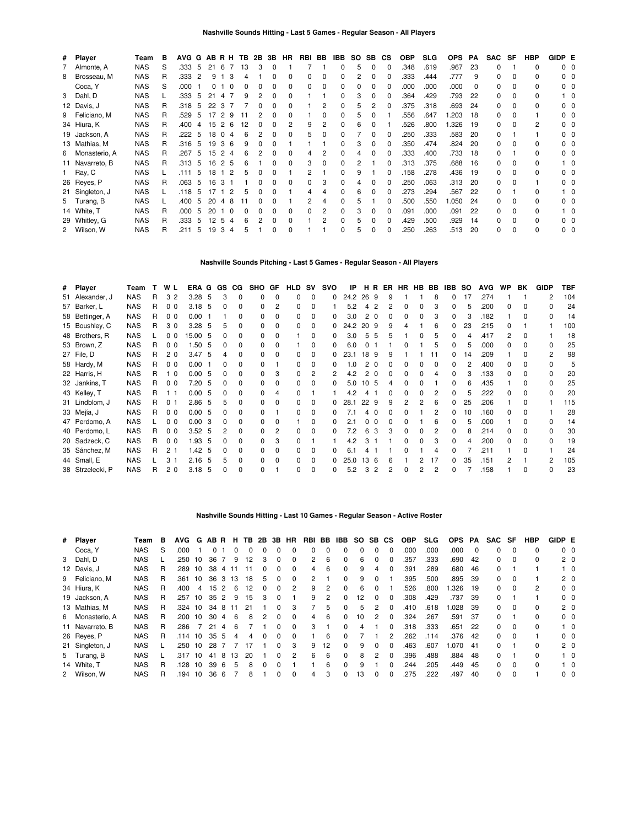| # Player        | Team       | в  | AVG G |     | ABRH |                |   | TB. | 2B | 3B | <b>HR</b>    | RBI | BB | IBB | SO.      | SB.          | СS       | <b>OBP</b> | <b>SLG</b> | <b>OPS</b> | РA | <b>SAC</b> | SF           | <b>HBP</b> | GIDP E |                |
|-----------------|------------|----|-------|-----|------|----------------|---|-----|----|----|--------------|-----|----|-----|----------|--------------|----------|------------|------------|------------|----|------------|--------------|------------|--------|----------------|
| 7 Almonte, A    | <b>NAS</b> | S  | .333  | 5   | 21   | -6             |   | 13  | 3  | 0  |              |     |    |     | 5        | 0            | $\Omega$ | .348       | .619       | .967       | 23 | 0          |              | 0          |        | 0 <sub>0</sub> |
| 8 Brosseau, M   | <b>NAS</b> | R  | .333  | 2   | 9    |                | 3 |     |    |    | <sup>0</sup> | 0   | 0  |     | 2        | <sup>0</sup> | C        | .333       | .444       | .777       | 9  | 0          | 0            | 0          |        | $0\quad 0$     |
| Coca, Y         | <b>NAS</b> | S  | .000  |     | 0    |                | 0 |     |    | 0  | 0            | 0   | 0  |     | $\Omega$ | <sup>0</sup> | 0        | .000       | .000       | .000       | 0  | 0          | 0            | 0          |        | 00             |
| 3 Dahl, D       | <b>NAS</b> |    | .333  | 5   | 21   | 4              |   | 9   |    | 0  | <sup>0</sup> |     |    |     | 3        | <sup>0</sup> | O        | .364       | .429       | .793       | 22 | $\Omega$   | 0            | 0          |        | 10             |
| 12 Davis, J     | <b>NAS</b> | R. | .318  | 5   | 22   | 3              |   |     |    |    | 0            |     | 2  |     | 5        |              | C        | .375       | .318       | .693       | 24 | 0          | $\Omega$     | 0          |        | 00             |
| 9 Feliciano, M  | <b>NAS</b> | R. | .529  | 5   | 17   | 29             |   |     |    | 0  | <sup>0</sup> |     | 0  |     | 5        |              |          | .556       | .647       | 1.203      | 18 | 0          | $\Omega$     |            |        | 00             |
| 34 Hiura, K     | <b>NAS</b> | R  | .400  | 4   |      | 1526           |   | 12  |    |    |              | 9   | 2  |     | 6        |              |          | .526       | .800       | 1.326      | 19 | 0          | <sup>0</sup> | 2          |        | n n            |
| 19 Jackson, A   | <b>NAS</b> | R  | .222  | 5   |      | 18 0 4         |   | -6  |    |    |              | 5   | 0  |     |          |              |          | .250       | .333       | 583        | 20 | $\Omega$   |              |            |        | ი ი            |
| 13 Mathias, M   | <b>NAS</b> | R  | .316  | - 5 | 19   | 36             |   |     |    |    |              |     |    |     | 3        | 0            | O        | .350       | .474       | .824       | 20 | $\Omega$   | $\Omega$     | 0          |        | ი ი            |
| 6 Monasterio, A | <b>NAS</b> | R  | .267  | 5   | 15   | 2 <sub>4</sub> |   | 6   |    | 0  | 0            |     | 2  |     |          |              | 0        | .333       | .400       | .733       | 18 | 0          |              | 0          |        | $0\quad 0$     |
| 11 Navarreto, B | <b>NAS</b> | R  | .313  | -5  | 16   | 2 5            |   | 6   |    | 0  | 0            | 3   | 0  |     | 2        |              | O        | .313       | .375       | .688       | 16 | 0          | 0            | 0          |        | 10             |
| 1 Ray, C        | <b>NAS</b> |    | .111  | 5   | 18   | $1\quad2$      |   | 5   |    |    |              | 2   |    |     | 9        |              | O        | .158       | .278       | .436       | 19 | 0          | $\Omega$     | 0          |        | n n            |
| 26 Reyes, P     | <b>NAS</b> | R  | .063  | 5   | 16   | 3              |   |     |    | 0  | $\Omega$     | 0   | 3  |     |          |              | O        | .250       | .063       | .313       | 20 | 0          | $\Omega$     |            |        | n n            |
| 21 Singleton, J | <b>NAS</b> |    | .118  | 5   | 17   |                | 2 | h   |    |    |              |     |    |     | 6        |              |          | .273       | .294       | .567       | 22 | 0          |              | 0          |        | 10             |
| 5 Turang, B     | <b>NAS</b> |    | .400  | 5   | 20   | 4              | 8 |     |    |    |              |     |    |     | 5        |              | O        | .500       | .550       | 1.050      | 24 | O.         | <sup>0</sup> | n.         |        | n n            |
| 14 White, T     | <b>NAS</b> | R  | .000  | 5   | 20   |                | 0 |     |    |    | <sup>0</sup> | 0   | 2  |     | 3        |              |          | .091       | .000       | .091       | 22 | 0          | 0            | 0          |        | 10             |
| 29 Whitley, G   | <b>NAS</b> | R  | .333  | 5   | 12   | 5              | 4 |     |    | 0  | <sup>0</sup> |     | 2  |     | 5        |              | O        | .429       | .500       | .929       | 14 | O.         | <sup>0</sup> | n.         |        | 00             |
| 2 Wilson, W     | <b>NAS</b> | R  | .211  | 5   | 19   | 3              | 4 | 'n. |    | 0  | 0            |     |    |     | 5        | 0            | 0        | .250       | .263       | .513       | 20 | 0          | <sup>0</sup> | 0          |        | 0 <sub>0</sub> |

### **Nashville Sounds Pitching - Last 5 Games - Regular Season - All Players**

| # Player         | Team       | т | W L            | ERA G GS |     |              | CG.          | SHO GF |              | <b>HLD SV</b> |          | svo | IP   |                 |          | HR ER | HR | <b>HB</b>    | BB | IBB | so | <b>AVG</b> | <b>WP</b> | BK           | <b>GIDP</b> | TBF |
|------------------|------------|---|----------------|----------|-----|--------------|--------------|--------|--------------|---------------|----------|-----|------|-----------------|----------|-------|----|--------------|----|-----|----|------------|-----------|--------------|-------------|-----|
| 51 Alexander, J  | <b>NAS</b> | R | 3 <sub>2</sub> | 3.28     | -5  | 3            | 0            | 0      | $\Omega$     | 0             | 0        | 0   | 24.2 | 26 9            |          | 9     |    |              |    |     | 17 | .274       |           |              | 2           | 104 |
| 57 Barker, L     | <b>NAS</b> | R | 0 <sub>0</sub> | 3.18     | 5   | <sup>0</sup> | <sup>0</sup> | 0      |              | $\Omega$      | ŋ        |     | 5.2  |                 |          |       | 0  |              |    | n.  | 5  | .200       |           |              |             | 24  |
| 58 Bettinger, A  | <b>NAS</b> | R | 0 <sub>0</sub> | 0.00     |     |              |              |        |              | $\Omega$      | ŋ        |     | 3.0  |                 | $\Omega$ |       | 0  |              |    |     |    | .182       |           |              |             | 14  |
| 15 Boushley, C   | <b>NAS</b> | R | 30             | 3.28     | -5  |              |              |        |              | 0             | 0        |     | 24.2 | 20              | - 9      |       |    |              | 6  | 0   | 23 | .215       |           |              |             | 100 |
| 48 Brothers, R   | <b>NAS</b> |   | 00             | 15.00    | -5  |              |              |        | $\Omega$     |               | 0        | 0   | 3.0  | 5               | 5        |       |    | <sup>0</sup> |    | n.  | 4  | .417       | 2         | <sup>0</sup> |             | 18  |
| 53 Brown, Z      | <b>NAS</b> | R | 0 <sub>0</sub> | 1.50     | -5  | 0            | 0            |        | $\Omega$     |               | 0        | 0   | 6.0  |                 |          |       | 0  |              | 5  | 0   | 5  | .000       | n.        |              | ŋ           | 25  |
| 27 File, D       | <b>NAS</b> | R | 20             | 3.47     | -5  |              | 0            |        |              |               |          |     | 23.1 | 18              | -9       |       |    |              |    | 0   | 14 | .209       |           |              | 2           | 98  |
| 58 Hardy, M      | <b>NAS</b> | R | 0 <sub>0</sub> | 0.00     |     |              |              |        |              |               |          |     | .0   |                 | - 0      |       |    |              |    |     |    | .400       |           |              |             | 5   |
| 22 Harris, H     | <b>NAS</b> | R | $\Omega$       | 0.00     | -5  | 0            | 0            |        |              | <sup>n</sup>  |          |     | 4.2  |                 |          |       | 0  |              |    | n.  |    | .133       | n.        |              |             | 20  |
| 32 Jankins, T    | <b>NAS</b> | R | 0 <sub>0</sub> | 7.20     | -5  |              | 0            |        | <sup>0</sup> | 0             |          |     | 5.0  | 10              | -5       |       | ŋ  |              |    |     | 6  | .435       |           |              |             | 25  |
| 43 Kelley, T     | <b>NAS</b> | R |                | 0.00     | 5   |              |              |        |              |               |          |     | 4.2  |                 |          |       |    |              |    | n.  | 5  | .222       |           |              | ŋ           | 20  |
| 31 Lindblom, J   | <b>NAS</b> | R | 0 <sub>1</sub> | 2.86     | -5  | 5            |              |        | <sup>0</sup> |               | ŋ        | 0   | 28.1 | 22              | -9       | q     | 2  | 2            | 6  | n.  | 25 | .206       |           |              |             | 115 |
| 33 Mejía, J      | <b>NAS</b> | R | 0 <sub>0</sub> | 0.00     | - 5 | 0            | 0            |        |              | 0             | ŋ        |     | 7.1  | 4               | n        |       | 0  |              | 2  | 0   | 10 | .160       | n.        |              |             | 28  |
| 47 Perdomo, A    | <b>NAS</b> |   | 0 <sub>0</sub> | 0.00     | 3   | 0            | 0            |        |              |               | 0        |     | 2.1  |                 | - 0      |       |    |              |    | 0   | 5  | .000       |           |              |             | 14  |
| 40 Perdomo, L    | <b>NAS</b> | R | 0 <sub>0</sub> | 3.52     | - 5 |              | 0            | 0      |              | <sup>0</sup>  |          |     | 7.2  |                 |          |       | 0  |              |    | n.  | 8  | .214       |           |              |             | 30  |
| 20 Sadzeck, C    | <b>NAS</b> | R | 0 <sub>0</sub> | 1.93     | -5  |              | n            |        | 3            | <sup>n</sup>  |          |     | 4.2  |                 |          |       | O. |              |    |     |    | .200       | n.        |              |             | 19  |
| 35 Sánchez, M    | <b>NAS</b> | R | 2 <sub>1</sub> | 1.42     | -5  |              | 0            |        | <sup>0</sup> |               |          |     | 61   |                 |          |       |    |              |    |     |    | .211       |           |              |             | 24  |
| 44 Small, E      | <b>NAS</b> |   | 3 <sub>1</sub> | 2.16     | 5   | 5            | 0            | 0      | $\Omega$     | $\Omega$      | ŋ        |     | 25.0 | 13 <sup>1</sup> | -6       |       |    |              | 17 | n.  | 35 | .151       |           |              | 2           | 105 |
| 38 Strzelecki, P | <b>NAS</b> | R | 2 <sub>0</sub> | 3.18     | 5   | <sup>0</sup> | 0            | U      |              | 0             | $\Omega$ | 0   | 5.2  | 3               | 2        | 2     | 0  | 2            | 2  | 0   |    | .158       |           | <sup>0</sup> | ŋ           | 23  |

### **Nashville Sounds Hitting - Last 10 Games - Regular Season - Active Roster**

| # Player        | Team       | в | <b>AVG</b> | G  | AB R         |    | н. |    |   |              | <b>TB 2B 3B HR</b> | RBI BB |          | IBB          | SO SB |          | CS.          | <b>OBP</b> | <b>SLG</b> | <b>OPS</b> | PA       | SAC | SF       | HBP | GIDP E |                |
|-----------------|------------|---|------------|----|--------------|----|----|----|---|--------------|--------------------|--------|----------|--------------|-------|----------|--------------|------------|------------|------------|----------|-----|----------|-----|--------|----------------|
| Coca, Y         | <b>NAS</b> | S | .000       |    | <sup>0</sup> |    |    | 0  |   | 0            |                    | 0      | $\Omega$ | 0            |       |          |              | .000       | .000       | .000       | $\Omega$ | 0   | $\Omega$ | 0   |        | $0\quad 0$     |
| 3 Dahl, D       | <b>NAS</b> |   | .250       | 10 | 36           |    | 9  | 12 | 3 | 0            | 0                  | 2      | 6        | 0            | 6     | 0        |              | .357       | .333       | .690       | 42       | 0   | $\Omega$ | 0   |        | 20             |
| 12 Davis, J     | <b>NAS</b> | R | .289       | 10 | 38           | 4  |    | 11 | 0 | <sup>0</sup> | $\Omega$           | 4      | 6        | $\Omega$     | 9     | 4        |              | .391       | .289       | .680       | 46       | 0   |          |     |        | $1\quad 0$     |
| 9 Feliciano, M  | <b>NAS</b> |   | .361       | 10 | 36           | -3 | 13 | 18 | 5 | 0            | 0                  | 2      |          | 0            | 9     | 0        |              | .395       | .500       | .895       | 39       | 0   | 0        |     |        | 2 <sub>0</sub> |
| 34 Hiura, K     | <b>NAS</b> | R | .400       | 4  | 15           |    | 6  | 12 | O | <sup>0</sup> | 2                  | 9      | 2        | $\Omega$     | 6     | 0        |              | 526        | .800       | .326       | 19       | 0   | $\Omega$ | 2   |        | $0\quad 0$     |
| 19 Jackson, A   | <b>NAS</b> | R | .257       | 10 | 35           | 2  | 9  | 15 | 3 | 0            |                    | 9      | 2        | $\Omega$     | 12    | $\Omega$ |              | .308       | .429       | .737       | 39       | 0   |          |     |        | 0 <sub>0</sub> |
| 13 Mathias, M   | <b>NAS</b> | R | .324       | 10 | 34           | 8  |    | 21 |   |              | 3                  |        | 5        | $\Omega$     | 5     |          |              | .410       | .618       | 1.028      | 39       | 0   | $\Omega$ | 0   |        | 2 <sub>0</sub> |
| 6 Monasterio, A | <b>NAS</b> | R | .200       | 10 | 30           | 4  | 6  | 8  |   | O            | 0                  | 4      | 6        | $\Omega$     | 10    |          |              | .324       | .267       | 591.       | -37      | 0   |          | 0   |        | 0 <sub>0</sub> |
| 11 Navarreto, B | <b>NAS</b> |   | .286       |    | 21           |    |    |    |   |              | <sup>0</sup>       | 3      |          | <sup>0</sup> |       |          |              | .318       | .333       | .651       | 22       | 0   | $\Omega$ | 0   |        | $1\quad$ 0     |
| 26 Reyes, P     | <b>NAS</b> | R | .114       | 10 | 35           | -5 | 4  | 4  | O | O            | 0                  |        | 6        | <sup>0</sup> |       |          |              | .262       | .114       | .376       | 42       | 0   | $\Omega$ |     |        | 0 <sub>0</sub> |
| 21 Singleton, J | <b>NAS</b> |   | .250       | 10 | 28           |    |    |    |   |              | 3                  | 9      | 12       | $\Omega$     | 9     |          |              | .463       | .607       | 1.070      | -41      | 0   |          | 0   |        | 2 <sub>0</sub> |
| 5 Turang, B     | <b>NAS</b> |   | .317       | 10 | 41           | 8  | 13 | 20 |   | O            | 2                  | 6      | 6        | $\Omega$     | 8     | 2        | <sup>n</sup> | .396       | .488       | .884       | 48       | 0   |          | 0   |        | $1\quad$ 0     |
| 14 White, T     | <b>NAS</b> | R | 128        | 10 | 39           | -6 | 5  | 8  | O | O            |                    |        | 6        | 0            |       |          |              | 244        | .205       | .449       | 45       | 0   | $\Omega$ | 0   |        | $1\quad 0$     |
| 2 Wilson, W     | <b>NAS</b> | R | 194        | 10 | 36           | 6  |    | 8  |   | ŋ            | $\Omega$           | 4      | 3        | 0            | 13    | 0        |              | 275        | .222       | .497       | 40       | 0   | $\Omega$ |     |        | $0\quad 0$     |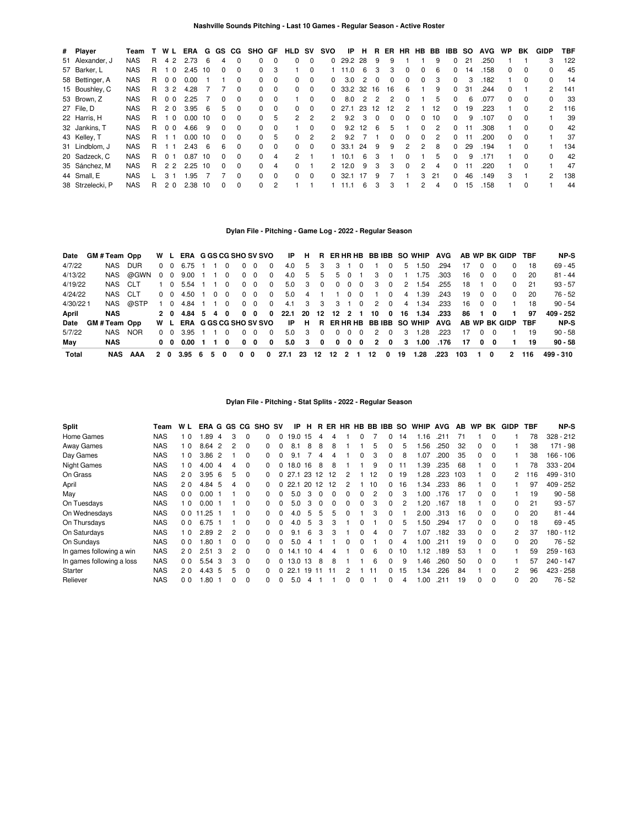| # Player         | Team       |   | W L              | ERA       | G          |          |              | GS CG SHO GF |          | HLD                  | <b>SV</b> | svo           | ΙP             | н              | R        | ER. | HR.            | HB.      | BB | IBB          | <b>SO</b> | <b>AVG</b> | WP.          | BK           | GIDP | TBF |
|------------------|------------|---|------------------|-----------|------------|----------|--------------|--------------|----------|----------------------|-----------|---------------|----------------|----------------|----------|-----|----------------|----------|----|--------------|-----------|------------|--------------|--------------|------|-----|
| 51 Alexander, J  | <b>NAS</b> | R | 4 2              | 2.73      | 6          | 4        | $\Omega$     | 0            | $\Omega$ | $\Omega$             | $\Omega$  | 0             | 29.2           | 28             | 9        | 9   |                |          | 9  | 0            | 21        | .250       |              |              | 3    | 122 |
| 57 Barker, L     | <b>NAS</b> | R | 10               | 2.45      | 10         | 0        | $\Omega$     | $\Omega$     | 3        |                      | 0         |               | 11.0           | 6              | 3        | 3   | $\Omega$       | 0        | 6  | $\Omega$     | 14        | .158       | 0            | $\Omega$     |      | 45  |
| 58 Bettinger, A  | <b>NAS</b> | R | 0 <sub>0</sub>   | 0.00      |            |          | $\Omega$     | <sup>0</sup> | 0        | $\Omega$             | $\Omega$  | 0             | 3.0            | 2              | $\Omega$ | 0   | 0              | $\Omega$ | 3  | 0            | 3         | .182       |              | 0            |      | 14  |
| 15 Boushley, C   | <b>NAS</b> | R | 3 2              | 4.28      |            |          | $\Omega$     | $\Omega$     | $\Omega$ | $\Omega$             | $\Omega$  |               | $0$ 33.2 32 16 |                |          | 16  | 6              |          | 9  | $\Omega$     | 31        | .244       | <sup>0</sup> |              | 2    | 141 |
| 53 Brown, Z      | <b>NAS</b> | R | 0 <sub>0</sub>   | 2.25      |            | $\Omega$ | $\Omega$     | 0            | $\Omega$ |                      | $\Omega$  | <sup>0</sup>  | 8.0            | $\overline{2}$ | 2        | 2   | $\Omega$       |          | 5  | 0            | 6         | .077       | <sup>o</sup> | 0            | 0    | -33 |
| 27 File, D       | <b>NAS</b> | R | 20               | 3.95      | $\epsilon$ | 5        | $\Omega$     | $\Omega$     | $\Omega$ | $\Omega$             | $\Omega$  | 0             | 271            | 23             | 12       | 12  | $\mathfrak{p}$ |          | 12 | $\Omega$     | 19        | .223       |              | 0            | 2    | 116 |
| 22 Harris, H     | <b>NAS</b> | R | - 0              | 0.00      | 10         | $\Omega$ | <sup>0</sup> | <sup>0</sup> | 5        | $\mathbf{2}^{\circ}$ | 2         |               | 9.2            | 3              |          | 0   | $\Omega$       | 0        | 10 | 0            | 9         | .107       | <sup>o</sup> | 0            |      | 39  |
| 32 Jankins, T    | <b>NAS</b> | R | 0 <sub>0</sub>   | 4.66      | 9          | $\Omega$ | $\Omega$     | 0            | $\Omega$ |                      | $\Omega$  | $\Omega$      | 9.2            | 12             | 6        | 5   |                | $\Omega$ | 2  | $\Omega$     |           | .308       |              | $\Omega$     | 0    | 42  |
| 43 Kelley, T     | <b>NAS</b> | R |                  | 0.00      | 10         | 0        | $\Omega$     | $\Omega$     | 5        | $\Omega$             | 2         | $\mathcal{P}$ | 9.2            |                |          | n   | $\Omega$       | 0        | 2  | <sup>0</sup> |           | .200       | n.           | 0            |      | 37  |
| 31 Lindblom, J   | <b>NAS</b> | R |                  | 2.43      | 6          | 6        | $\Omega$     | 0            | $\Omega$ | $\Omega$             | $\Omega$  |               | 0, 33.1        | 24             | -9       | 9   | 2              | 2        | 8  | $\Omega$     | 29        | .194       |              | $\Omega$     |      | 134 |
| 20 Sadzeck, C    | <b>NAS</b> | R | 01               | 0.87      | 10         | 0        | $\Omega$     | 0            | 4        | 2                    |           |               | 10.1           | 6              |          |     | <sup>0</sup>   |          | 5  | $\Omega$     | 9         | .171       |              | <sup>0</sup> |      | 42  |
| 35 Sánchez, M    | <b>NAS</b> | R | 2 2              | $2.25$ 10 |            | $\Omega$ | $\Omega$     | 0            | 4        | 0                    |           | 2             | 12.0           | 9              | 3        | 3   | $\Omega$       | 2        | 4  | $\Omega$     |           | .220       |              | $\Omega$     |      | 47  |
| 44 Small, E      | <b>NAS</b> |   | $\overline{3}$ 1 | 1.95      |            |          | $\Omega$     | $\Omega$     | $\Omega$ | $\Omega$             | $\Omega$  | <sup>0</sup>  | 32.1           | -17            | 9        |     |                | 3        | 21 | 0            | 46        | .149       | 3            |              | 2    | 138 |
| 38 Strzelecki, P | <b>NAS</b> | R | 2 <sub>0</sub>   | 2.38      | 10         | 0        | $\Omega$     | 0            | 2        |                      |           |               |                | 6              | з        | 3   |                | 2        | 4  | 0            | 15        | .158       |              | 0            |      | 44  |

# **Dylan File - Pitching - Game Log - 2022 - Regular Season**

| Date     | <b>GM#Team Opp</b> |            |          |                 | W L ERA G GS CG SHO SV SVO |   |          |          |              |             |          | IP   | H.                      |          |              |                 |                   |                         |                         |                | R ERHRHB BBIBB SO WHIP AVG |      |     |            |          | AB WP BK GIDP TBF |     | NP-S      |
|----------|--------------------|------------|----------|-----------------|----------------------------|---|----------|----------|--------------|-------------|----------|------|-------------------------|----------|--------------|-----------------|-------------------|-------------------------|-------------------------|----------------|----------------------------|------|-----|------------|----------|-------------------|-----|-----------|
| 4/7/22   | NAS                | DUR.       |          | $0\quad 0$      | 6.75                       |   |          | 0        | 0            | $\Omega$    | 0        | 4.0  | 5                       | 3        |              |                 | 3 1 0             |                         | $\Omega$                | 5              | 1.50                       | .294 | 17  | $\Omega$   | - 0      | $\Omega$          | -18 | $69 - 45$ |
| 4/13/22  | NAS                | @GWN       | $\Omega$ | $\Omega$        | 9.00                       |   |          | $\Omega$ |              | $0\quad 0$  | $\Omega$ | 4.0  | 5                       | 5        |              | 5 0             |                   | 3                       | $\Omega$                |                | 1.75                       | .303 | 16  | $\Omega$   | റ        | $\Omega$          | 20  | $81 - 44$ |
| 4/19/22  | NAS CLT            |            |          | 1 0             | 5.54                       |   |          | $\Omega$ |              | $0\quad 0$  | $\Omega$ | 5.0  |                         | 3 0      |              |                 | $0\quad 0\quad 0$ | $\overline{\mathbf{3}}$ | $\overline{\mathbf{0}}$ | 2              | 1.54                       | .255 | 18  |            | $\Omega$ | $\Omega$          | -21 | $93 - 57$ |
| 4/24/22  | NAS CLT            |            | 0 O      |                 | 4.50                       |   | $\Omega$ | $\Omega$ |              | $0\quad 0$  | $\Omega$ | 5.0  |                         | 4 1      |              |                 | 100               |                         | $\Omega$                | 4              | 1.39                       | .243 | 19  | $0\quad 0$ |          | $\Omega$          | 20  | 76 - 52   |
| 4/30/221 | NAS                | @STP       | 1 0      |                 | 4.84 1                     |   |          | $\sim$ 0 | $\Omega$     | $\Omega$    | $\Omega$ | 4.1  |                         |          | 3 3 3 1 0    |                 |                   | 2                       | $\overline{\mathbf{0}}$ | $\overline{4}$ | 1.34                       | .233 | 16  | $0\quad 0$ |          |                   | 18  | $90 - 54$ |
| April    | <b>NAS</b>         |            |          |                 | 2 0 4.84 5                 |   | 40       |          | $\mathbf{0}$ | - 0         | $\Omega$ | 22.1 |                         |          |              |                 |                   | 20 12 12 2 1 10 0       |                         |                | 16 1.34                    | .233 | 86  |            | 0        |                   | 97  | 409 - 252 |
| Date     | GM # Team Opp      |            |          |                 | W L ERA G GS CG SHO SV SVO |   |          |          |              |             |          | IP   | H                       |          |              |                 |                   |                         |                         |                | R ERHRHB BBIBB SO WHIP AVG |      |     |            |          | AB WP BK GIDP TBF |     | NP-S      |
| 5/7/22   | NAS                | <b>NOR</b> | 0 O      |                 | 3.95                       |   |          | $\Omega$ | <sup>0</sup> | $\Omega$    | $\Omega$ | 5.0  | $\overline{\mathbf{3}}$ | $\Omega$ | $\Omega$     | $\sim$ 0 $\sim$ | $\Omega$          | $\mathcal{P}$           | $\Omega$                | $\mathbf{3}$   | 1.28                       | .223 | 17  |            | 0 O      |                   | 19  | $90 - 58$ |
| May      | <b>NAS</b>         |            |          | $0\quad 0\quad$ | 0.00                       |   |          | $\Omega$ | 0            | $\mathbf 0$ | 0        | 5.0  | 3                       | 0        | $\mathbf{0}$ | 0               | 0                 | $\overline{2}$          | 0                       | $\mathbf{3}$   | 1.00                       | .176 | 17  | 0          | - 0      |                   | 19  | $90 - 58$ |
| Total    |                    | NAS AAA    | 20       |                 | 3.95                       | 6 | 5.       | 0        | 0            | 0           | 0        | 27.1 | 23 12                   |          | -12          | 2 1             |                   | 12                      | 0                       | 19             | 1.28                       | .223 | 103 |            | 0        | 2                 | 116 | 499 - 310 |

**Dylan File - Pitching - Stat Splits - 2022 - Regular Season**

| <b>Split</b>              | Team       | W L            | ERA G  |    | GS. | CG.      | <b>SHO SV</b> |   | IP.  | н     | R  | ER | <b>HR</b> |   |                | HB BB IBB SO |    | <b>WHIP</b> | <b>AVG</b> | AB. | <b>WP</b>    | BK       | <b>GIDP</b>    | TBF | NP-S        |
|---------------------------|------------|----------------|--------|----|-----|----------|---------------|---|------|-------|----|----|-----------|---|----------------|--------------|----|-------------|------------|-----|--------------|----------|----------------|-----|-------------|
| Home Games                | <b>NAS</b> | - 0            | .89    | 4  | 3   |          |               |   | 19.0 | 15    | 4  |    |           |   |                | 0            | 14 | 1.16        |            |     |              | $\Omega$ |                | 78  | $328 - 212$ |
| Away Games                | <b>NAS</b> | 0              | 8.64   | 2  | 2   | 0        |               |   | 8.1  | 8     | 8  | 8  |           |   | 5              | 0            | 5  | .56         | .250       | 32  | 0            | $\Omega$ |                | 38  | $171 - 98$  |
| Day Games                 | <b>NAS</b> | 0              | 3.86   | 2  |     | 0        |               |   | 9.1  |       | 4  | 4  |           | 0 | 3              | 0            | 8  | 1.07        | .200       | 35  | 0            | $\Omega$ |                | 38  | $166 - 106$ |
| Night Games               | <b>NAS</b> | 1 <sub>0</sub> | 4.00   | 4  | 4   | 0        |               | 0 | 18.0 | 16    | 8  | 8  |           |   | 9              | 0            | 11 | l.39        | .235       | 68  |              | $\Omega$ |                | 78  | $333 - 204$ |
| On Grass                  | <b>NAS</b> | 20             | 3.956  |    | 5   | 0        | 0             |   | 27.1 | 23    | 12 | 12 | 2         |   | 12             | 0            | 19 | 1.28        | .223       | 103 |              | $\Omega$ | 2              | 116 | 499 - 310   |
| April                     | <b>NAS</b> | 20             | 4.84 5 |    | 4   | 0        | <sup>n</sup>  |   | 22.1 | 20    | 12 | 12 | 2         |   | 10             | 0            | 16 | 34. ا       | .233       | 86  |              | $\Omega$ |                | 97  | $409 - 252$ |
| May                       | <b>NAS</b> | 0 <sub>0</sub> | 0.00   |    |     | 0        |               |   | 5.0  | 3     |    |    | U         | ŋ | $\overline{c}$ | 0            | 3  | 1.00        | .176       | 17  | 0            | $\Omega$ |                | 19  | $90 - 58$   |
| On Tuesdays               | <b>NAS</b> | l 0            | 0.00   |    |     | 0        |               |   | 5.0  |       |    | 0  | 0         | 0 | 3              | $\Omega$     | 2  | .20         | .167       | 18  |              | $\Omega$ | 0              | 21  | $93 - 57$   |
| On Wednesdays             | <b>NAS</b> | 0 <sub>0</sub> | 11.25  |    |     | $\Omega$ | 0             | 0 | 4.0  | 5     | 5  | 5  | 0         |   | 3              | $\Omega$     |    | 2.00        | .313       | 16  | <sup>0</sup> | $\Omega$ | 0              | 20  | $81 - 44$   |
| On Thursdays              | <b>NAS</b> | 0 <sub>0</sub> | 6.75   |    |     | 0        | 0             | 0 | 4.0  | 5     | 3  | 3  |           | 0 |                | 0            | 5  | .50         | .294       | 17  | 0            | $\Omega$ | 0              | 18  | $69 - 45$   |
| On Saturdays              | <b>NAS</b> | 1 <sub>0</sub> | 2.89   | 2  | 2   | 0        | <sup>n</sup>  |   | 9.1  | 6     | 3  | 3  |           | ŋ | 4              | <sup>0</sup> |    | l.O7        | .182       | 33  | 0            | $\Omega$ | $\overline{2}$ | 37  | 180 - 112   |
| On Sundays                | NAS        | 0 <sub>0</sub> | .80    |    |     | 0        |               |   | 5.0  |       |    |    | n         | ŋ |                | 0            | 4  | 00. ا       | .211       | 19  | 0            | $\Omega$ | $\Omega$       | 20  | $76 - 52$   |
| In games following a win  | <b>NAS</b> | 20             | 2.51   | -3 | 2   | 0        |               |   | 14.1 | 10    | 4  | 4  |           | 0 | 6              | 0            | 10 | 1.12        | .189       | 53  |              | $\Omega$ |                | 59  | $259 - 163$ |
| In games following a loss | <b>NAS</b> | 00             | 5.54   | 3  | 3   | 0        | <sup>0</sup>  |   | 13.0 | 13    | 8  | 8  |           |   | 6              | $\Omega$     | 9  | 1.46        | .260       | 50  | 0            | $\Omega$ |                | 57  | 240 - 147   |
| Starter                   | <b>NAS</b> | 20             | 4.43   | -5 | 5   | 0        | <sup>n</sup>  |   | 22.1 | 19 11 |    | 11 | 2         |   | 11             | 0            | 15 | .34         | .226       | 84  |              | $\Omega$ | 2              | 96  | 423 - 258   |
| Reliever                  | <b>NAS</b> | 0 <sub>0</sub> | .80    |    | 0   | $\Omega$ | <sup>n</sup>  | 0 | 5.0  | 4     |    |    | U         |   |                | 0            | 4  | 1.00        | .211       | 19  | 0            | $\Omega$ | 0              | 20  | 76 - 52     |